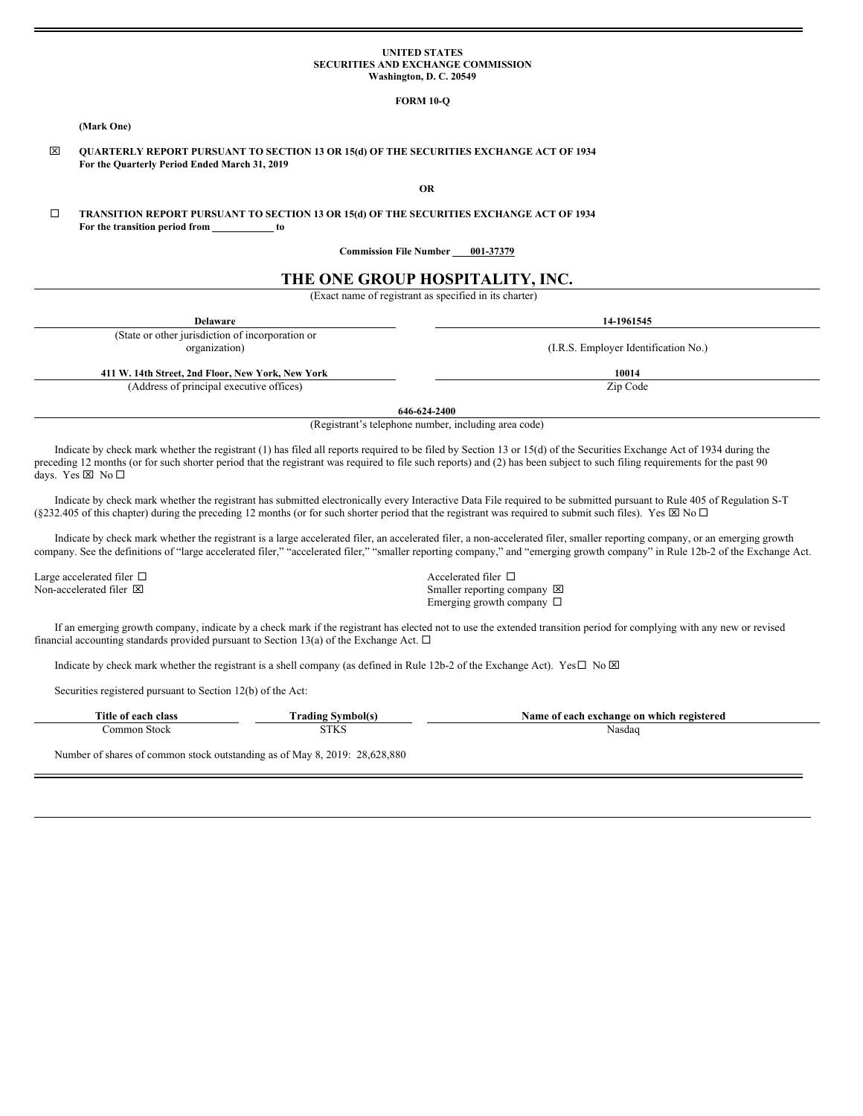### **UNITED STATES SECURITIES AND EXCHANGE COMMISSION Washington, D. C. 20549**

### **FORM 10-Q**

## **(Mark One)**

x **QUARTERLY REPORT PURSUANT TO SECTION 13 OR 15(d) OF THE SECURITIES EXCHANGE ACT OF 1934 For the Quarterly Period Ended March 31, 2019**

**OR**

¨ **TRANSITION REPORT PURSUANT TO SECTION 13 OR 15(d) OF THE SECURITIES EXCHANGE ACT OF 1934 For the transition period from to**

**Commission File Number 001-37379**

# **THE ONE GROUP HOSPITALITY, INC.**

(Exact name of registrant as specified in its charter)

| <b>Delaware</b>                                                   | 14-1961545                           |
|-------------------------------------------------------------------|--------------------------------------|
| (State or other jurisdiction of incorporation or<br>organization) | (I.R.S. Employer Identification No.) |
| 411 W. 14th Street, 2nd Floor, New York, New York                 | 10014                                |
| (Address of principal executive offices)                          | Zip Code                             |

**646-624-2400**

(Registrant's telephone number, including area code)

Indicate by check mark whether the registrant (1) has filed all reports required to be filed by Section 13 or 15(d) of the Securities Exchange Act of 1934 during the preceding 12 months (or for such shorter period that the registrant was required to file such reports) and (2) has been subject to such filing requirements for the past 90 days. Yes  $\boxtimes$  No  $\square$ 

Indicate by check mark whether the registrant has submitted electronically every Interactive Data File required to be submitted pursuant to Rule 405 of Regulation S-T (§232.405 of this chapter) during the preceding 12 months (or for such shorter period that the registrant was required to submit such files). Yes  $\boxtimes$  No  $\Box$ 

Indicate by check mark whether the registrant is a large accelerated filer, an accelerated filer, a non-accelerated filer, smaller reporting company, or an emerging growth company. See the definitions of "large accelerated filer," "accelerated filer," "smaller reporting company," and "emerging growth company" in Rule 12b-2 of the Exchange Act.

Large accelerated filer  $\square$ <br>
Non-accelerated filer  $\square$ <br>
Non-accelerated filer  $\square$ 

Smaller reporting company  $\boxtimes$ Emerging growth company  $\square$ 

If an emerging growth company, indicate by a check mark if the registrant has elected not to use the extended transition period for complying with any new or revised financial accounting standards provided pursuant to Section 13(a) of the Exchange Act.  $\Box$ 

Indicate by check mark whether the registrant is a shell company (as defined in Rule 12b-2 of the Exchange Act). Yes $\Box$  No  $\boxtimes$ 

Securities registered pursuant to Section 12(b) of the Act:

| Title of each class | <b>frading Symbol(s)</b> | Name of each exchange on which registered |
|---------------------|--------------------------|-------------------------------------------|
| :ommon Stock        | 24 L C                   | Nasdaq                                    |
|                     |                          |                                           |

Number of shares of common stock outstanding as of May 8, 2019: 28,628,880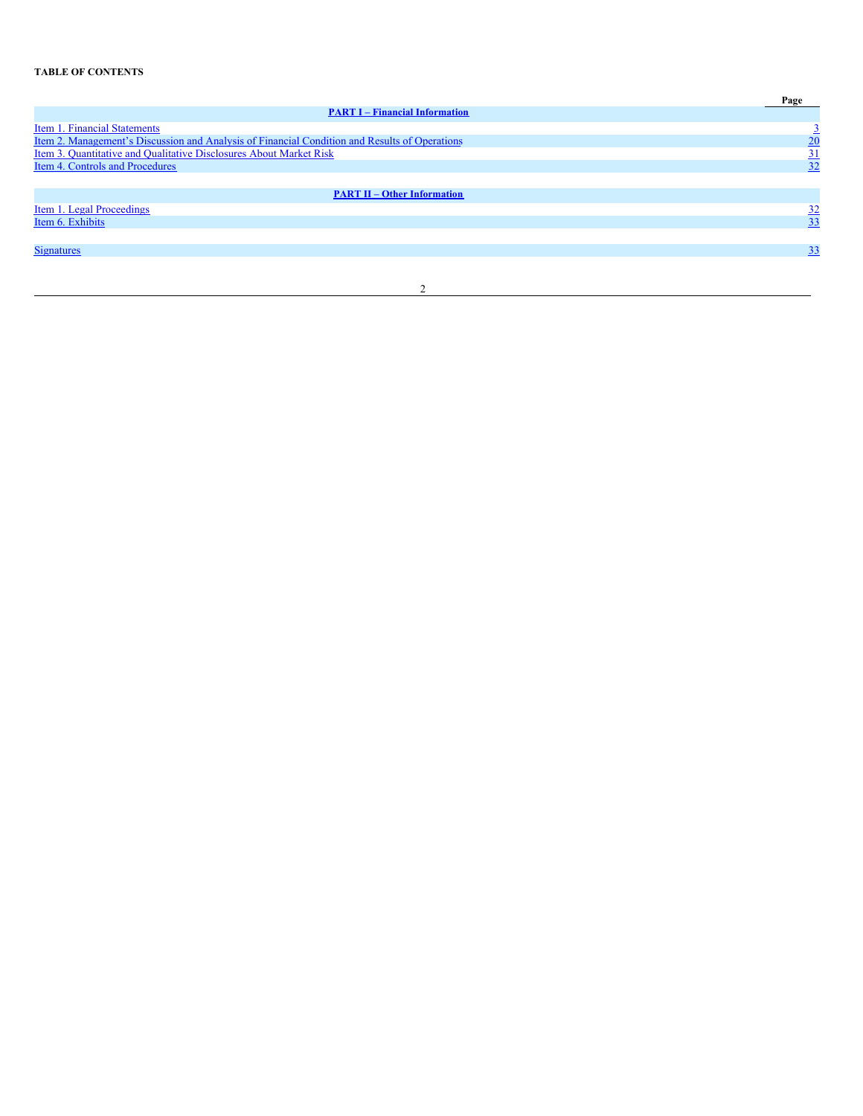# **TABLE OF CONTENTS**

| 20              |
|-----------------|
| 31              |
| $\overline{32}$ |
|                 |
|                 |
|                 |
| $\frac{32}{33}$ |
|                 |
| 33              |
|                 |
|                 |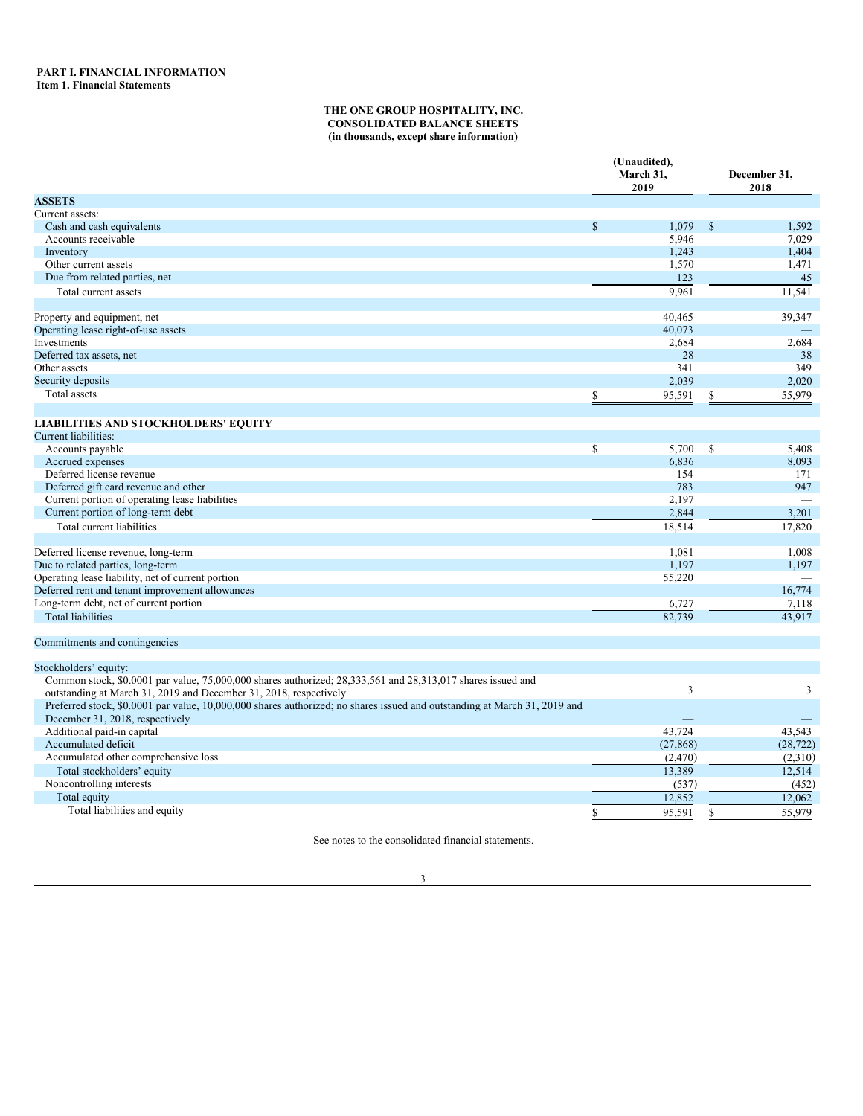## **THE ONE GROUP HOSPITALITY, INC. CONSOLIDATED BALANCE SHEETS (in thousands, except share information)**

<span id="page-2-1"></span><span id="page-2-0"></span>

|                                                                                                                           |             | (Unaudited),<br>March 31,<br>2019 |               | December 31,<br>2018 |
|---------------------------------------------------------------------------------------------------------------------------|-------------|-----------------------------------|---------------|----------------------|
| <b>ASSETS</b>                                                                                                             |             |                                   |               |                      |
| Current assets:                                                                                                           |             |                                   |               |                      |
| Cash and cash equivalents                                                                                                 | $\mathbf S$ | 1.079                             | <sup>\$</sup> | 1,592                |
| Accounts receivable                                                                                                       |             | 5,946                             |               | 7,029                |
| Inventory                                                                                                                 |             | 1.243                             |               | 1,404                |
| Other current assets                                                                                                      |             | 1,570                             |               | 1,471                |
| Due from related parties, net                                                                                             |             | 123                               |               | 45                   |
| Total current assets                                                                                                      |             | 9,961                             |               | 11,541               |
| Property and equipment, net                                                                                               |             | 40,465                            |               | 39,347               |
| Operating lease right-of-use assets                                                                                       |             | 40,073                            |               |                      |
| Investments                                                                                                               |             | 2,684                             |               | 2,684                |
| Deferred tax assets, net                                                                                                  |             | 28                                |               | 38                   |
| Other assets                                                                                                              |             | 341                               |               | 349                  |
| Security deposits                                                                                                         |             | 2,039                             |               | 2,020                |
| Total assets                                                                                                              | \$          | 95,591                            | $\mathbf S$   | 55,979               |
| LIABILITIES AND STOCKHOLDERS' EQUITY                                                                                      |             |                                   |               |                      |
| Current liabilities:                                                                                                      |             |                                   |               |                      |
| Accounts payable                                                                                                          | \$          | 5,700                             | <sup>\$</sup> | 5,408                |
| Accrued expenses                                                                                                          |             | 6,836                             |               | 8,093                |
| Deferred license revenue                                                                                                  |             | 154                               |               | 171                  |
| Deferred gift card revenue and other                                                                                      |             | 783                               |               | 947                  |
| Current portion of operating lease liabilities                                                                            |             | 2.197                             |               |                      |
| Current portion of long-term debt                                                                                         |             | 2,844                             |               | 3,201                |
| Total current liabilities                                                                                                 |             | 18,514                            |               | 17,820               |
|                                                                                                                           |             |                                   |               |                      |
| Deferred license revenue, long-term                                                                                       |             | 1,081                             |               | 1,008                |
| Due to related parties, long-term                                                                                         |             | 1,197                             |               | 1,197                |
| Operating lease liability, net of current portion                                                                         |             | 55,220                            |               |                      |
| Deferred rent and tenant improvement allowances                                                                           |             |                                   |               | 16,774               |
| Long-term debt, net of current portion                                                                                    |             | 6,727                             |               | 7,118                |
| <b>Total liabilities</b>                                                                                                  |             | 82,739                            |               | 43,917               |
| Commitments and contingencies                                                                                             |             |                                   |               |                      |
| Stockholders' equity:                                                                                                     |             |                                   |               |                      |
| Common stock, \$0.0001 par value, 75,000,000 shares authorized; 28,333,561 and 28,313,017 shares issued and               |             |                                   |               |                      |
| outstanding at March 31, 2019 and December 31, 2018, respectively                                                         |             | 3                                 |               | 3                    |
| Preferred stock, \$0.0001 par value, 10,000,000 shares authorized; no shares issued and outstanding at March 31, 2019 and |             |                                   |               |                      |
| December 31, 2018, respectively                                                                                           |             |                                   |               |                      |
| Additional paid-in capital<br>Accumulated deficit                                                                         |             | 43,724                            |               | 43,543               |
|                                                                                                                           |             | (27, 868)                         |               | (28, 722)            |
| Accumulated other comprehensive loss                                                                                      |             | (2,470)                           |               | (2,310)              |
| Total stockholders' equity                                                                                                |             | 13,389                            |               | 12,514               |
| Noncontrolling interests                                                                                                  |             | (537)                             |               | (452)                |
| Total equity                                                                                                              |             | 12,852                            |               | 12,062               |
| Total liabilities and equity                                                                                              | \$          | 95,591                            | \$            | 55,979               |

See notes to the consolidated financial statements.

3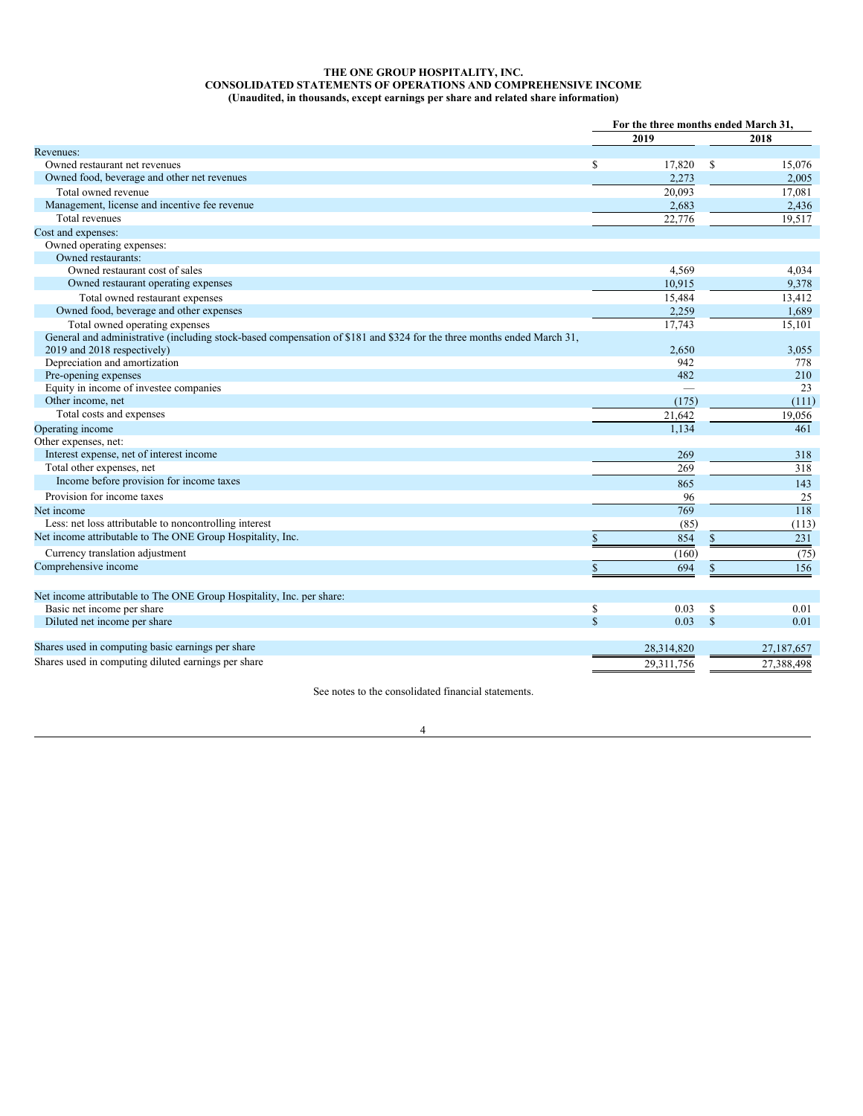## **THE ONE GROUP HOSPITALITY, INC. CONSOLIDATED STATEMENTS OF OPERATIONS AND COMPREHENSIVE INCOME (Unaudited, in thousands, except earnings per share and related share information)**

|                                                                                                                        | For the three months ended March 31, |            |               |            |
|------------------------------------------------------------------------------------------------------------------------|--------------------------------------|------------|---------------|------------|
|                                                                                                                        |                                      | 2019       |               | 2018       |
| Revenues:                                                                                                              |                                      |            |               |            |
| Owned restaurant net revenues                                                                                          | \$                                   | 17.820     | S             | 15.076     |
| Owned food, beverage and other net revenues                                                                            |                                      | 2,273      |               | 2,005      |
| Total owned revenue                                                                                                    |                                      | 20.093     |               | 17,081     |
| Management, license and incentive fee revenue                                                                          |                                      | 2,683      |               | 2,436      |
| Total revenues                                                                                                         |                                      | 22,776     |               | 19,517     |
| Cost and expenses:                                                                                                     |                                      |            |               |            |
| Owned operating expenses:                                                                                              |                                      |            |               |            |
| Owned restaurants:                                                                                                     |                                      |            |               |            |
| Owned restaurant cost of sales                                                                                         |                                      | 4.569      |               | 4,034      |
| Owned restaurant operating expenses                                                                                    |                                      | 10,915     |               | 9,378      |
| Total owned restaurant expenses                                                                                        |                                      | 15,484     |               | 13,412     |
| Owned food, beverage and other expenses                                                                                |                                      | 2,259      |               | 1,689      |
| Total owned operating expenses                                                                                         |                                      | 17,743     |               | 15,101     |
| General and administrative (including stock-based compensation of \$181 and \$324 for the three months ended March 31, |                                      |            |               |            |
| 2019 and 2018 respectively)                                                                                            |                                      | 2.650      |               | 3,055      |
| Depreciation and amortization                                                                                          |                                      | 942        |               | 778        |
| Pre-opening expenses                                                                                                   |                                      | 482        |               | 210        |
| Equity in income of investee companies                                                                                 |                                      | ÷.         |               | 23         |
| Other income, net                                                                                                      |                                      | (175)      |               | (111)      |
| Total costs and expenses                                                                                               |                                      | 21,642     |               | 19,056     |
| Operating income                                                                                                       |                                      | 1.134      |               | 461        |
| Other expenses, net:                                                                                                   |                                      |            |               |            |
| Interest expense, net of interest income                                                                               |                                      | 269        |               | 318        |
| Total other expenses, net                                                                                              |                                      | 269        |               | 318        |
| Income before provision for income taxes                                                                               |                                      | 865        |               | 143        |
| Provision for income taxes                                                                                             |                                      | 96         |               | 25         |
| Net income                                                                                                             |                                      | 769        |               | 118        |
| Less: net loss attributable to noncontrolling interest                                                                 |                                      | (85)       |               | (113)      |
| Net income attributable to The ONE Group Hospitality, Inc.                                                             | \$                                   | 854        | $\mathcal{S}$ | 231        |
| Currency translation adjustment                                                                                        |                                      | (160)      |               | (75)       |
| Comprehensive income                                                                                                   | \$                                   | 694        | \$            | 156        |
| Net income attributable to The ONE Group Hospitality, Inc. per share:                                                  |                                      |            |               |            |
| Basic net income per share                                                                                             | \$                                   | 0.03       | S             | 0.01       |
| Diluted net income per share                                                                                           | \$                                   | 0.03       | $\mathbf{s}$  | 0.01       |
| Shares used in computing basic earnings per share                                                                      |                                      | 28,314,820 |               | 27,187,657 |
| Shares used in computing diluted earnings per share                                                                    |                                      | 29,311,756 |               | 27,388,498 |
|                                                                                                                        |                                      |            |               |            |

See notes to the consolidated financial statements.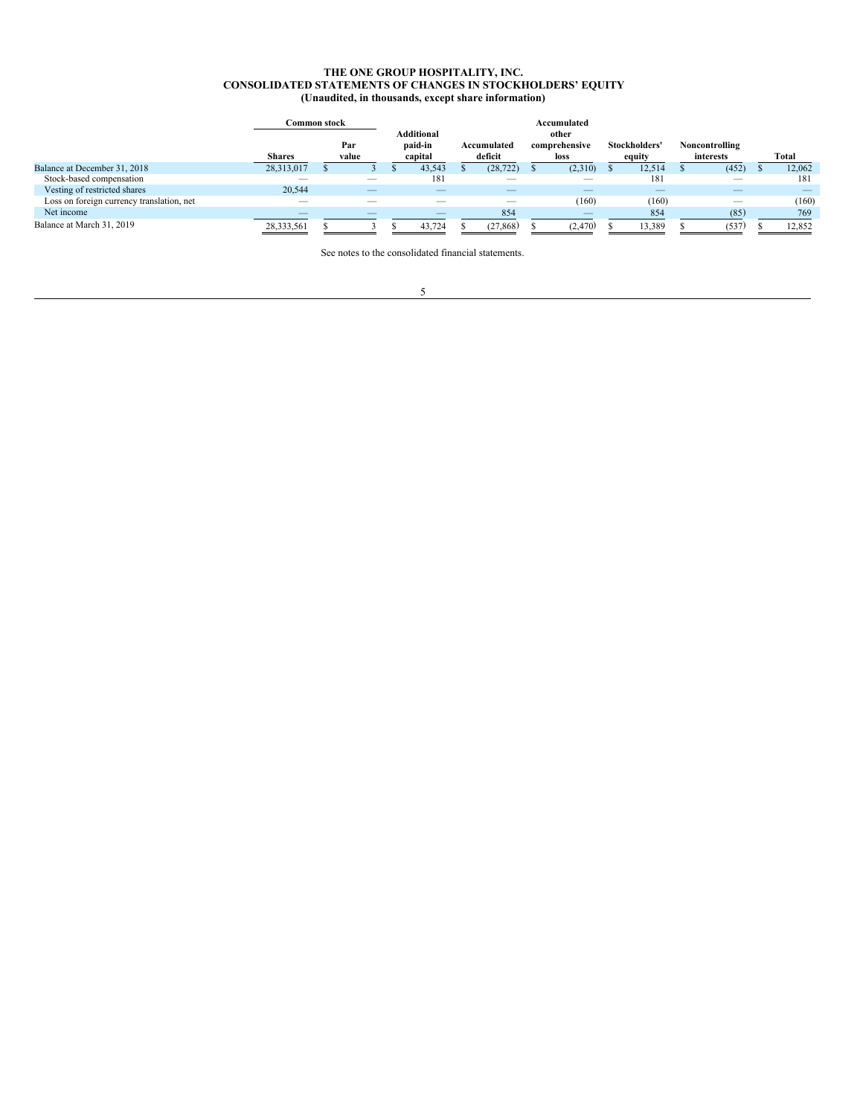#### **THE ONE GROUP HOSPITALITY, INC. CONSOLIDATED STATEMENTS OF CHANGES IN STOCKHOLDERS' EQUITY (Unaudited, in thousands, except share information)**

|                                           | Common stock  |       |            |             | Accumulated   |                          |                |        |
|-------------------------------------------|---------------|-------|------------|-------------|---------------|--------------------------|----------------|--------|
|                                           |               |       | Additional |             | other         |                          |                |        |
|                                           |               | Par   | paid-in    | Accumulated | comprehensive | Stockholders'            | Noncontrolling |        |
|                                           | <b>Shares</b> | value | capital    | deficit     | loss          | equity                   | interests      | Total  |
| Balance at December 31, 2018              | 28,313,017    |       | 43,543     | (28, 722)   | (2,310)       | 12.514                   | (452)          | 12.062 |
| Stock-based compensation                  |               | _     | 181        | --          | __            | 181                      | _              | 181    |
| Vesting of restricted shares              | 20,544        |       |            | _           |               | $\overline{\phantom{m}}$ |                |        |
| Loss on foreign currency translation, net | --            | __    | __         | __          | (160)         | (160)                    | —              | (160)  |
| Net income                                |               |       |            | 854         |               | 854                      | (85)           | 769    |
| Balance at March 31, 2019                 | 28, 333, 561  |       | 43.724     | (27, 868)   | (2.470)       | 13.389                   | (537)          | 12.852 |

See notes to the consolidated financial statements.

# 5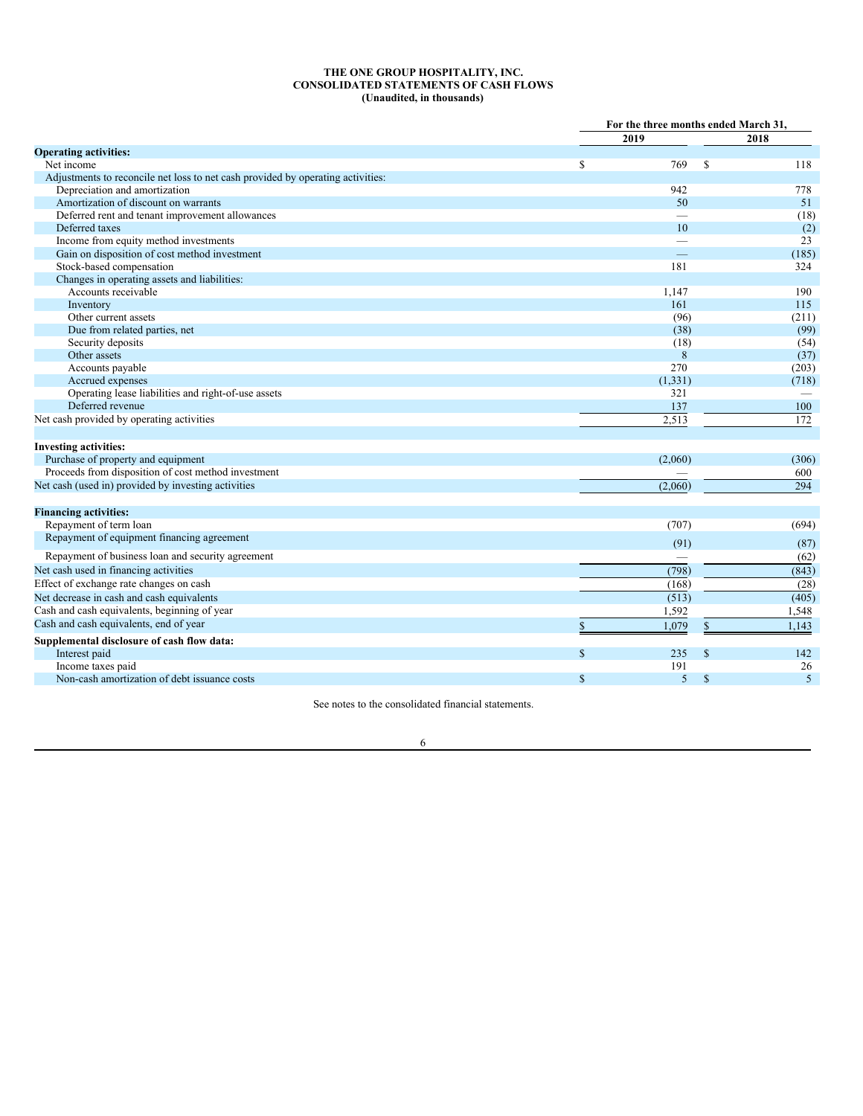## **THE ONE GROUP HOSPITALITY, INC. CONSOLIDATED STATEMENTS OF CASH FLOWS (Unaudited, in thousands)**

|                                                                                 |             | For the three months ended March 31, |              |       |  |
|---------------------------------------------------------------------------------|-------------|--------------------------------------|--------------|-------|--|
|                                                                                 |             | 2019                                 |              | 2018  |  |
| <b>Operating activities:</b>                                                    |             |                                      |              |       |  |
| Net income                                                                      | \$          | 769                                  | S            | 118   |  |
| Adjustments to reconcile net loss to net cash provided by operating activities: |             |                                      |              |       |  |
| Depreciation and amortization                                                   |             | 942                                  |              | 778   |  |
| Amortization of discount on warrants                                            |             | 50                                   |              | 51    |  |
| Deferred rent and tenant improvement allowances                                 |             |                                      |              | (18)  |  |
| Deferred taxes                                                                  |             | 10                                   |              | (2)   |  |
| Income from equity method investments                                           |             |                                      |              | 23    |  |
| Gain on disposition of cost method investment                                   |             |                                      |              | (185) |  |
| Stock-based compensation                                                        |             | 181                                  |              | 324   |  |
| Changes in operating assets and liabilities:                                    |             |                                      |              |       |  |
| Accounts receivable                                                             |             | 1,147                                |              | 190   |  |
| Inventory                                                                       |             | 161                                  |              | 115   |  |
| Other current assets                                                            |             | (96)                                 |              | (211) |  |
| Due from related parties, net                                                   |             | (38)                                 |              | (99)  |  |
| Security deposits                                                               |             | (18)                                 |              | (54)  |  |
| Other assets                                                                    |             | 8                                    |              | (37)  |  |
| Accounts payable                                                                |             | 270                                  |              | (203) |  |
| Accrued expenses                                                                |             | (1, 331)                             |              | (718) |  |
| Operating lease liabilities and right-of-use assets                             |             | 321                                  |              |       |  |
| Deferred revenue                                                                |             | 137                                  |              | 100   |  |
| Net cash provided by operating activities                                       |             | 2,513                                |              | 172   |  |
| <b>Investing activities:</b>                                                    |             |                                      |              |       |  |
| Purchase of property and equipment                                              |             | (2,060)                              |              | (306) |  |
| Proceeds from disposition of cost method investment                             |             |                                      |              | 600   |  |
| Net cash (used in) provided by investing activities                             |             | (2,060)                              |              | 294   |  |
|                                                                                 |             |                                      |              |       |  |
| <b>Financing activities:</b>                                                    |             |                                      |              |       |  |
| Repayment of term loan                                                          |             | (707)                                |              | (694) |  |
| Repayment of equipment financing agreement                                      |             | (91)                                 |              | (87)  |  |
| Repayment of business loan and security agreement                               |             |                                      |              | (62)  |  |
| Net cash used in financing activities                                           |             | (798)                                |              | (843) |  |
| Effect of exchange rate changes on cash                                         |             | (168)                                |              | (28)  |  |
| Net decrease in cash and cash equivalents                                       |             | (513)                                |              | (405) |  |
| Cash and cash equivalents, beginning of year                                    |             | 1,592                                |              | 1,548 |  |
| Cash and cash equivalents, end of year                                          | $\mathbf S$ | 1,079                                | $\mathbb{S}$ | 1,143 |  |
| Supplemental disclosure of cash flow data:                                      |             |                                      |              |       |  |
| Interest paid                                                                   | \$          | 235                                  | $\mathbb{S}$ | 142   |  |
| Income taxes paid                                                               |             | 191                                  |              | 26    |  |
| Non-cash amortization of debt issuance costs                                    | \$          | 5                                    | $\mathbb{S}$ | 5     |  |

See notes to the consolidated financial statements.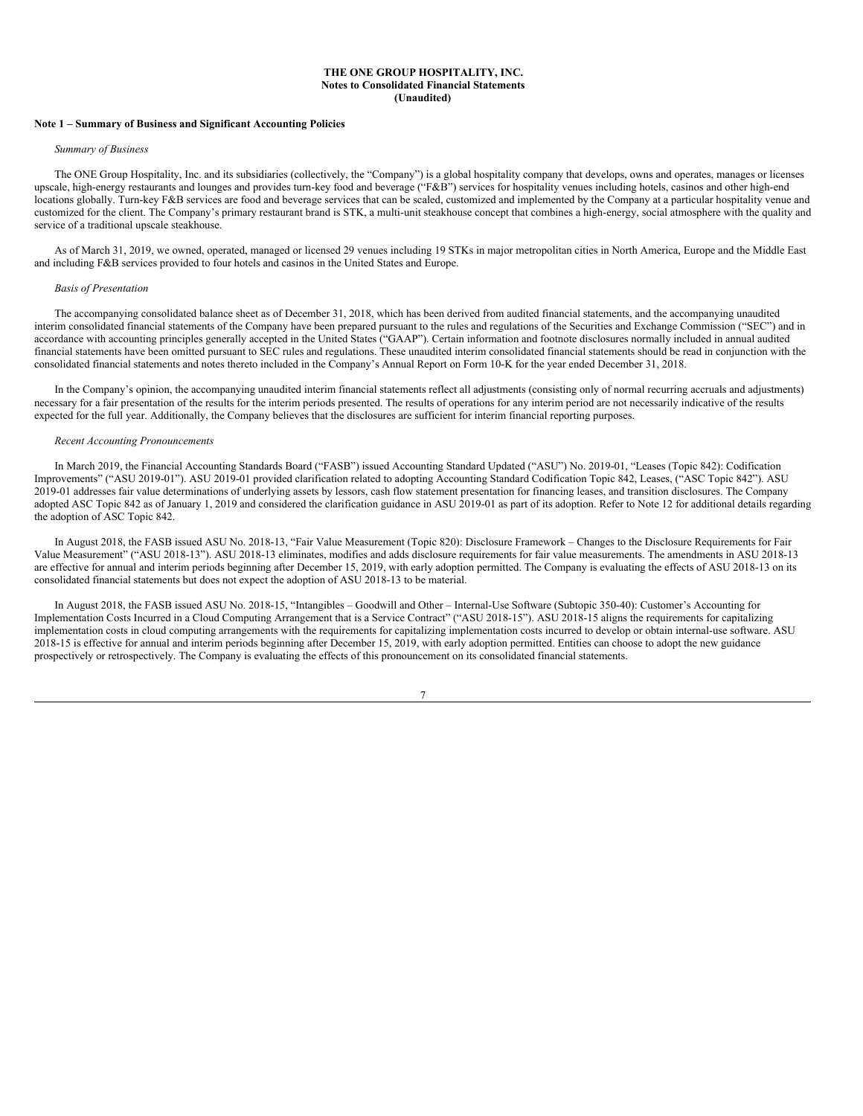### **THE ONE GROUP HOSPITALITY, INC. Notes to Consolidated Financial Statements (Unaudited)**

### **Note 1 – Summary of Business and Significant Accounting Policies**

#### *Summary of Business*

The ONE Group Hospitality, Inc. and its subsidiaries (collectively, the "Company") is a global hospitality company that develops, owns and operates, manages or licenses upscale, high-energy restaurants and lounges and provides turn-key food and beverage ("F&B") services for hospitality venues including hotels, casinos and other high-end locations globally. Turn-key F&B services are food and beverage services that can be scaled, customized and implemented by the Company at a particular hospitality venue and customized for the client. The Company's primary restaurant brand is STK, a multi-unit steakhouse concept that combines a high-energy, social atmosphere with the quality and service of a traditional upscale steakhouse.

As of March 31, 2019, we owned, operated, managed or licensed 29 venues including 19 STKs in major metropolitan cities in North America, Europe and the Middle East and including F&B services provided to four hotels and casinos in the United States and Europe.

#### *Basis of Presentation*

The accompanying consolidated balance sheet as of December 31, 2018, which has been derived from audited financial statements, and the accompanying unaudited interim consolidated financial statements of the Company have been prepared pursuant to the rules and regulations of the Securities and Exchange Commission ("SEC") and in accordance with accounting principles generally accepted in the United States ("GAAP"). Certain information and footnote disclosures normally included in annual audited financial statements have been omitted pursuant to SEC rules and regulations. These unaudited interim consolidated financial statements should be read in conjunction with the consolidated financial statements and notes thereto included in the Company's Annual Report on Form 10-K for the year ended December 31, 2018.

In the Company's opinion, the accompanying unaudited interim financial statements reflect all adjustments (consisting only of normal recurring accruals and adjustments) necessary for a fair presentation of the results for the interim periods presented. The results of operations for any interim period are not necessarily indicative of the results expected for the full year. Additionally, the Company believes that the disclosures are sufficient for interim financial reporting purposes.

### *Recent Accounting Pronouncements*

In March 2019, the Financial Accounting Standards Board ("FASB") issued Accounting Standard Updated ("ASU") No. 2019-01, "Leases (Topic 842): Codification Improvements" ("ASU 2019-01"). ASU 2019-01 provided clarification related to adopting Accounting Standard Codification Topic 842, Leases, ("ASC Topic 842"). ASU 2019-01 addresses fair value determinations of underlying assets by lessors, cash flow statement presentation for financing leases, and transition disclosures. The Company adopted ASC Topic 842 as of January 1, 2019 and considered the clarification guidance in ASU 2019-01 as part of its adoption. Refer to Note 12 for additional details regarding the adoption of ASC Topic 842.

In August 2018, the FASB issued ASU No. 2018-13, "Fair Value Measurement (Topic 820): Disclosure Framework – Changes to the Disclosure Requirements for Fair Value Measurement" ("ASU 2018-13"). ASU 2018-13 eliminates, modifies and adds disclosure requirements for fair value measurements. The amendments in ASU 2018-13 are effective for annual and interim periods beginning after December 15, 2019, with early adoption permitted. The Company is evaluating the effects of ASU 2018-13 on its consolidated financial statements but does not expect the adoption of ASU 2018-13 to be material.

In August 2018, the FASB issued ASU No. 2018-15, "Intangibles – Goodwill and Other – Internal-Use Software (Subtopic 350-40): Customer's Accounting for Implementation Costs Incurred in a Cloud Computing Arrangement that is a Service Contract" ("ASU 2018-15"). ASU 2018-15 aligns the requirements for capitalizing implementation costs in cloud computing arrangements with the requirements for capitalizing implementation costs incurred to develop or obtain internal-use software. ASU 2018-15 is effective for annual and interim periods beginning after December 15, 2019, with early adoption permitted. Entities can choose to adopt the new guidance prospectively or retrospectively. The Company is evaluating the effects of this pronouncement on its consolidated financial statements.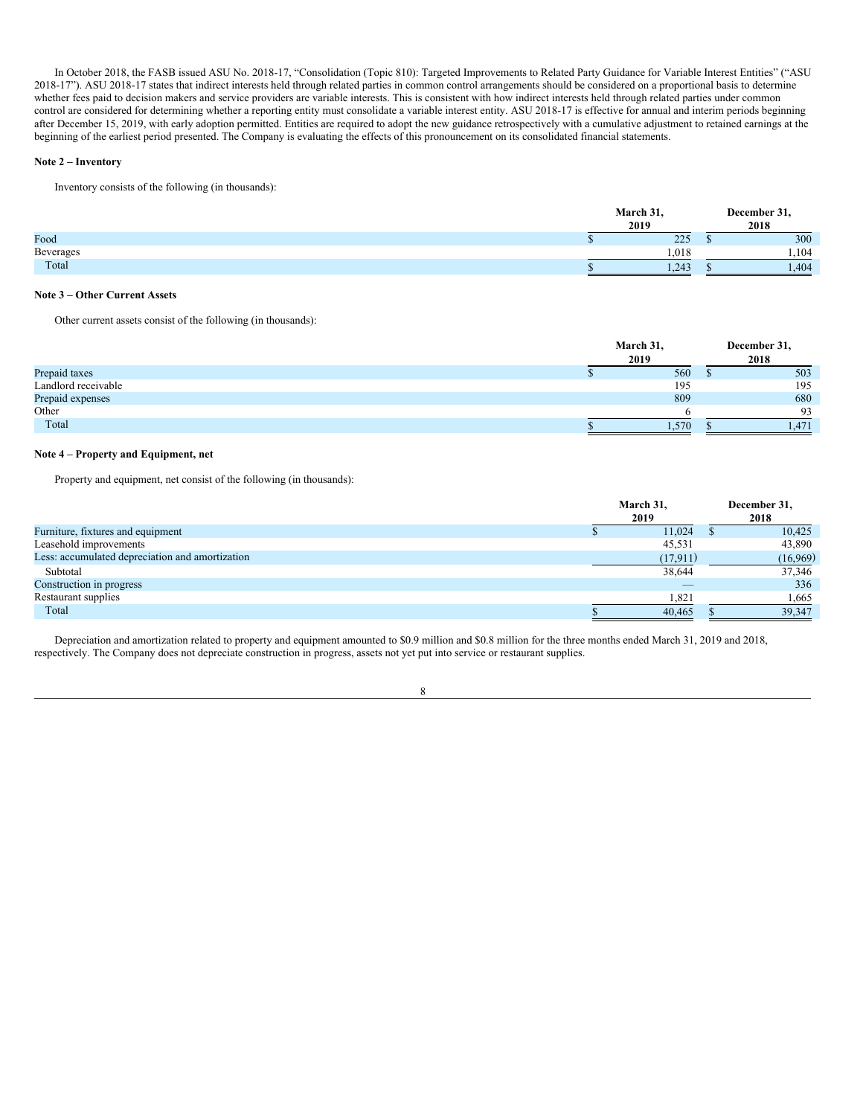In October 2018, the FASB issued ASU No. 2018-17, "Consolidation (Topic 810): Targeted Improvements to Related Party Guidance for Variable Interest Entities" ("ASU 2018-17"). ASU 2018-17 states that indirect interests held through related parties in common control arrangements should be considered on a proportional basis to determine whether fees paid to decision makers and service providers are variable interests. This is consistent with how indirect interests held through related parties under common control are considered for determining whether a reporting entity must consolidate a variable interest entity. ASU 2018-17 is effective for annual and interim periods beginning after December 15, 2019, with early adoption permitted. Entities are required to adopt the new guidance retrospectively with a cumulative adjustment to retained earnings at the beginning of the earliest period presented. The Company is evaluating the effects of this pronouncement on its consolidated financial statements.

### **Note 2 – Inventory**

Inventory consists of the following (in thousands):

|           | March 31, | December 31 |       |  |
|-----------|-----------|-------------|-------|--|
|           | 2019      |             | 2018  |  |
| Food      | 225       |             | 300   |  |
| Beverages | 1.018     |             | 1.104 |  |
| Total     | .243      |             | 1,404 |  |

## **Note 3 – Other Current Assets**

Other current assets consist of the following (in thousands):

|                     | March 31,<br>2019 |  |       |
|---------------------|-------------------|--|-------|
| Prepaid taxes       | 560               |  | 503   |
| Landlord receivable | 195               |  | 195   |
| Prepaid expenses    | 809               |  | 680   |
| Other               |                   |  | 93    |
| Total               | 1,570             |  | 1,471 |

## **Note 4 – Property and Equipment, net**

Property and equipment, net consist of the following (in thousands):

|                                                 | March 31, |  | December 31, |
|-------------------------------------------------|-----------|--|--------------|
|                                                 | 2019      |  | 2018         |
| Furniture, fixtures and equipment               | 11.024    |  | 10,425       |
| Leasehold improvements                          | 45,531    |  | 43,890       |
| Less: accumulated depreciation and amortization | (17,911)  |  | (16,969)     |
| Subtotal                                        | 38,644    |  | 37,346       |
| Construction in progress                        |           |  | 336          |
| Restaurant supplies                             | 1,821     |  | 1,665        |
| Total                                           | 40,465    |  | 39,347       |

Depreciation and amortization related to property and equipment amounted to \$0.9 million and \$0.8 million for the three months ended March 31, 2019 and 2018, respectively. The Company does not depreciate construction in progress, assets not yet put into service or restaurant supplies.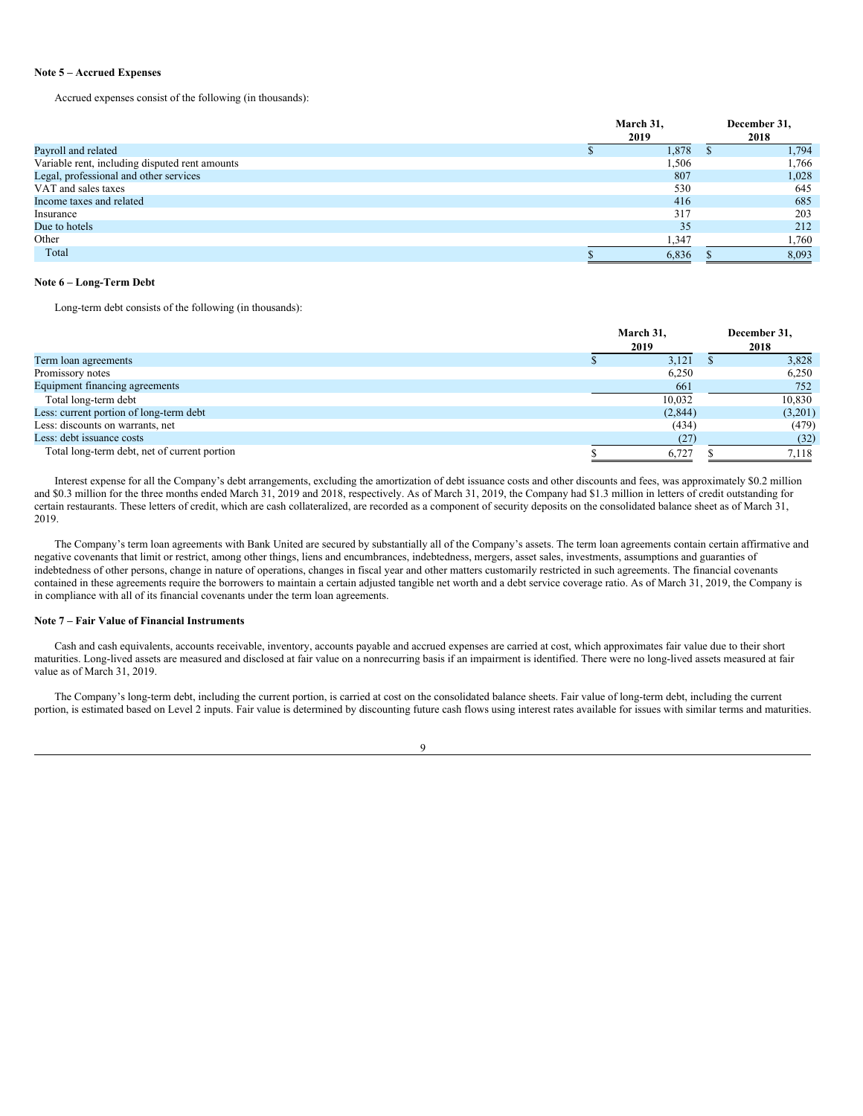### **Note 5 – Accrued Expenses**

Accrued expenses consist of the following (in thousands):

|                                                | March 31,<br>2019 | December 31,<br>2018 |       |
|------------------------------------------------|-------------------|----------------------|-------|
| Payroll and related                            | 1,878             |                      | 1,794 |
| Variable rent, including disputed rent amounts | 1,506             |                      | 1,766 |
| Legal, professional and other services         | 807               |                      | 1,028 |
| VAT and sales taxes                            | 530               |                      | 645   |
| Income taxes and related                       | 416               |                      | 685   |
| Insurance                                      | 317               |                      | 203   |
| Due to hotels                                  | 35                |                      | 212   |
| Other                                          | 1,347             |                      | 1,760 |
| Total                                          | 6,836             |                      | 8,093 |

## **Note 6 – Long-Term Debt**

Long-term debt consists of the following (in thousands):

|                                              | March 31,<br>2019 | December 31,<br>2018 |
|----------------------------------------------|-------------------|----------------------|
| Term loan agreements                         | 3,121             | 3,828                |
| Promissory notes                             | 6,250             | 6,250                |
| Equipment financing agreements               | 661               | 752                  |
| Total long-term debt                         | 10.032            | 10,830               |
| Less: current portion of long-term debt      | (2,844)           | (3,201)              |
| Less: discounts on warrants, net             | (434)             | (479)                |
| Less: debt issuance costs                    | (27)              | (32)                 |
| Total long-term debt, net of current portion | 6,727             | 7,118                |

Interest expense for all the Company's debt arrangements, excluding the amortization of debt issuance costs and other discounts and fees, was approximately \$0.2 million and \$0.3 million for the three months ended March 31, 2019 and 2018, respectively. As of March 31, 2019, the Company had \$1.3 million in letters of credit outstanding for certain restaurants. These letters of credit, which are cash collateralized, are recorded as a component of security deposits on the consolidated balance sheet as of March 31, 2019.

The Company's term loan agreements with Bank United are secured by substantially all of the Company's assets. The term loan agreements contain certain affirmative and negative covenants that limit or restrict, among other things, liens and encumbrances, indebtedness, mergers, asset sales, investments, assumptions and guaranties of indebtedness of other persons, change in nature of operations, changes in fiscal year and other matters customarily restricted in such agreements. The financial covenants contained in these agreements require the borrowers to maintain a certain adjusted tangible net worth and a debt service coverage ratio. As of March 31, 2019, the Company is in compliance with all of its financial covenants under the term loan agreements.

## **Note 7 – Fair Value of Financial Instruments**

Cash and cash equivalents, accounts receivable, inventory, accounts payable and accrued expenses are carried at cost, which approximates fair value due to their short maturities. Long-lived assets are measured and disclosed at fair value on a nonrecurring basis if an impairment is identified. There were no long-lived assets measured at fair value as of March 31, 2019.

The Company's long-term debt, including the current portion, is carried at cost on the consolidated balance sheets. Fair value of long-term debt, including the current portion, is estimated based on Level 2 inputs. Fair value is determined by discounting future cash flows using interest rates available for issues with similar terms and maturities.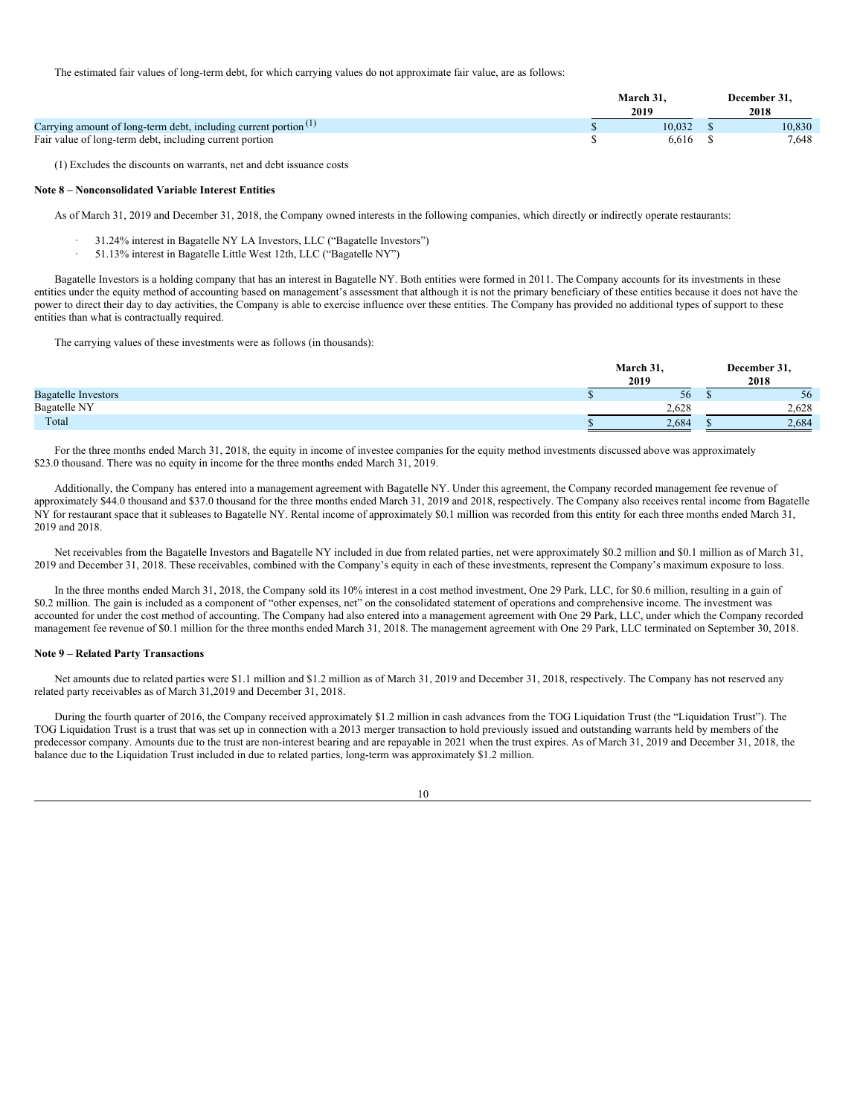The estimated fair values of long-term debt, for which carrying values do not approximate fair value, are as follows:

|                                                                                          | March 31 |        | December 31. |        |  |
|------------------------------------------------------------------------------------------|----------|--------|--------------|--------|--|
|                                                                                          | 2019     |        |              | 2018   |  |
| Carrying amount of long-term debt, including current portion <sup><math>(1)</math></sup> |          | 10.032 |              | 10.830 |  |
| Fair value of long-term debt, including current portion                                  |          | 6.616  |              | 7,648  |  |

(1) Excludes the discounts on warrants, net and debt issuance costs

### **Note 8 – Nonconsolidated Variable Interest Entities**

As of March 31, 2019 and December 31, 2018, the Company owned interests in the following companies, which directly or indirectly operate restaurants:

- · 31.24% interest in Bagatelle NY LA Investors, LLC ("Bagatelle Investors")
- · 51.13% interest in Bagatelle Little West 12th, LLC ("Bagatelle NY")

Bagatelle Investors is a holding company that has an interest in Bagatelle NY. Both entities were formed in 2011. The Company accounts for its investments in these entities under the equity method of accounting based on management's assessment that although it is not the primary beneficiary of these entities because it does not have the power to direct their day to day activities, the Company is able to exercise influence over these entities. The Company has provided no additional types of support to these entities than what is contractually required.

The carrying values of these investments were as follows (in thousands):

|                            | March 31, |  | December 31, |  |  |
|----------------------------|-----------|--|--------------|--|--|
|                            | 2019      |  |              |  |  |
| <b>Bagatelle Investors</b> | 56        |  | 56           |  |  |
| Bagatelle NY               | 2.628     |  | 2,628        |  |  |
| Total                      | 2,684     |  | 2,684        |  |  |

For the three months ended March 31, 2018, the equity in income of investee companies for the equity method investments discussed above was approximately \$23.0 thousand. There was no equity in income for the three months ended March 31, 2019.

Additionally, the Company has entered into a management agreement with Bagatelle NY. Under this agreement, the Company recorded management fee revenue of approximately \$44.0 thousand and \$37.0 thousand for the three months ended March 31, 2019 and 2018, respectively. The Company also receives rental income from Bagatelle NY for restaurant space that it subleases to Bagatelle NY. Rental income of approximately \$0.1 million was recorded from this entity for each three months ended March 31, 2019 and 2018.

Net receivables from the Bagatelle Investors and Bagatelle NY included in due from related parties, net were approximately \$0.2 million and \$0.1 million as of March 31, 2019 and December 31, 2018. These receivables, combined with the Company's equity in each of these investments, represent the Company's maximum exposure to loss.

In the three months ended March 31, 2018, the Company sold its 10% interest in a cost method investment, One 29 Park, LLC, for \$0.6 million, resulting in a gain of \$0.2 million. The gain is included as a component of "other expenses, net" on the consolidated statement of operations and comprehensive income. The investment was accounted for under the cost method of accounting. The Company had also entered into a management agreement with One 29 Park, LLC, under which the Company recorded management fee revenue of \$0.1 million for the three months ended March 31, 2018. The management agreement with One 29 Park, LLC terminated on September 30, 2018.

### **Note 9 – Related Party Transactions**

Net amounts due to related parties were \$1.1 million and \$1.2 million as of March 31, 2019 and December 31, 2018, respectively. The Company has not reserved any related party receivables as of March 31,2019 and December 31, 2018.

During the fourth quarter of 2016, the Company received approximately \$1.2 million in cash advances from the TOG Liquidation Trust (the "Liquidation Trust"). The TOG Liquidation Trust is a trust that was set up in connection with a 2013 merger transaction to hold previously issued and outstanding warrants held by members of the predecessor company. Amounts due to the trust are non-interest bearing and are repayable in 2021 when the trust expires. As of March 31, 2019 and December 31, 2018, the balance due to the Liquidation Trust included in due to related parties, long-term was approximately \$1.2 million.

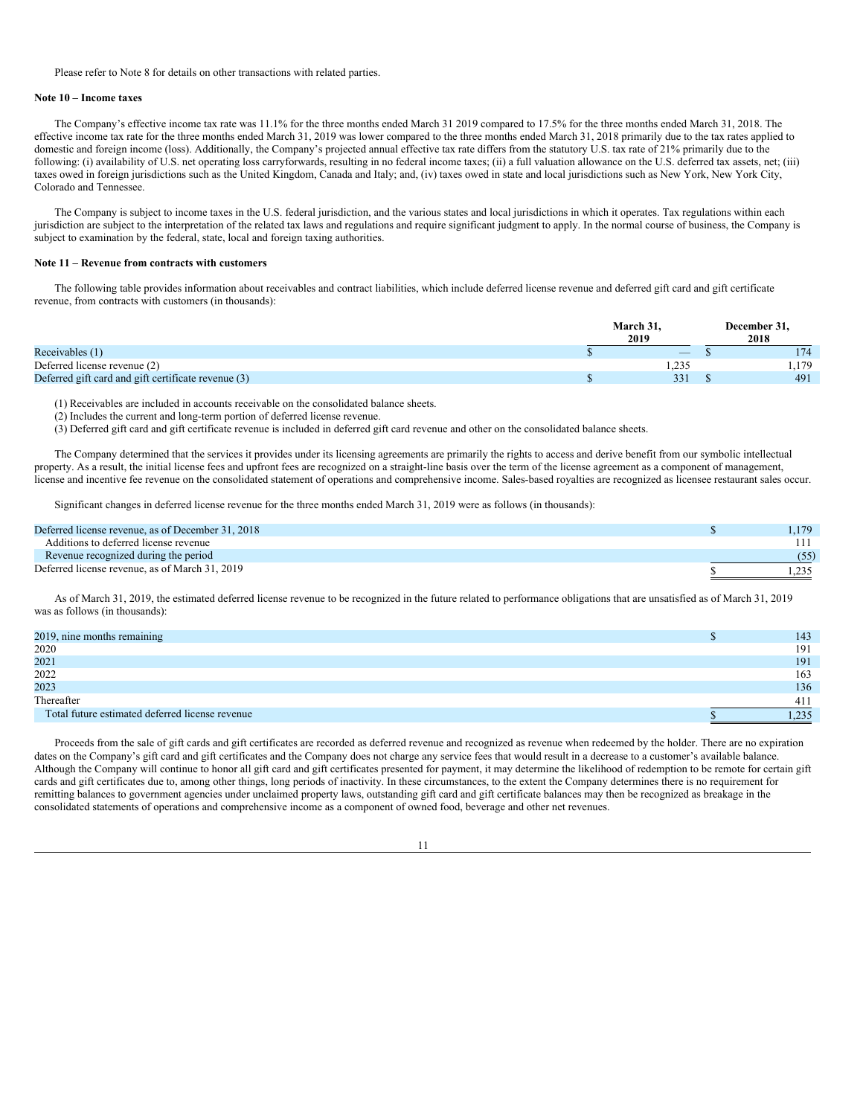Please refer to Note 8 for details on other transactions with related parties.

## **Note 10 – Income taxes**

The Company's effective income tax rate was 11.1% for the three months ended March 31 2019 compared to 17.5% for the three months ended March 31, 2018. The effective income tax rate for the three months ended March 31, 2019 was lower compared to the three months ended March 31, 2018 primarily due to the tax rates applied to domestic and foreign income (loss). Additionally, the Company's projected annual effective tax rate differs from the statutory U.S. tax rate of 21% primarily due to the following: (i) availability of U.S. net operating loss carryforwards, resulting in no federal income taxes; (ii) a full valuation allowance on the U.S. deferred tax assets, net; (iii) taxes owed in foreign jurisdictions such as the United Kingdom, Canada and Italy; and, (iv) taxes owed in state and local jurisdictions such as New York, New York City, Colorado and Tennessee.

The Company is subject to income taxes in the U.S. federal jurisdiction, and the various states and local jurisdictions in which it operates. Tax regulations within each jurisdiction are subject to the interpretation of the related tax laws and regulations and require significant judgment to apply. In the normal course of business, the Company is subject to examination by the federal, state, local and foreign taxing authorities.

## **Note 11 – Revenue from contracts with customers**

The following table provides information about receivables and contract liabilities, which include deferred license revenue and deferred gift card and gift certificate revenue, from contracts with customers (in thousands):

|                                                     |  | March 31.<br>2019        | December 31.<br>2018 |
|-----------------------------------------------------|--|--------------------------|----------------------|
| Receivables (1)                                     |  | $\overline{\phantom{a}}$ | 174                  |
| Deferred license revenue (2)                        |  | .235<br>ر رے ۱           | . 179                |
| Deferred gift card and gift certificate revenue (3) |  | 331                      | 491                  |

(1) Receivables are included in accounts receivable on the consolidated balance sheets.

(2) Includes the current and long-term portion of deferred license revenue.

(3) Deferred gift card and gift certificate revenue is included in deferred gift card revenue and other on the consolidated balance sheets.

The Company determined that the services it provides under its licensing agreements are primarily the rights to access and derive benefit from our symbolic intellectual property. As a result, the initial license fees and upfront fees are recognized on a straight-line basis over the term of the license agreement as a component of management, license and incentive fee revenue on the consolidated statement of operations and comprehensive income. Sales-based royalties are recognized as licensee restaurant sales occur.

Significant changes in deferred license revenue for the three months ended March 31, 2019 were as follows (in thousands):

| Deferred license revenue, as of December 31, 2018 | . 179 |
|---------------------------------------------------|-------|
| Additions to deferred license revenue             |       |
| Revenue recognized during the period              |       |
| Deferred license revenue, as of March 31, 2019    |       |

As of March 31, 2019, the estimated deferred license revenue to be recognized in the future related to performance obligations that are unsatisfied as of March 31, 2019 was as follows (in thousands):

| 2019, nine months remaining                     | 143 |
|-------------------------------------------------|-----|
| 2020                                            | 191 |
| 2021                                            | 191 |
| 2022                                            | 163 |
| 2023                                            | 136 |
| Thereafter                                      | 411 |
| Total future estimated deferred license revenue | 225 |

Proceeds from the sale of gift cards and gift certificates are recorded as deferred revenue and recognized as revenue when redeemed by the holder. There are no expiration dates on the Company's gift card and gift certificates and the Company does not charge any service fees that would result in a decrease to a customer's available balance. Although the Company will continue to honor all gift card and gift certificates presented for payment, it may determine the likelihood of redemption to be remote for certain gift cards and gift certificates due to, among other things, long periods of inactivity. In these circumstances, to the extent the Company determines there is no requirement for remitting balances to government agencies under unclaimed property laws, outstanding gift card and gift certificate balances may then be recognized as breakage in the consolidated statements of operations and comprehensive income as a component of owned food, beverage and other net revenues.

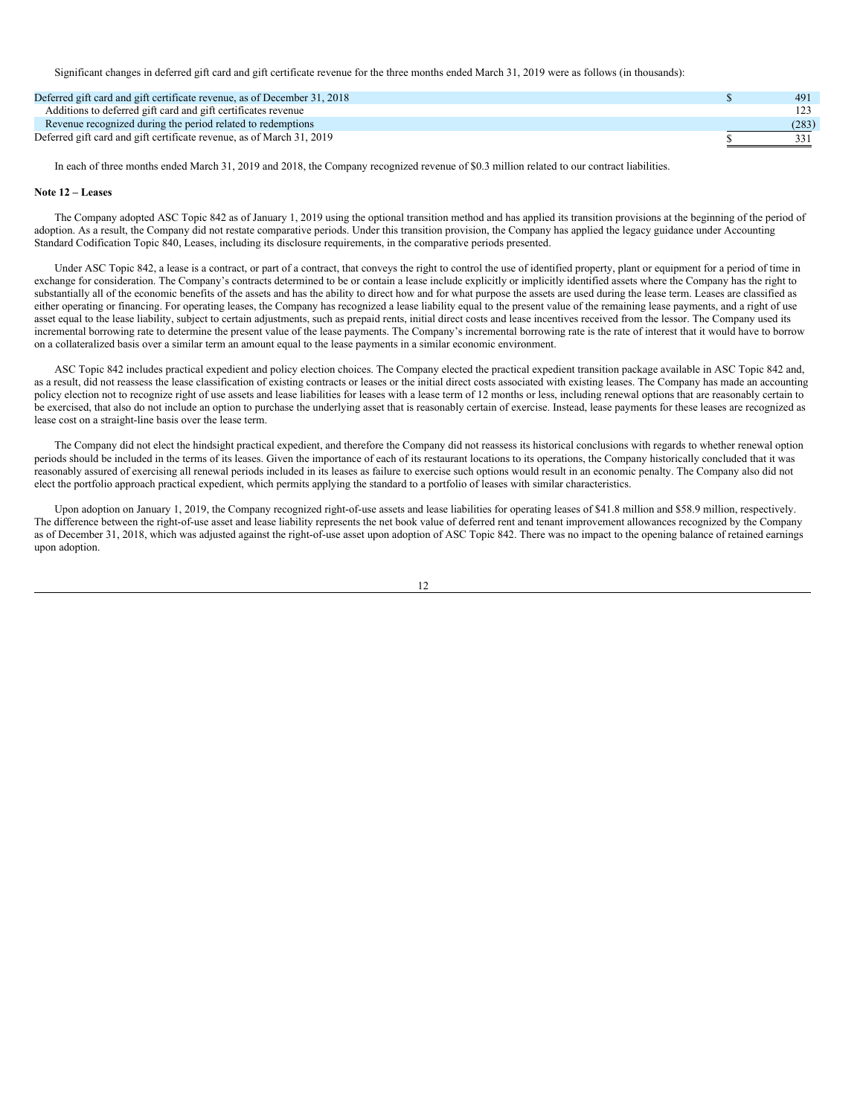Significant changes in deferred gift card and gift certificate revenue for the three months ended March 31, 2019 were as follows (in thousands):

| Deferred gift card and gift certificate revenue, as of December 31, 2018 | 491   |
|--------------------------------------------------------------------------|-------|
| Additions to deferred gift card and gift certificates revenue            |       |
| Revenue recognized during the period related to redemptions              | (283) |
| Deferred gift card and gift certificate revenue, as of March 31, 2019    |       |

In each of three months ended March 31, 2019 and 2018, the Company recognized revenue of \$0.3 million related to our contract liabilities.

## **Note 12 – Leases**

The Company adopted ASC Topic 842 as of January 1, 2019 using the optional transition method and has applied its transition provisions at the beginning of the period of adoption. As a result, the Company did not restate comparative periods. Under this transition provision, the Company has applied the legacy guidance under Accounting Standard Codification Topic 840, Leases, including its disclosure requirements, in the comparative periods presented.

Under ASC Topic 842, a lease is a contract, or part of a contract, that conveys the right to control the use of identified property, plant or equipment for a period of time in exchange for consideration. The Company's contracts determined to be or contain a lease include explicitly or implicitly identified assets where the Company has the right to substantially all of the economic benefits of the assets and has the ability to direct how and for what purpose the assets are used during the lease term. Leases are classified as either operating or financing. For operating leases, the Company has recognized a lease liability equal to the present value of the remaining lease payments, and a right of use asset equal to the lease liability, subject to certain adjustments, such as prepaid rents, initial direct costs and lease incentives received from the lessor. The Company used its incremental borrowing rate to determine the present value of the lease payments. The Company's incremental borrowing rate is the rate of interest that it would have to borrow on a collateralized basis over a similar term an amount equal to the lease payments in a similar economic environment.

ASC Topic 842 includes practical expedient and policy election choices. The Company elected the practical expedient transition package available in ASC Topic 842 and, as a result, did not reassess the lease classification of existing contracts or leases or the initial direct costs associated with existing leases. The Company has made an accounting policy election not to recognize right of use assets and lease liabilities for leases with a lease term of 12 months or less, including renewal options that are reasonably certain to be exercised, that also do not include an option to purchase the underlying asset that is reasonably certain of exercise. Instead, lease payments for these leases are recognized as lease cost on a straight-line basis over the lease term.

The Company did not elect the hindsight practical expedient, and therefore the Company did not reassess its historical conclusions with regards to whether renewal option periods should be included in the terms of its leases. Given the importance of each of its restaurant locations to its operations, the Company historically concluded that it was reasonably assured of exercising all renewal periods included in its leases as failure to exercise such options would result in an economic penalty. The Company also did not elect the portfolio approach practical expedient, which permits applying the standard to a portfolio of leases with similar characteristics.

Upon adoption on January 1, 2019, the Company recognized right-of-use assets and lease liabilities for operating leases of \$41.8 million and \$58.9 million, respectively. The difference between the right-of-use asset and lease liability represents the net book value of deferred rent and tenant improvement allowances recognized by the Company as of December 31, 2018, which was adjusted against the right-of-use asset upon adoption of ASC Topic 842. There was no impact to the opening balance of retained earnings upon adoption.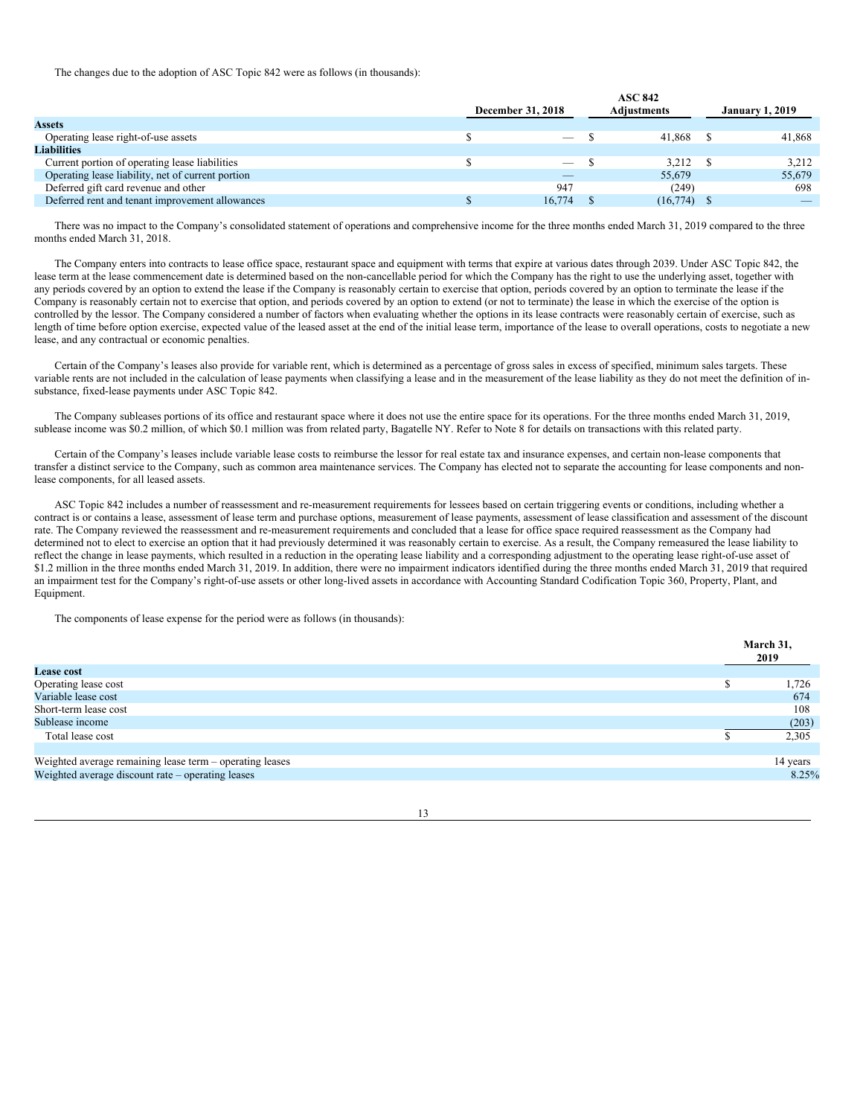The changes due to the adoption of ASC Topic 842 were as follows (in thousands):

|                                                   |  | <b>ASC 842</b>           |  |                    |  |                        |
|---------------------------------------------------|--|--------------------------|--|--------------------|--|------------------------|
|                                                   |  | <b>December 31, 2018</b> |  | <b>Adjustments</b> |  | <b>January 1, 2019</b> |
| <b>Assets</b>                                     |  |                          |  |                    |  |                        |
| Operating lease right-of-use assets               |  |                          |  | 41.868             |  | 41,868                 |
| <b>Liabilities</b>                                |  |                          |  |                    |  |                        |
| Current portion of operating lease liabilities    |  |                          |  | 3.212              |  | 3.212                  |
| Operating lease liability, net of current portion |  |                          |  | 55.679             |  | 55,679                 |
| Deferred gift card revenue and other              |  | 947                      |  | (249)              |  | 698                    |
| Deferred rent and tenant improvement allowances   |  | 16.774                   |  | $(16,774)$ \$      |  |                        |
|                                                   |  |                          |  |                    |  |                        |

There was no impact to the Company's consolidated statement of operations and comprehensive income for the three months ended March 31, 2019 compared to the three months ended March 31, 2018.

The Company enters into contracts to lease office space, restaurant space and equipment with terms that expire at various dates through 2039. Under ASC Topic 842, the lease term at the lease commencement date is determined based on the non-cancellable period for which the Company has the right to use the underlying asset, together with any periods covered by an option to extend the lease if the Company is reasonably certain to exercise that option, periods covered by an option to terminate the lease if the Company is reasonably certain not to exercise that option, and periods covered by an option to extend (or not to terminate) the lease in which the exercise of the option is controlled by the lessor. The Company considered a number of factors when evaluating whether the options in its lease contracts were reasonably certain of exercise, such as length of time before option exercise, expected value of the leased asset at the end of the initial lease term, importance of the lease to overall operations, costs to negotiate a new lease, and any contractual or economic penalties.

Certain of the Company's leases also provide for variable rent, which is determined as a percentage of gross sales in excess of specified, minimum sales targets. These variable rents are not included in the calculation of lease payments when classifying a lease and in the measurement of the lease liability as they do not meet the definition of insubstance, fixed-lease payments under ASC Topic 842.

The Company subleases portions of its office and restaurant space where it does not use the entire space for its operations. For the three months ended March 31, 2019, sublease income was \$0.2 million, of which \$0.1 million was from related party, Bagatelle NY. Refer to Note 8 for details on transactions with this related party.

Certain of the Company's leases include variable lease costs to reimburse the lessor for real estate tax and insurance expenses, and certain non-lease components that transfer a distinct service to the Company, such as common area maintenance services. The Company has elected not to separate the accounting for lease components and nonlease components, for all leased assets.

ASC Topic 842 includes a number of reassessment and re-measurement requirements for lessees based on certain triggering events or conditions, including whether a contract is or contains a lease, assessment of lease term and purchase options, measurement of lease payments, assessment of lease classification and assessment of the discount rate. The Company reviewed the reassessment and re-measurement requirements and concluded that a lease for office space required reassessment as the Company had determined not to elect to exercise an option that it had previously determined it was reasonably certain to exercise. As a result, the Company remeasured the lease liability to reflect the change in lease payments, which resulted in a reduction in the operating lease liability and a corresponding adjustment to the operating lease right-of-use asset of \$1.2 million in the three months ended March 31, 2019. In addition, there were no impairment indicators identified during the three months ended March 31, 2019 that required an impairment test for the Company's right-of-use assets or other long-lived assets in accordance with Accounting Standard Codification Topic 360, Property, Plant, and Equipment.

The components of lease expense for the period were as follows (in thousands):

|                                                          | March 31,<br>2019 |  |
|----------------------------------------------------------|-------------------|--|
| <b>Lease cost</b>                                        |                   |  |
| Operating lease cost                                     | 1,726             |  |
| Variable lease cost                                      | 674               |  |
| Short-term lease cost                                    | 108               |  |
| Sublease income                                          | (203)             |  |
| Total lease cost                                         | 2,305             |  |
| Weighted average remaining lease term - operating leases | 14 years          |  |
| Weighted average discount rate – operating leases        | 8.25%             |  |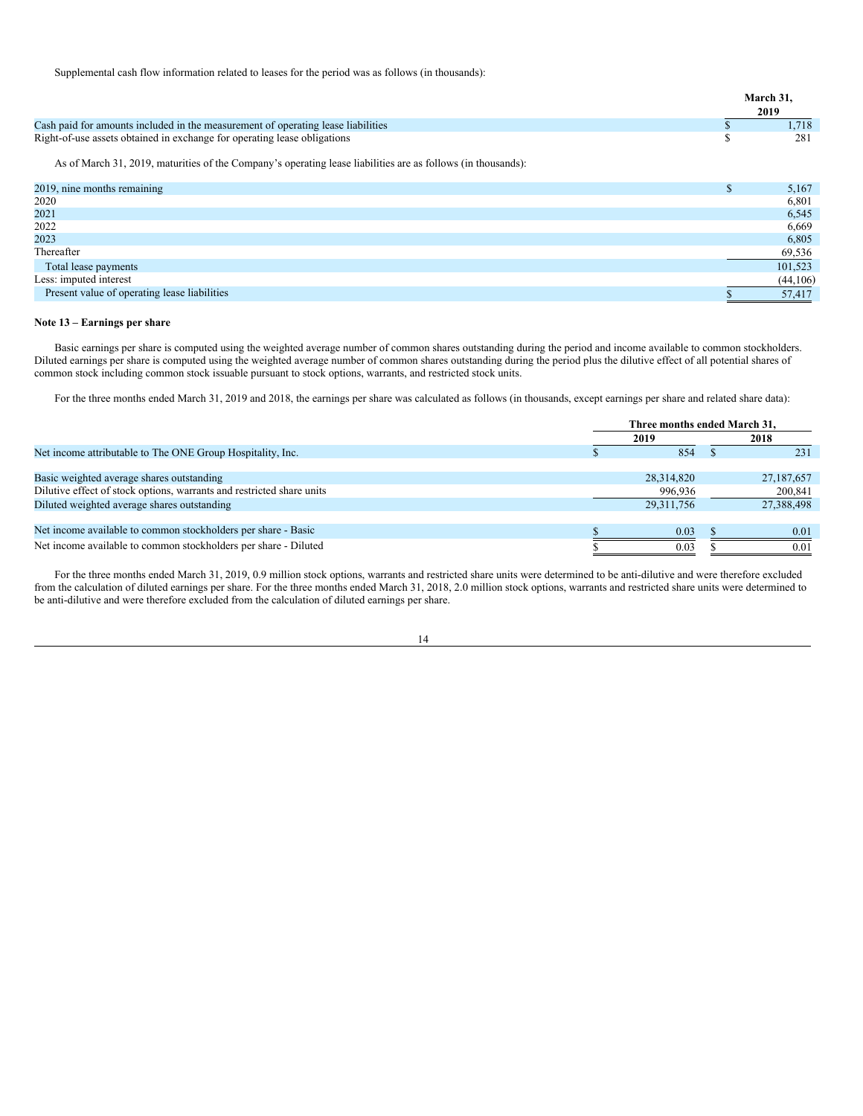Supplemental cash flow information related to leases for the period was as follows (in thousands):

|                                                                                  | March 31.<br>2019 |
|----------------------------------------------------------------------------------|-------------------|
| Cash paid for amounts included in the measurement of operating lease liabilities |                   |
| Right-of-use assets obtained in exchange for operating lease obligations         |                   |

As of March 31, 2019, maturities of the Company's operating lease liabilities are as follows (in thousands):

| 2019, nine months remaining                  | 5,167     |
|----------------------------------------------|-----------|
| 2020                                         | 6,801     |
| 2021                                         | 6,545     |
| 2022                                         | 6,669     |
| 2023                                         | 6,805     |
| Thereafter                                   | 69,536    |
| Total lease payments                         | 101,523   |
| Less: imputed interest                       | (44, 106) |
| Present value of operating lease liabilities | 57.417    |
|                                              |           |

### **Note 13 – Earnings per share**

Basic earnings per share is computed using the weighted average number of common shares outstanding during the period and income available to common stockholders. Diluted earnings per share is computed using the weighted average number of common shares outstanding during the period plus the dilutive effect of all potential shares of common stock including common stock issuable pursuant to stock options, warrants, and restricted stock units.

For the three months ended March 31, 2019 and 2018, the earnings per share was calculated as follows (in thousands, except earnings per share and related share data):

|                                                                       | Three months ended March 31. |              |  |            |
|-----------------------------------------------------------------------|------------------------------|--------------|--|------------|
|                                                                       |                              | 2019         |  | 2018       |
| Net income attributable to The ONE Group Hospitality, Inc.            |                              | 854          |  | 231        |
|                                                                       |                              |              |  |            |
| Basic weighted average shares outstanding                             |                              | 28,314,820   |  | 27,187,657 |
| Dilutive effect of stock options, warrants and restricted share units |                              | 996,936      |  | 200,841    |
| Diluted weighted average shares outstanding                           |                              | 29, 311, 756 |  | 27,388,498 |
|                                                                       |                              |              |  |            |
| Net income available to common stockholders per share - Basic         |                              | 0.03         |  | 0.01       |
| Net income available to common stockholders per share - Diluted       |                              | 0.03         |  | 0.01       |

For the three months ended March 31, 2019, 0.9 million stock options, warrants and restricted share units were determined to be anti-dilutive and were therefore excluded from the calculation of diluted earnings per share. For the three months ended March 31, 2018, 2.0 million stock options, warrants and restricted share units were determined to be anti-dilutive and were therefore excluded from the calculation of diluted earnings per share.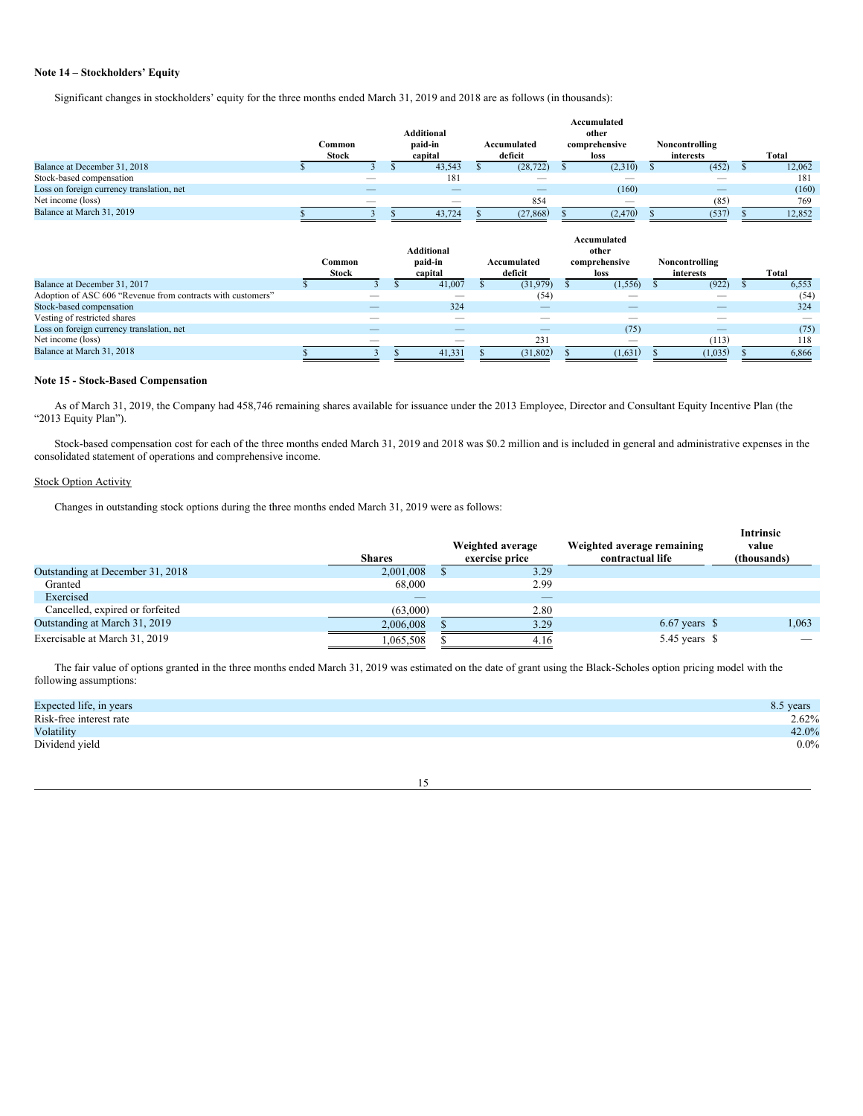## **Note 14 – Stockholders' Equity**

Significant changes in stockholders' equity for the three months ended March 31, 2019 and 2018 are as follows (in thousands):

|                                           |        |  |                   |                          |  | Accumulated   |  |                |  |        |  |
|-------------------------------------------|--------|--|-------------------|--------------------------|--|---------------|--|----------------|--|--------|--|
|                                           |        |  | <b>Additional</b> |                          |  | other         |  |                |  |        |  |
|                                           | Common |  | paid-in           | Accumulated              |  | comprehensive |  | Noncontrolling |  |        |  |
|                                           | Stock  |  | capital           | deficit                  |  | loss          |  | interests      |  | Total  |  |
| Balance at December 31, 2018              |        |  | 43.543            | (28, 722)                |  | (2,310)       |  | (452)          |  | 12,062 |  |
| Stock-based compensation                  |        |  | 181               | $\overline{\phantom{a}}$ |  |               |  |                |  | 181    |  |
| Loss on foreign currency translation, net |        |  |                   |                          |  | (160)         |  |                |  | (160)  |  |
| Net income (loss)                         |        |  | __                | 854                      |  |               |  | (85)           |  | 769    |  |
| Balance at March 31, 2019                 |        |  | 43,724            | (27, 868)                |  | (2,470)       |  | (537)          |  | 12,852 |  |

|                                                             |                          |                          |                          | Accumulated              |                          |       |
|-------------------------------------------------------------|--------------------------|--------------------------|--------------------------|--------------------------|--------------------------|-------|
|                                                             |                          | Additional               |                          | other                    |                          |       |
|                                                             | Common                   | paid-in                  | Accumulated              | comprehensive            | Noncontrolling           |       |
|                                                             | <b>Stock</b>             | capital                  | deficit                  | loss                     | interests                | Total |
| Balance at December 31, 2017                                |                          | 41,007                   | (31,979)                 | (1, 556)                 | (922)                    | 6,553 |
| Adoption of ASC 606 "Revenue from contracts with customers" |                          | __                       | (54)                     |                          |                          | (54)  |
| Stock-based compensation                                    | __                       | 324                      | $\overline{\phantom{a}}$ |                          |                          | 324   |
| Vesting of restricted shares                                | __                       |                          |                          |                          |                          |       |
| Loss on foreign currency translation, net                   |                          |                          |                          | (75)                     | $\overline{\phantom{a}}$ | (75)  |
| Net income (loss)                                           | $\overline{\phantom{a}}$ | $\overline{\phantom{m}}$ | 231                      | $\overline{\phantom{a}}$ | (113)                    | 118   |
| Balance at March 31, 2018                                   |                          | 41.331                   | (31,802)                 | (1,631)                  | (1,035)                  | 6,866 |

## **Note 15 - Stock-Based Compensation**

As of March 31, 2019, the Company had 458,746 remaining shares available for issuance under the 2013 Employee, Director and Consultant Equity Incentive Plan (the "2013 Equity Plan").

Stock-based compensation cost for each of the three months ended March 31, 2019 and 2018 was \$0.2 million and is included in general and administrative expenses in the consolidated statement of operations and comprehensive income.

## Stock Option Activity

Changes in outstanding stock options during the three months ended March 31, 2019 were as follows:

|                                  | <b>Shares</b> | Weighted average<br>exercise price | Weighted average remaining<br>contractual life | <b>Intrinsic</b><br>value<br>(thousands) |
|----------------------------------|---------------|------------------------------------|------------------------------------------------|------------------------------------------|
| Outstanding at December 31, 2018 | 2,001,008     | 3.29                               |                                                |                                          |
| Granted                          | 68,000        | 2.99                               |                                                |                                          |
| Exercised                        |               |                                    |                                                |                                          |
| Cancelled, expired or forfeited  | (63,000)      | 2.80                               |                                                |                                          |
| Outstanding at March 31, 2019    | 2,006,008     | 3.29                               | $6.67$ years $\$\$                             | 1,063                                    |
| Exercisable at March 31, 2019    | 1,065,508     | 4.16                               | 5.45 years $$$                                 |                                          |

The fair value of options granted in the three months ended March 31, 2019 was estimated on the date of grant using the Black-Scholes option pricing model with the following assumptions:

| Expected life, in years | 8.5 years |
|-------------------------|-----------|
| Risk-free interest rate | $2.62\%$  |
| Volatility              | 42.0%     |
| Dividend yield          | $0.0\%$   |

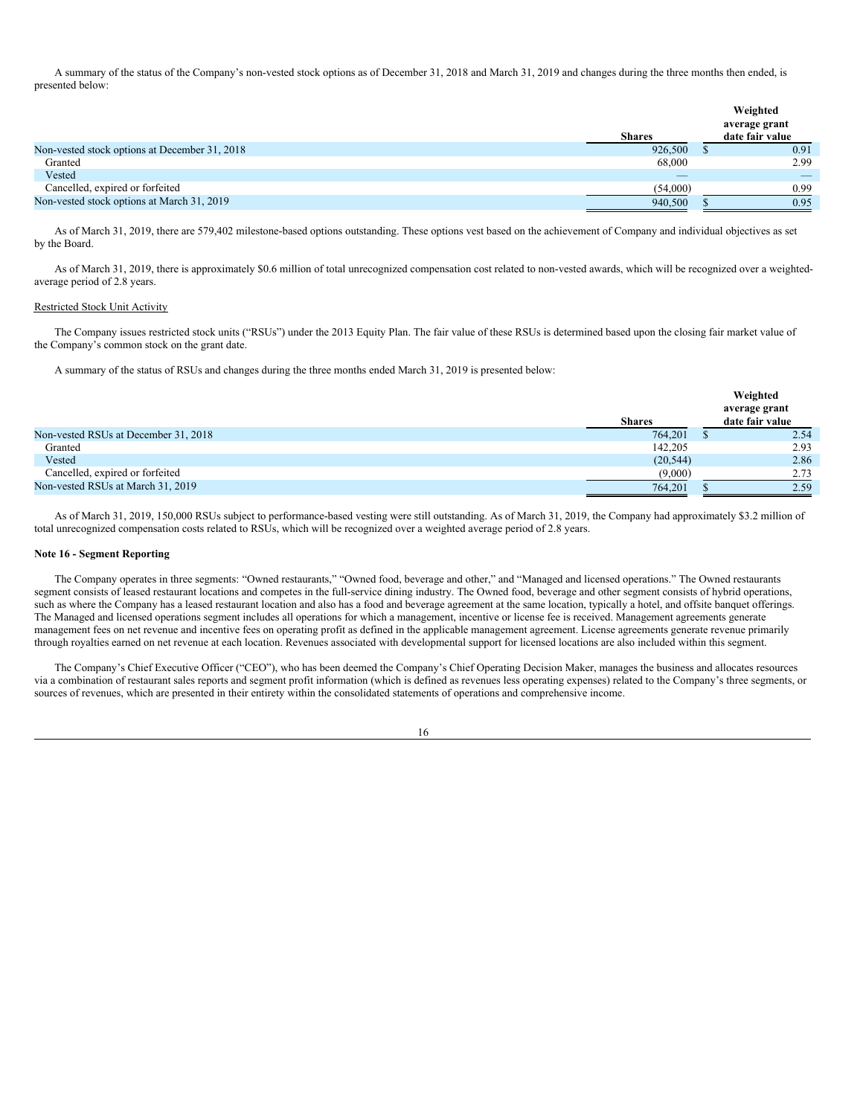A summary of the status of the Company's non-vested stock options as of December 31, 2018 and March 31, 2019 and changes during the three months then ended, is presented below:

|                                               |               | Weighted<br>average grant |
|-----------------------------------------------|---------------|---------------------------|
|                                               | <b>Shares</b> | date fair value           |
| Non-vested stock options at December 31, 2018 | 926,500       | 0.91                      |
| Granted                                       | 68,000        | 2.99                      |
| Vested                                        |               |                           |
| Cancelled, expired or forfeited               | (54,000)      | 0.99                      |
| Non-vested stock options at March 31, 2019    | 940,500       | 0.95                      |

As of March 31, 2019, there are 579,402 milestone-based options outstanding. These options vest based on the achievement of Company and individual objectives as set by the Board.

As of March 31, 2019, there is approximately \$0.6 million of total unrecognized compensation cost related to non-vested awards, which will be recognized over a weightedaverage period of 2.8 years.

### Restricted Stock Unit Activity

The Company issues restricted stock units ("RSUs") under the 2013 Equity Plan. The fair value of these RSUs is determined based upon the closing fair market value of the Company's common stock on the grant date.

A summary of the status of RSUs and changes during the three months ended March 31, 2019 is presented below:

|                                      | <b>Shares</b> | Weighted<br>average grant<br>date fair value |
|--------------------------------------|---------------|----------------------------------------------|
| Non-vested RSUs at December 31, 2018 | 764,201       | 2.54                                         |
| Granted                              | 142,205       | 2.93                                         |
| Vested                               | (20, 544)     | 2.86                                         |
| Cancelled, expired or forfeited      | (9,000)       | 2.73                                         |
| Non-vested RSUs at March 31, 2019    | 764,201       | 2.59                                         |

As of March 31, 2019, 150,000 RSUs subject to performance-based vesting were still outstanding. As of March 31, 2019, the Company had approximately \$3.2 million of total unrecognized compensation costs related to RSUs, which will be recognized over a weighted average period of 2.8 years.

#### **Note 16 - Segment Reporting**

The Company operates in three segments: "Owned restaurants," "Owned food, beverage and other," and "Managed and licensed operations." The Owned restaurants segment consists of leased restaurant locations and competes in the full-service dining industry. The Owned food, beverage and other segment consists of hybrid operations, such as where the Company has a leased restaurant location and also has a food and beverage agreement at the same location, typically a hotel, and offsite banquet offerings. The Managed and licensed operations segment includes all operations for which a management, incentive or license fee is received. Management agreements generate management fees on net revenue and incentive fees on operating profit as defined in the applicable management agreement. License agreements generate revenue primarily through royalties earned on net revenue at each location. Revenues associated with developmental support for licensed locations are also included within this segment.

The Company's Chief Executive Officer ("CEO"), who has been deemed the Company's Chief Operating Decision Maker, manages the business and allocates resources via a combination of restaurant sales reports and segment profit information (which is defined as revenues less operating expenses) related to the Company's three segments, or sources of revenues, which are presented in their entirety within the consolidated statements of operations and comprehensive income.

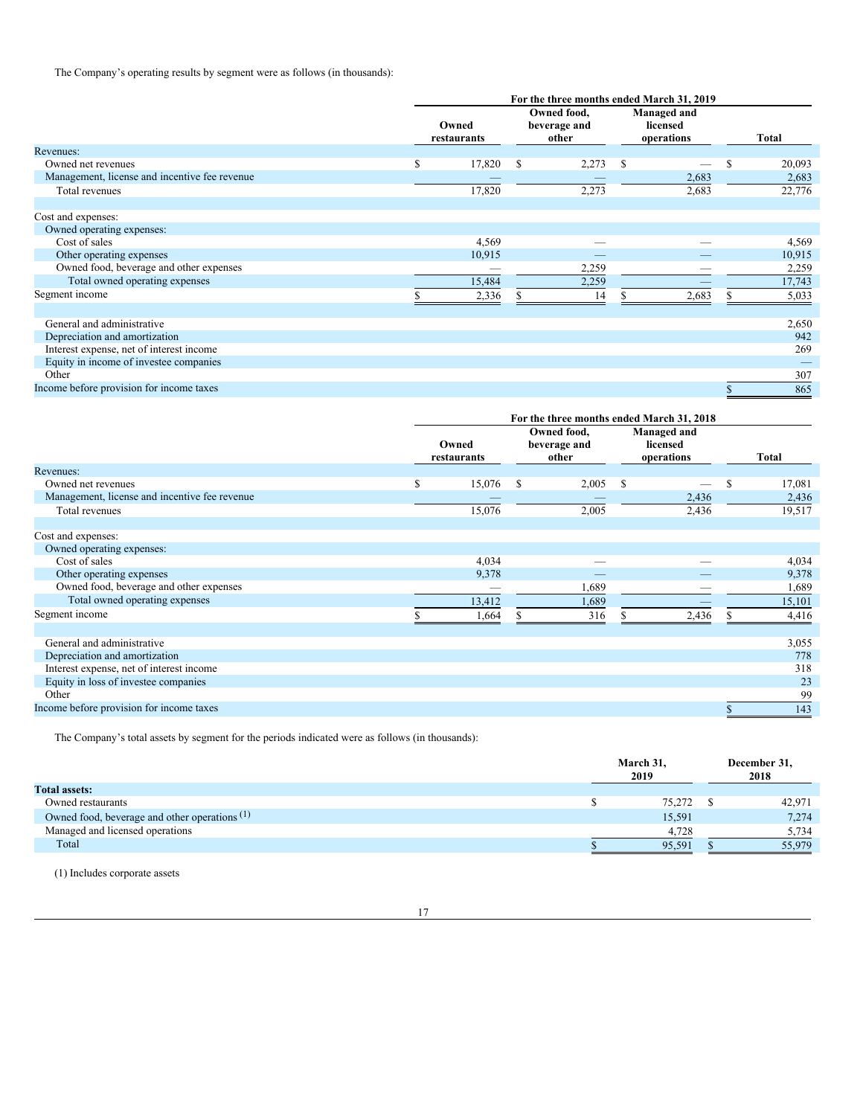The Company's operating results by segment were as follows (in thousands):

|                                               | For the three months ended March 31, 2019 |                      |               |                                      |   |                                       |    |              |
|-----------------------------------------------|-------------------------------------------|----------------------|---------------|--------------------------------------|---|---------------------------------------|----|--------------|
|                                               |                                           | Owned<br>restaurants |               | Owned food,<br>beverage and<br>other |   | Managed and<br>licensed<br>operations |    | <b>Total</b> |
| Revenues:                                     |                                           |                      |               |                                      |   |                                       |    |              |
| Owned net revenues                            | \$                                        | 17,820               | <sup>\$</sup> | 2,273                                | S |                                       | S  | 20,093       |
| Management, license and incentive fee revenue |                                           |                      |               |                                      |   | 2,683                                 |    | 2,683        |
| Total revenues                                |                                           | 17,820               |               | 2,273                                |   | 2,683                                 |    | 22,776       |
| Cost and expenses:                            |                                           |                      |               |                                      |   |                                       |    |              |
| Owned operating expenses:                     |                                           |                      |               |                                      |   |                                       |    |              |
| Cost of sales                                 |                                           | 4,569                |               |                                      |   |                                       |    | 4,569        |
| Other operating expenses                      |                                           | 10,915               |               |                                      |   |                                       |    | 10,915       |
| Owned food, beverage and other expenses       |                                           |                      |               | 2,259                                |   |                                       |    | 2,259        |
| Total owned operating expenses                |                                           | 15,484               |               | 2,259                                |   |                                       |    | 17,743       |
| Segment income                                |                                           | 2,336                |               | 14                                   |   | 2,683                                 |    | 5,033        |
|                                               |                                           |                      |               |                                      |   |                                       |    |              |
| General and administrative                    |                                           |                      |               |                                      |   |                                       |    | 2,650        |
| Depreciation and amortization                 |                                           |                      |               |                                      |   |                                       |    | 942          |
| Interest expense, net of interest income      |                                           |                      |               |                                      |   |                                       |    | 269          |
| Equity in income of investee companies        |                                           |                      |               |                                      |   |                                       |    |              |
| Other                                         |                                           |                      |               |                                      |   |                                       |    | 307          |
| Income before provision for income taxes      |                                           |                      |               |                                      |   |                                       | \$ | 865          |

|                                               | For the three months ended March 31, 2018 |                      |                                      |   |                                       |   |        |
|-----------------------------------------------|-------------------------------------------|----------------------|--------------------------------------|---|---------------------------------------|---|--------|
|                                               |                                           | Owned<br>restaurants | Owned food,<br>beverage and<br>other |   | Managed and<br>licensed<br>operations |   | Total  |
| Revenues:                                     |                                           |                      |                                      |   |                                       |   |        |
| Owned net revenues                            | S                                         | 15,076               | 2,005<br>-S                          | S |                                       | S | 17,081 |
| Management, license and incentive fee revenue |                                           |                      |                                      |   | 2,436                                 |   | 2,436  |
| Total revenues                                |                                           | 15,076               | 2,005                                |   | 2,436                                 |   | 19,517 |
|                                               |                                           |                      |                                      |   |                                       |   |        |
| Cost and expenses:                            |                                           |                      |                                      |   |                                       |   |        |
| Owned operating expenses:                     |                                           |                      |                                      |   |                                       |   |        |
| Cost of sales                                 |                                           | 4,034                |                                      |   |                                       |   | 4,034  |
| Other operating expenses                      |                                           | 9,378                |                                      |   |                                       |   | 9,378  |
| Owned food, beverage and other expenses       |                                           |                      | 1,689                                |   |                                       |   | 1,689  |
| Total owned operating expenses                |                                           | 13,412               | 1,689                                |   |                                       |   | 15,101 |
| Segment income                                |                                           | 1,664                | 316                                  |   | 2,436                                 |   | 4,416  |
|                                               |                                           |                      |                                      |   |                                       |   |        |
| General and administrative                    |                                           |                      |                                      |   |                                       |   | 3,055  |
| Depreciation and amortization                 |                                           |                      |                                      |   |                                       |   | 778    |
| Interest expense, net of interest income      |                                           |                      |                                      |   |                                       |   | 318    |
| Equity in loss of investee companies          |                                           |                      |                                      |   |                                       |   | 23     |
| Other                                         |                                           |                      |                                      |   |                                       |   | 99     |
| Income before provision for income taxes      |                                           |                      |                                      |   |                                       | S | 143    |

The Company's total assets by segment for the periods indicated were as follows (in thousands):

|                                                          | March 31,<br>2019 | December 31,<br>2018 |
|----------------------------------------------------------|-------------------|----------------------|
| <b>Total assets:</b>                                     |                   |                      |
| Owned restaurants                                        | 75,272            | 42,971               |
| Owned food, beverage and other operations <sup>(1)</sup> | 15,591            | 7,274                |
| Managed and licensed operations                          | 4.728             | 5,734                |
| Total                                                    | 95.591            | 55,979               |

(1) Includes corporate assets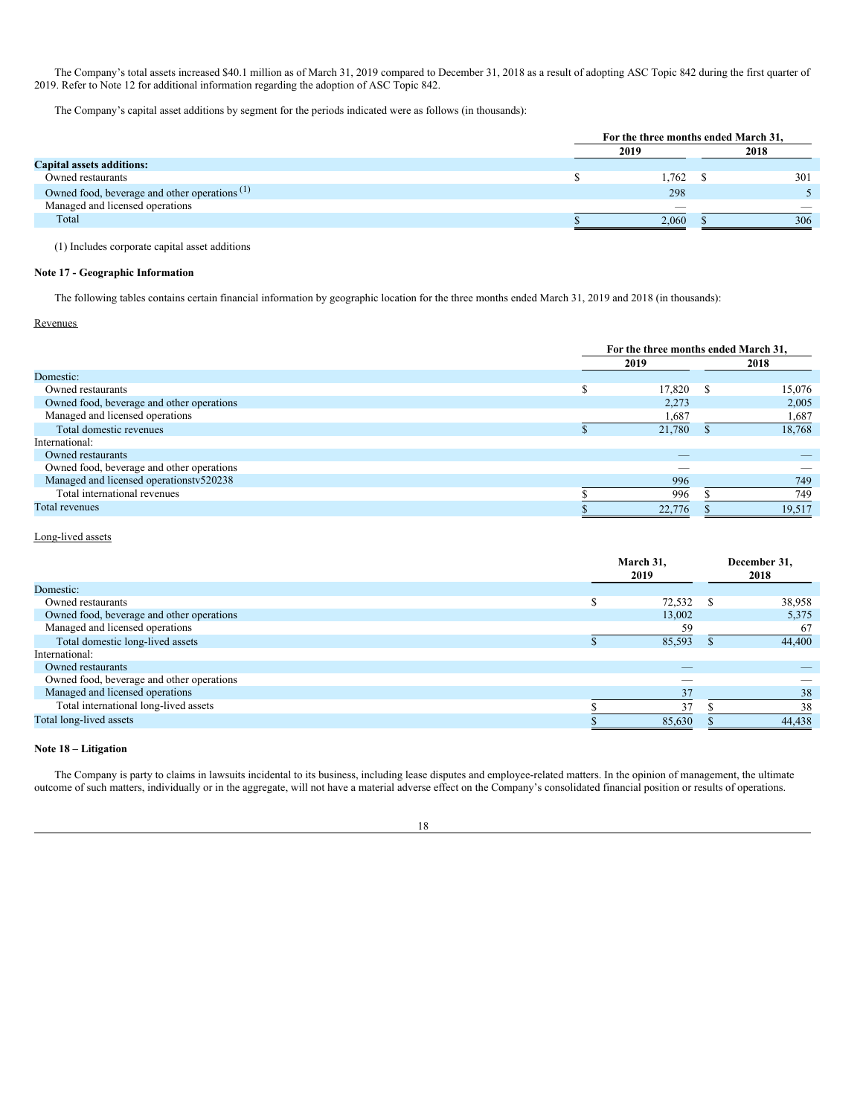The Company's total assets increased \$40.1 million as of March 31, 2019 compared to December 31, 2018 as a result of adopting ASC Topic 842 during the first quarter of 2019. Refer to Note 12 for additional information regarding the adoption of ASC Topic 842.

The Company's capital asset additions by segment for the periods indicated were as follows (in thousands):

|                                                          |      | For the three months ended March 31, |  |      |  |
|----------------------------------------------------------|------|--------------------------------------|--|------|--|
|                                                          | 2019 |                                      |  | 2018 |  |
| <b>Capital assets additions:</b>                         |      |                                      |  |      |  |
| Owned restaurants                                        |      | .762                                 |  | 301  |  |
| Owned food, beverage and other operations <sup>(1)</sup> |      | 298                                  |  |      |  |
| Managed and licensed operations                          |      |                                      |  |      |  |
| Total                                                    |      | 2.060                                |  | 306  |  |

(1) Includes corporate capital asset additions

## **Note 17 - Geographic Information**

The following tables contains certain financial information by geographic location for the three months ended March 31, 2019 and 2018 (in thousands):

## Revenues

|                                           | For the three months ended March 31, |     |        |  |
|-------------------------------------------|--------------------------------------|-----|--------|--|
|                                           | 2019                                 |     | 2018   |  |
| Domestic:                                 |                                      |     |        |  |
| Owned restaurants                         | 17.820                               | \$. | 15,076 |  |
| Owned food, beverage and other operations | 2,273                                |     | 2,005  |  |
| Managed and licensed operations           | 1,687                                |     | 1,687  |  |
| Total domestic revenues                   | 21,780                               |     | 18,768 |  |
| International:                            |                                      |     |        |  |
| Owned restaurants                         | __                                   |     |        |  |
| Owned food, beverage and other operations |                                      |     |        |  |
| Managed and licensed operationstv520238   | 996                                  |     | 749    |  |
| Total international revenues              | 996                                  |     | 749    |  |
| Total revenues                            | 22,776                               |     | 19,517 |  |

# Long-lived assets

|                                           | March 31, |  | December 31. |
|-------------------------------------------|-----------|--|--------------|
|                                           | 2019      |  | 2018         |
| Domestic:                                 |           |  |              |
| Owned restaurants                         | 72,532    |  | 38,958       |
| Owned food, beverage and other operations | 13,002    |  | 5,375        |
| Managed and licensed operations           | 59        |  | 67           |
| Total domestic long-lived assets          | 85,593    |  | 44,400       |
| International:                            |           |  |              |
| Owned restaurants                         | _         |  |              |
| Owned food, beverage and other operations |           |  |              |
| Managed and licensed operations           | 37        |  | 38           |
| Total international long-lived assets     | 37        |  | 38           |
| Total long-lived assets                   | 85,630    |  | 44,438       |
|                                           |           |  |              |

## **Note 18 – Litigation**

The Company is party to claims in lawsuits incidental to its business, including lease disputes and employee-related matters. In the opinion of management, the ultimate outcome of such matters, individually or in the aggregate, will not have a material adverse effect on the Company's consolidated financial position or results of operations.

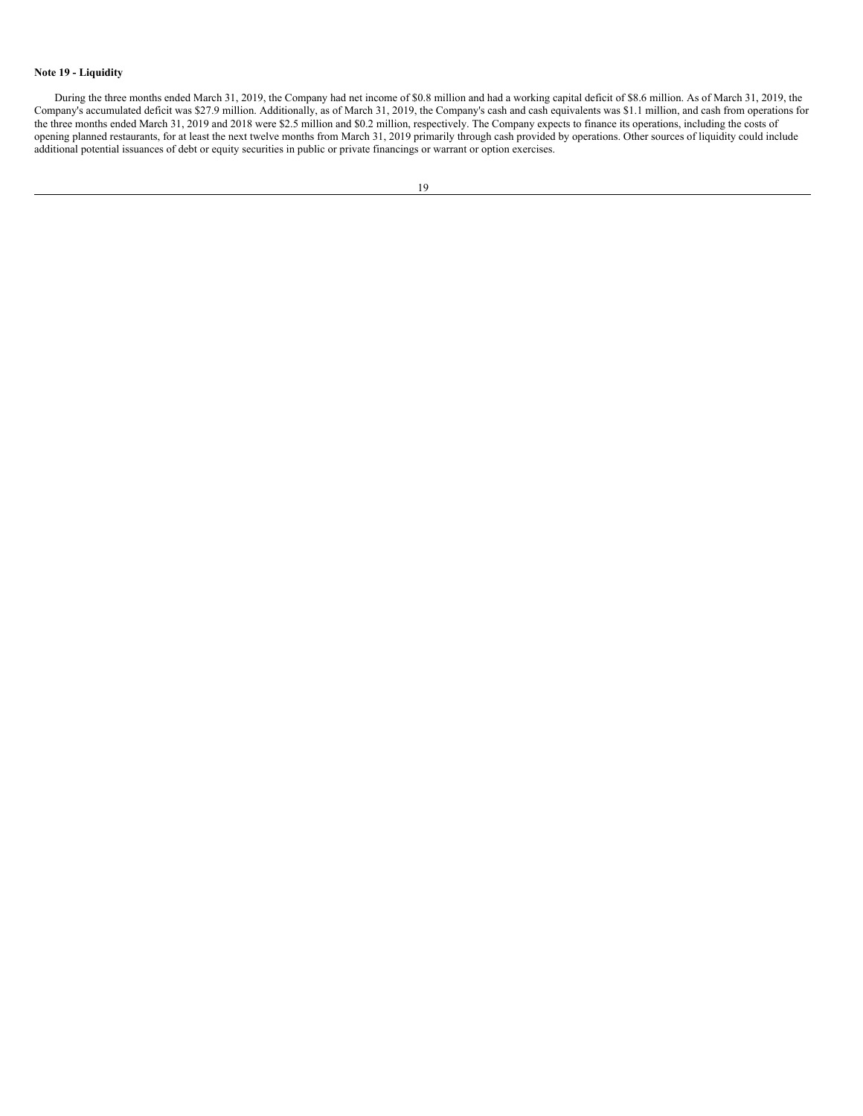## **Note 19 - Liquidity**

During the three months ended March 31, 2019, the Company had net income of \$0.8 million and had a working capital deficit of \$8.6 million. As of March 31, 2019, the Company's accumulated deficit was \$27.9 million. Additionally, as of March 31, 2019, the Company's cash and cash equivalents was \$1.1 million, and cash from operations for the three months ended March 31, 2019 and 2018 were \$2.5 million and \$0.2 million, respectively. The Company expects to finance its operations, including the costs of opening planned restaurants, for at least the next twelve months from March 31, 2019 primarily through cash provided by operations. Other sources of liquidity could include additional potential issuances of debt or equity securities in public or private financings or warrant or option exercises.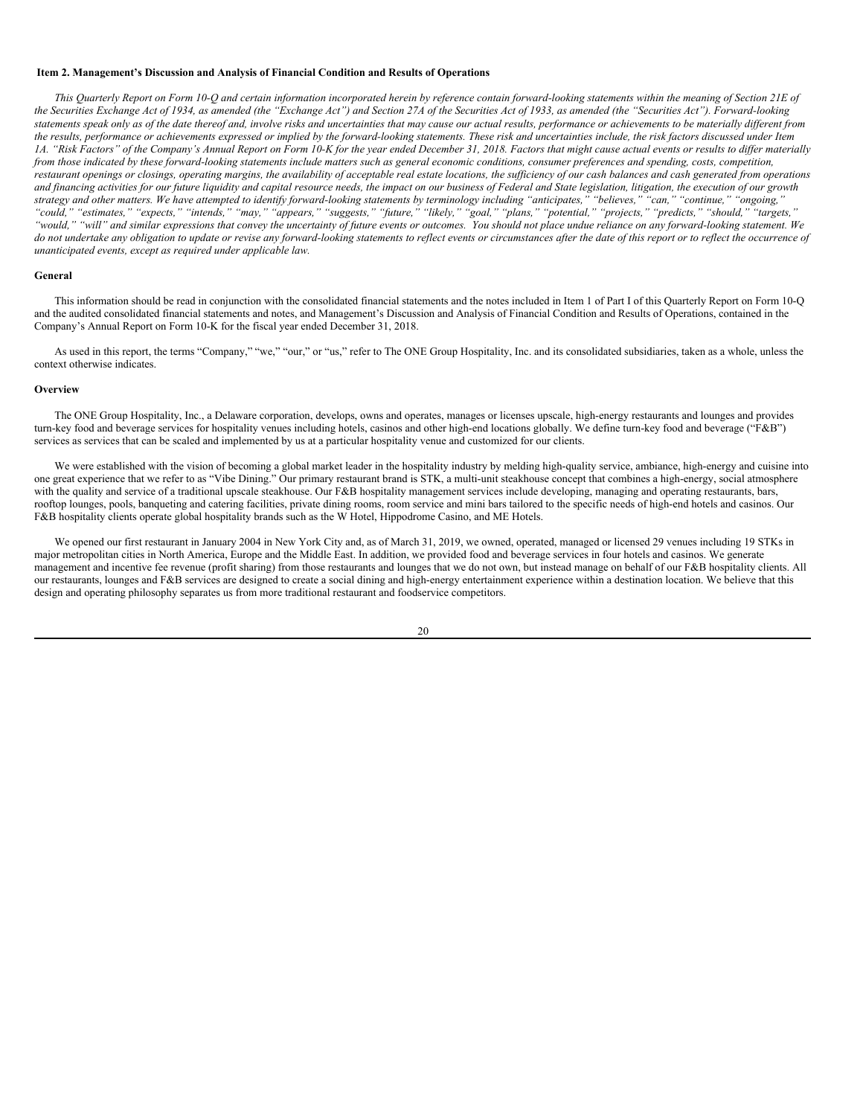#### <span id="page-19-0"></span>**Item 2. Management's Discussion and Analysis of Financial Condition and Results of Operations**

This Ouarterly Report on Form 10-O and certain information incorporated herein by reference contain forward-looking statements within the meaning of Section 21E of the Securities Exchange Act of 1934, as amended (the "Exchange Act") and Section 27A of the Securities Act of 1933, as amended (the "Securities Act"). Forward-looking statements speak only as of the date thereof and, involve risks and uncertainties that may cause our actual results, performance or achievements to be materially different from the results, performance or achievements expressed or implied by the forward-looking statements. These risk and uncertainties include, the risk factors discussed under Item 1A. "Risk Factors" of the Company's Annual Report on Form 10-K for the year ended December 31, 2018. Factors that might cause actual events or results to differ materially from those indicated by these forward-looking statements include matters such as general economic conditions, consumer preferences and spending, costs, competition, restaurant openings or closings, operating margins, the availability of acceptable real estate locations, the sufficiency of our cash balances and cash generated from operations and financing activities for our future liquidity and capital resource needs, the impact on our business of Federal and State legislation, litigation, the execution of our growth strategy and other matters. We have attempted to identify forward-looking statements by terminology including "anticipates," "believes," "can," "continue," "ongoing," "could," "estimates," "expects," "intends," "may," "appears," "suggests," "future," "likely," "goal," "plans," "potential," "projects," "predicts," "should," "targets," "argets," "argets," "argets," "argets," "future," sho "would," "will" and similar expressions that convey the uncertainty of future events or outcomes. You should not place undue reliance on any forward-looking statement. We do not undertake any obligation to update or revise any forward-looking statements to reflect events or circumstances after the date of this report or to reflect the occurrence of *unanticipated events, except as required under applicable law.*

#### **General**

This information should be read in conjunction with the consolidated financial statements and the notes included in Item 1 of Part I of this Quarterly Report on Form 10-Q and the audited consolidated financial statements and notes, and Management's Discussion and Analysis of Financial Condition and Results of Operations, contained in the Company's Annual Report on Form 10-K for the fiscal year ended December 31, 2018.

As used in this report, the terms "Company," "we," "our," or "us," refer to The ONE Group Hospitality, Inc. and its consolidated subsidiaries, taken as a whole, unless the context otherwise indicates.

#### **Overview**

The ONE Group Hospitality, Inc., a Delaware corporation, develops, owns and operates, manages or licenses upscale, high-energy restaurants and lounges and provides turn-key food and beverage services for hospitality venues including hotels, casinos and other high-end locations globally. We define turn-key food and beverage ("F&B") services as services that can be scaled and implemented by us at a particular hospitality venue and customized for our clients.

We were established with the vision of becoming a global market leader in the hospitality industry by melding high-quality service, ambiance, high-energy and cuisine into one great experience that we refer to as "Vibe Dining." Our primary restaurant brand is STK, a multi-unit steakhouse concept that combines a high-energy, social atmosphere with the quality and service of a traditional upscale steakhouse. Our F&B hospitality management services include developing, managing and operating restaurants, bars, rooftop lounges, pools, banqueting and catering facilities, private dining rooms, room service and mini bars tailored to the specific needs of high-end hotels and casinos. Our F&B hospitality clients operate global hospitality brands such as the W Hotel, Hippodrome Casino, and ME Hotels.

We opened our first restaurant in January 2004 in New York City and, as of March 31, 2019, we owned, operated, managed or licensed 29 venues including 19 STKs in major metropolitan cities in North America, Europe and the Middle East. In addition, we provided food and beverage services in four hotels and casinos. We generate management and incentive fee revenue (profit sharing) from those restaurants and lounges that we do not own, but instead manage on behalf of our F&B hospitality clients. All our restaurants, lounges and F&B services are designed to create a social dining and high-energy entertainment experience within a destination location. We believe that this design and operating philosophy separates us from more traditional restaurant and foodservice competitors.

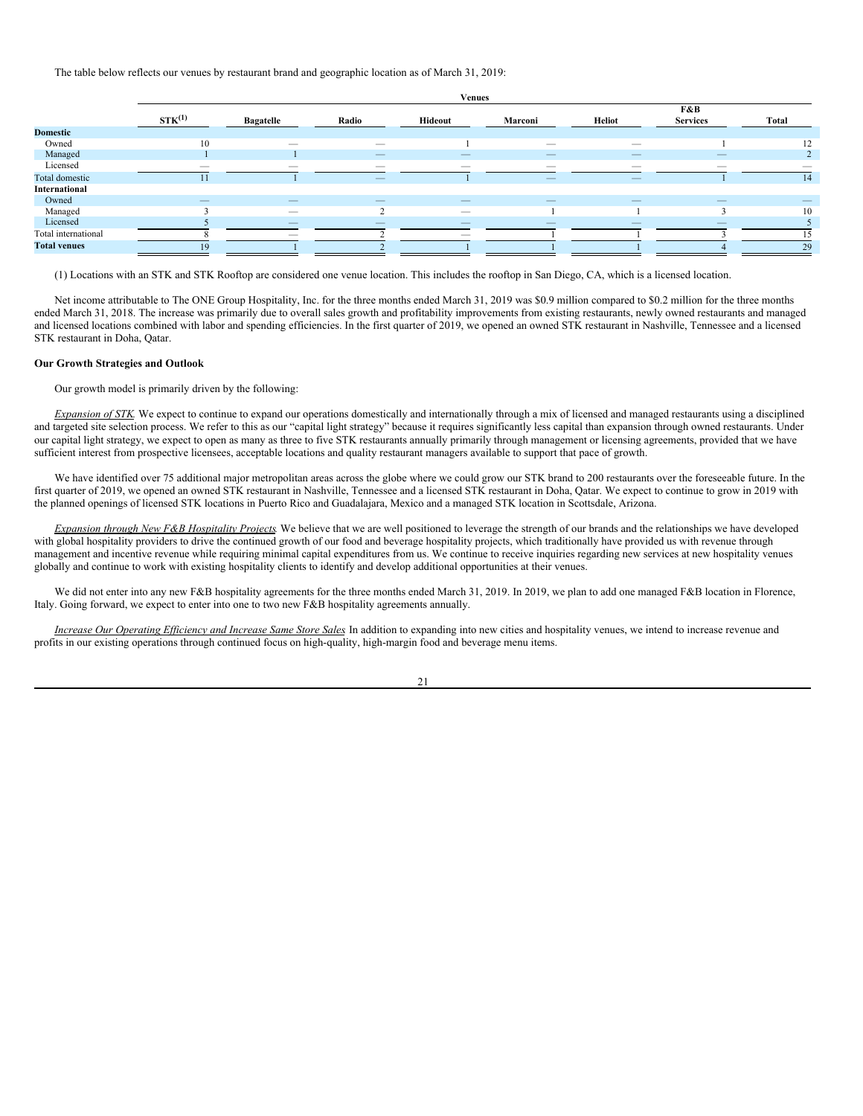The table below reflects our venues by restaurant brand and geographic location as of March 31, 2019:

|                     | <b>Venues</b>            |                          |                          |                          |                          |                          |                        |       |
|---------------------|--------------------------|--------------------------|--------------------------|--------------------------|--------------------------|--------------------------|------------------------|-------|
|                     | $STK^{(1)}$              | Bagatelle                | Radio                    | Hideout                  | Marconi                  | <b>Heliot</b>            | F&B<br><b>Services</b> | Total |
| <b>Domestic</b>     |                          |                          |                          |                          |                          |                          |                        |       |
| Owned               | 10                       | $\overline{\phantom{m}}$ |                          |                          | $\overline{\phantom{m}}$ | $\overline{\phantom{m}}$ |                        | 12    |
| Managed             |                          |                          |                          | $\overline{\phantom{m}}$ | $\overline{\phantom{m}}$ | $\overline{\phantom{m}}$ |                        |       |
| Licensed            |                          |                          |                          |                          |                          | __                       |                        |       |
| Total domestic      | 11                       |                          | __                       |                          |                          | $\overline{\phantom{m}}$ |                        | 14    |
| International       |                          |                          |                          |                          |                          |                          |                        |       |
| Owned               | $\overline{\phantom{m}}$ |                          | $\overline{\phantom{m}}$ | $\overline{\phantom{m}}$ | $\overline{\phantom{m}}$ | $\overline{\phantom{m}}$ |                        |       |
| Managed             |                          | $\overline{\phantom{a}}$ |                          | $\overline{\phantom{a}}$ |                          |                          |                        | 10    |
| Licensed            |                          |                          | __                       |                          |                          | $\overline{\phantom{m}}$ |                        |       |
| Total international |                          |                          |                          |                          |                          |                          |                        | 15    |
| <b>Total venues</b> | 19                       |                          |                          |                          |                          |                          |                        | 29    |

(1) Locations with an STK and STK Rooftop are considered one venue location. This includes the rooftop in San Diego, CA, which is a licensed location.

Net income attributable to The ONE Group Hospitality, Inc. for the three months ended March 31, 2019 was \$0.9 million compared to \$0.2 million for the three months ended March 31, 2018. The increase was primarily due to overall sales growth and profitability improvements from existing restaurants, newly owned restaurants and managed and licensed locations combined with labor and spending efficiencies. In the first quarter of 2019, we opened an owned STK restaurant in Nashville, Tennessee and a licensed STK restaurant in Doha, Qatar.

### **Our Growth Strategies and Outlook**

Our growth model is primarily driven by the following:

*Expansion of STK.* We expect to continue to expand our operations domestically and internationally through a mix of licensed and managed restaurants using a disciplined and targeted site selection process. We refer to this as our "capital light strategy" because it requires significantly less capital than expansion through owned restaurants. Under our capital light strategy, we expect to open as many as three to five STK restaurants annually primarily through management or licensing agreements, provided that we have sufficient interest from prospective licensees, acceptable locations and quality restaurant managers available to support that pace of growth.

We have identified over 75 additional major metropolitan areas across the globe where we could grow our STK brand to 200 restaurants over the foreseeable future. In the first quarter of 2019, we opened an owned STK restaurant in Nashville, Tennessee and a licensed STK restaurant in Doha, Qatar. We expect to continue to grow in 2019 with the planned openings of licensed STK locations in Puerto Rico and Guadalajara, Mexico and a managed STK location in Scottsdale, Arizona.

*Expansion through New F&B Hospitality Projects.* We believe that we are well positioned to leverage the strength of our brands and the relationships we have developed with global hospitality providers to drive the continued growth of our food and beverage hospitality projects, which traditionally have provided us with revenue through management and incentive revenue while requiring minimal capital expenditures from us. We continue to receive inquiries regarding new services at new hospitality venues globally and continue to work with existing hospitality clients to identify and develop additional opportunities at their venues.

We did not enter into any new F&B hospitality agreements for the three months ended March 31, 2019. In 2019, we plan to add one managed F&B location in Florence, Italy. Going forward, we expect to enter into one to two new F&B hospitality agreements annually.

Increase Our Operating Efficiency and Increase Same Store Sales In addition to expanding into new cities and hospitality venues, we intend to increase revenue and profits in our existing operations through continued focus on high-quality, high-margin food and beverage menu items.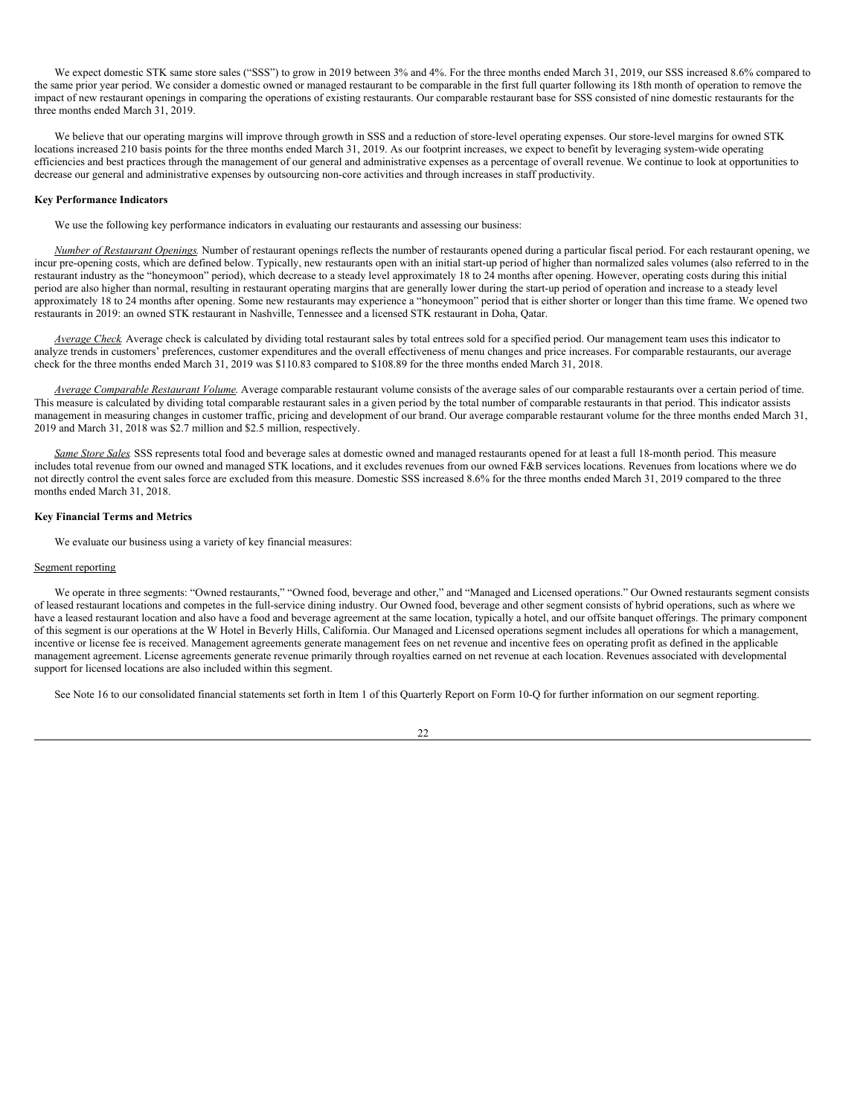We expect domestic STK same store sales ("SSS") to grow in 2019 between 3% and 4%. For the three months ended March 31, 2019, our SSS increased 8.6% compared to the same prior year period. We consider a domestic owned or managed restaurant to be comparable in the first full quarter following its 18th month of operation to remove the impact of new restaurant openings in comparing the operations of existing restaurants. Our comparable restaurant base for SSS consisted of nine domestic restaurants for the three months ended March 31, 2019.

We believe that our operating margins will improve through growth in SSS and a reduction of store-level operating expenses. Our store-level margins for owned STK locations increased 210 basis points for the three months ended March 31, 2019. As our footprint increases, we expect to benefit by leveraging system-wide operating efficiencies and best practices through the management of our general and administrative expenses as a percentage of overall revenue. We continue to look at opportunities to decrease our general and administrative expenses by outsourcing non-core activities and through increases in staff productivity.

#### **Key Performance Indicators**

We use the following key performance indicators in evaluating our restaurants and assessing our business:

*Number of Restaurant Openings.* Number of restaurant openings reflects the number of restaurants opened during a particular fiscal period. For each restaurant opening, we incur pre-opening costs, which are defined below. Typically, new restaurants open with an initial start-up period of higher than normalized sales volumes (also referred to in the restaurant industry as the "honeymoon" period), which decrease to a steady level approximately 18 to 24 months after opening. However, operating costs during this initial period are also higher than normal, resulting in restaurant operating margins that are generally lower during the start-up period of operation and increase to a steady level approximately 18 to 24 months after opening. Some new restaurants may experience a "honeymoon" period that is either shorter or longer than this time frame. We opened two restaurants in 2019: an owned STK restaurant in Nashville, Tennessee and a licensed STK restaurant in Doha, Qatar.

*Average Check.* Average check is calculated by dividing total restaurant sales by total entrees sold for a specified period. Our management team uses this indicator to analyze trends in customers' preferences, customer expenditures and the overall effectiveness of menu changes and price increases. For comparable restaurants, our average check for the three months ended March 31, 2019 was \$110.83 compared to \$108.89 for the three months ended March 31, 2018.

*Average Comparable Restaurant Volume*. Average comparable restaurant volume consists of the average sales of our comparable restaurants over a certain period of time. This measure is calculated by dividing total comparable restaurant sales in a given period by the total number of comparable restaurants in that period. This indicator assists management in measuring changes in customer traffic, pricing and development of our brand. Our average comparable restaurant volume for the three months ended March 31, 2019 and March 31, 2018 was \$2.7 million and \$2.5 million, respectively.

*Same Store Sales.* SSS represents total food and beverage sales at domestic owned and managed restaurants opened for at least a full 18-month period. This measure includes total revenue from our owned and managed STK locations, and it excludes revenues from our owned F&B services locations. Revenues from locations where we do not directly control the event sales force are excluded from this measure. Domestic SSS increased 8.6% for the three months ended March 31, 2019 compared to the three months ended March 31, 2018.

#### **Key Financial Terms and Metrics**

We evaluate our business using a variety of key financial measures:

#### Segment reporting

We operate in three segments: "Owned restaurants." "Owned food, beverage and other." and "Managed and Licensed operations." Our Owned restaurants segment consists of leased restaurant locations and competes in the full-service dining industry. Our Owned food, beverage and other segment consists of hybrid operations, such as where we have a leased restaurant location and also have a food and beverage agreement at the same location, typically a hotel, and our offsite banquet offerings. The primary component of this segment is our operations at the W Hotel in Beverly Hills, California. Our Managed and Licensed operations segment includes all operations for which a management, incentive or license fee is received. Management agreements generate management fees on net revenue and incentive fees on operating profit as defined in the applicable management agreement. License agreements generate revenue primarily through royalties earned on net revenue at each location. Revenues associated with developmental support for licensed locations are also included within this segment.

See Note 16 to our consolidated financial statements set forth in Item 1 of this Quarterly Report on Form 10-Q for further information on our segment reporting.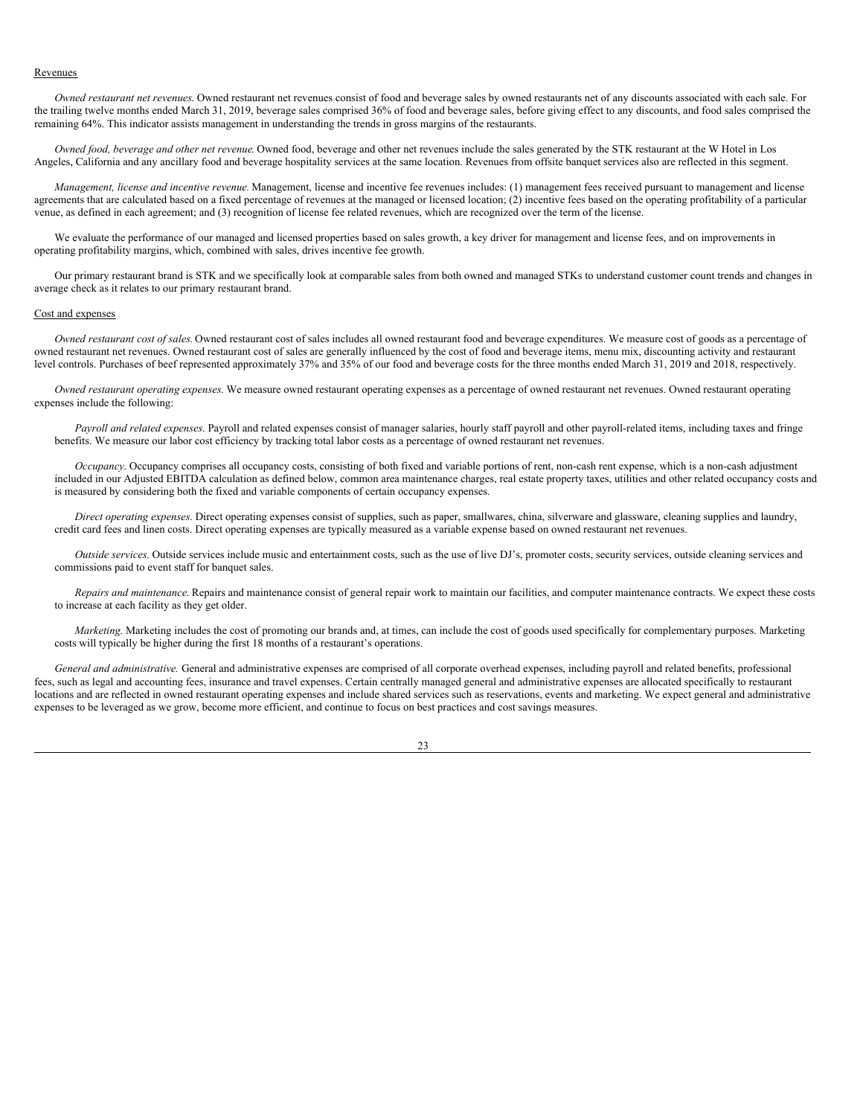#### Revenues

*Owned restaurant net revenues*. Owned restaurant net revenues consist of food and beverage sales by owned restaurants net of any discounts associated with each sale. For the trailing twelve months ended March 31, 2019, beverage sales comprised 36% of food and beverage sales, before giving effect to any discounts, and food sales comprised the remaining 64%. This indicator assists management in understanding the trends in gross margins of the restaurants.

*Owned food, beverage and other net revenue*. Owned food, beverage and other net revenues include the sales generated by the STK restaurant at the W Hotel in Los Angeles, California and any ancillary food and beverage hospitality services at the same location. Revenues from offsite banquet services also are reflected in this segment.

*Management, license and incentive revenue.* Management, license and incentive fee revenues includes: (1) management fees received pursuant to management and license agreements that are calculated based on a fixed percentage of revenues at the managed or licensed location; (2) incentive fees based on the operating profitability of a particular venue, as defined in each agreement; and (3) recognition of license fee related revenues, which are recognized over the term of the license.

We evaluate the performance of our managed and licensed properties based on sales growth, a key driver for management and license fees, and on improvements in operating profitability margins, which, combined with sales, drives incentive fee growth.

Our primary restaurant brand is STK and we specifically look at comparable sales from both owned and managed STKs to understand customer count trends and changes in average check as it relates to our primary restaurant brand.

#### Cost and expenses

*Owned restaurant cost of sales.* Owned restaurant cost of sales includes all owned restaurant food and beverage expenditures. We measure cost of goods as a percentage of owned restaurant net revenues. Owned restaurant cost of sales are generally influenced by the cost of food and beverage items, menu mix, discounting activity and restaurant level controls. Purchases of beef represented approximately 37% and 35% of our food and beverage costs for the three months ended March 31, 2019 and 2018, respectively.

*Owned restaurant operating expenses.* We measure owned restaurant operating expenses as a percentage of owned restaurant net revenues. Owned restaurant operating expenses include the following:

*Payroll and related expenses*. Payroll and related expenses consist of manager salaries, hourly staff payroll and other payroll-related items, including taxes and fringe benefits. We measure our labor cost efficiency by tracking total labor costs as a percentage of owned restaurant net revenues.

*Occupancy*. Occupancy comprises all occupancy costs, consisting of both fixed and variable portions of rent, non-cash rent expense, which is a non-cash adjustment included in our Adjusted EBITDA calculation as defined below, common area maintenance charges, real estate property taxes, utilities and other related occupancy costs and is measured by considering both the fixed and variable components of certain occupancy expenses.

*Direct operating expenses*. Direct operating expenses consist of supplies, such as paper, smallwares, china, silverware and glassware, cleaning supplies and laundry, credit card fees and linen costs. Direct operating expenses are typically measured as a variable expense based on owned restaurant net revenues.

*Outside services*. Outside services include music and entertainment costs, such as the use of live DJ's, promoter costs, security services, outside cleaning services and commissions paid to event staff for banquet sales.

*Repairs and maintenance*. Repairs and maintenance consist of general repair work to maintain our facilities, and computer maintenance contracts. We expect these costs to increase at each facility as they get older.

*Marketing.* Marketing includes the cost of promoting our brands and, at times, can include the cost of goods used specifically for complementary purposes. Marketing costs will typically be higher during the first 18 months of a restaurant's operations.

*General and administrative.* General and administrative expenses are comprised of all corporate overhead expenses, including payroll and related benefits, professional fees, such as legal and accounting fees, insurance and travel expenses. Certain centrally managed general and administrative expenses are allocated specifically to restaurant locations and are reflected in owned restaurant operating expenses and include shared services such as reservations, events and marketing. We expect general and administrative expenses to be leveraged as we grow, become more efficient, and continue to focus on best practices and cost savings measures.

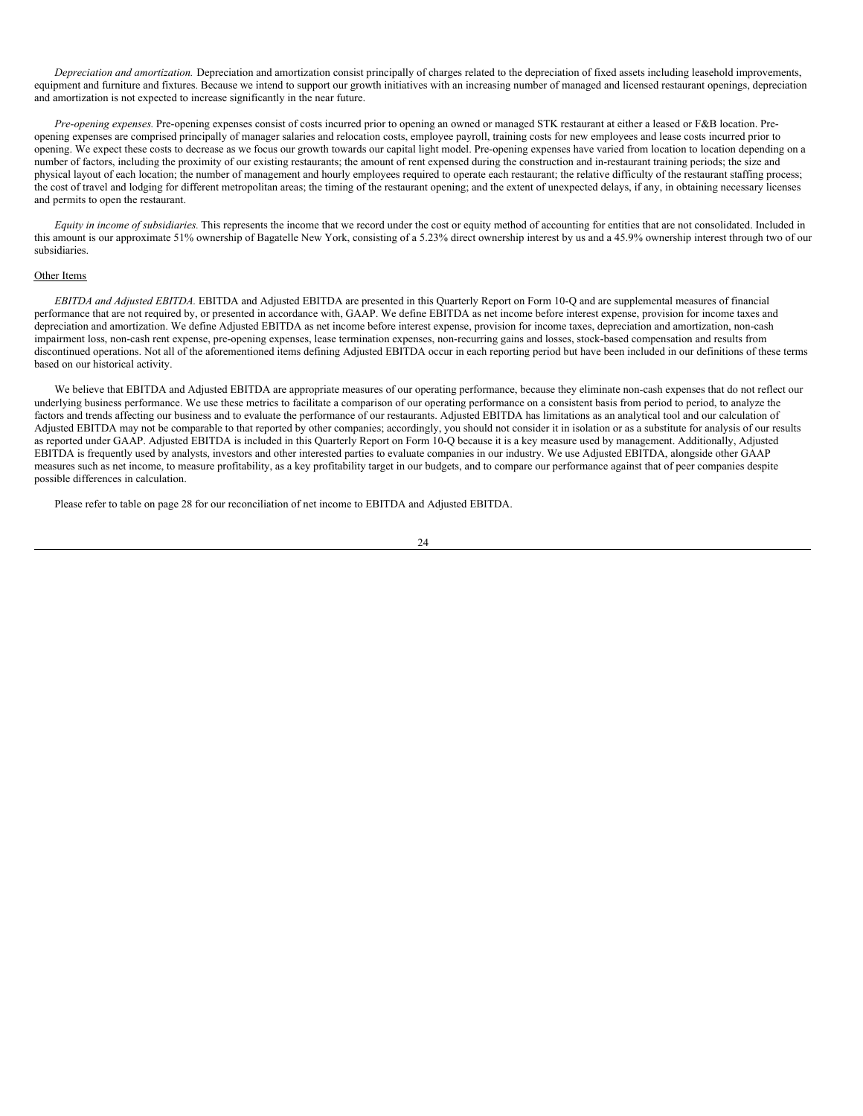*Depreciation and amortization.* Depreciation and amortization consist principally of charges related to the depreciation of fixed assets including leasehold improvements, equipment and furniture and fixtures. Because we intend to support our growth initiatives with an increasing number of managed and licensed restaurant openings, depreciation and amortization is not expected to increase significantly in the near future.

*Pre-opening expenses.* Pre-opening expenses consist of costs incurred prior to opening an owned or managed STK restaurant at either a leased or F&B location. Preopening expenses are comprised principally of manager salaries and relocation costs, employee payroll, training costs for new employees and lease costs incurred prior to opening. We expect these costs to decrease as we focus our growth towards our capital light model. Pre-opening expenses have varied from location to location depending on a number of factors, including the proximity of our existing restaurants; the amount of rent expensed during the construction and in-restaurant training periods; the size and physical layout of each location; the number of management and hourly employees required to operate each restaurant; the relative difficulty of the restaurant staffing process; the cost of travel and lodging for different metropolitan areas; the timing of the restaurant opening; and the extent of unexpected delays, if any, in obtaining necessary licenses and permits to open the restaurant.

*Equity in income of subsidiaries*. This represents the income that we record under the cost or equity method of accounting for entities that are not consolidated. Included in this amount is our approximate 51% ownership of Bagatelle New York, consisting of a 5.23% direct ownership interest by us and a 45.9% ownership interest through two of our subsidiaries.

## Other Items

*EBITDA and Adjusted EBITDA.* EBITDA and Adjusted EBITDA are presented in this Quarterly Report on Form 10-Q and are supplemental measures of financial performance that are not required by, or presented in accordance with, GAAP. We define EBITDA as net income before interest expense, provision for income taxes and depreciation and amortization. We define Adjusted EBITDA as net income before interest expense, provision for income taxes, depreciation and amortization, non-cash impairment loss, non-cash rent expense, pre-opening expenses, lease termination expenses, non-recurring gains and losses, stock-based compensation and results from discontinued operations. Not all of the aforementioned items defining Adjusted EBITDA occur in each reporting period but have been included in our definitions of these terms based on our historical activity.

We believe that EBITDA and Adjusted EBITDA are appropriate measures of our operating performance, because they eliminate non-cash expenses that do not reflect our underlying business performance. We use these metrics to facilitate a comparison of our operating performance on a consistent basis from period to period, to analyze the factors and trends affecting our business and to evaluate the performance of our restaurants. Adjusted EBITDA has limitations as an analytical tool and our calculation of Adjusted EBITDA may not be comparable to that reported by other companies; accordingly, you should not consider it in isolation or as a substitute for analysis of our results as reported under GAAP. Adjusted EBITDA is included in this Quarterly Report on Form 10-Q because it is a key measure used by management. Additionally, Adjusted EBITDA is frequently used by analysts, investors and other interested parties to evaluate companies in our industry. We use Adjusted EBITDA, alongside other GAAP measures such as net income, to measure profitability, as a key profitability target in our budgets, and to compare our performance against that of peer companies despite possible differences in calculation.

Please refer to table on page 28 for our reconciliation of net income to EBITDA and Adjusted EBITDA.

24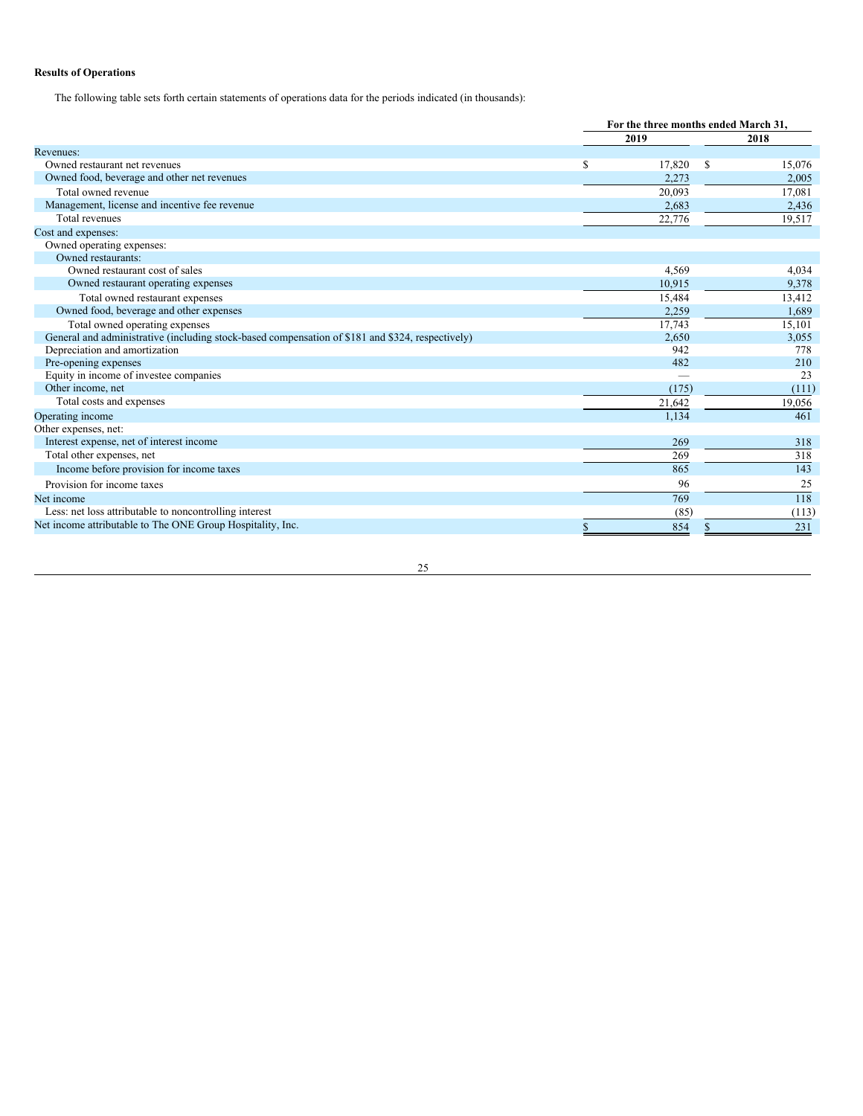# **Results of Operations**

The following table sets forth certain statements of operations data for the periods indicated (in thousands):

|                                                                                                  |    | For the three months ended March 31, |               |        |
|--------------------------------------------------------------------------------------------------|----|--------------------------------------|---------------|--------|
|                                                                                                  |    | 2019                                 |               | 2018   |
| Revenues:                                                                                        |    |                                      |               |        |
| Owned restaurant net revenues                                                                    | S  | 17,820                               | <sup>\$</sup> | 15,076 |
| Owned food, beverage and other net revenues                                                      |    | 2.273                                |               | 2,005  |
| Total owned revenue                                                                              |    | 20,093                               |               | 17,081 |
| Management, license and incentive fee revenue                                                    |    | 2,683                                |               | 2,436  |
| <b>Total revenues</b>                                                                            |    | 22,776                               |               | 19,517 |
| Cost and expenses:                                                                               |    |                                      |               |        |
| Owned operating expenses:                                                                        |    |                                      |               |        |
| Owned restaurants:                                                                               |    |                                      |               |        |
| Owned restaurant cost of sales                                                                   |    | 4,569                                |               | 4,034  |
| Owned restaurant operating expenses                                                              |    | 10,915                               |               | 9,378  |
| Total owned restaurant expenses                                                                  |    | 15,484                               |               | 13,412 |
| Owned food, beverage and other expenses                                                          |    | 2,259                                |               | 1,689  |
| Total owned operating expenses                                                                   |    | 17,743                               |               | 15,101 |
| General and administrative (including stock-based compensation of \$181 and \$324, respectively) |    | 2,650                                |               | 3,055  |
| Depreciation and amortization                                                                    |    | 942                                  |               | 778    |
| Pre-opening expenses                                                                             |    | 482                                  |               | 210    |
| Equity in income of investee companies                                                           |    |                                      |               | 23     |
| Other income, net                                                                                |    | (175)                                |               | (111)  |
| Total costs and expenses                                                                         |    | 21,642                               |               | 19,056 |
| Operating income                                                                                 |    | 1,134                                |               | 461    |
| Other expenses, net:                                                                             |    |                                      |               |        |
| Interest expense, net of interest income                                                         |    | 269                                  |               | 318    |
| Total other expenses, net                                                                        |    | 269                                  |               | 318    |
| Income before provision for income taxes                                                         |    | 865                                  |               | 143    |
| Provision for income taxes                                                                       |    | 96                                   |               | 25     |
| Net income                                                                                       |    | 769                                  |               | 118    |
| Less: net loss attributable to noncontrolling interest                                           |    | (85)                                 |               | (113)  |
| Net income attributable to The ONE Group Hospitality, Inc.                                       | \$ | 854                                  | <sup>\$</sup> | 231    |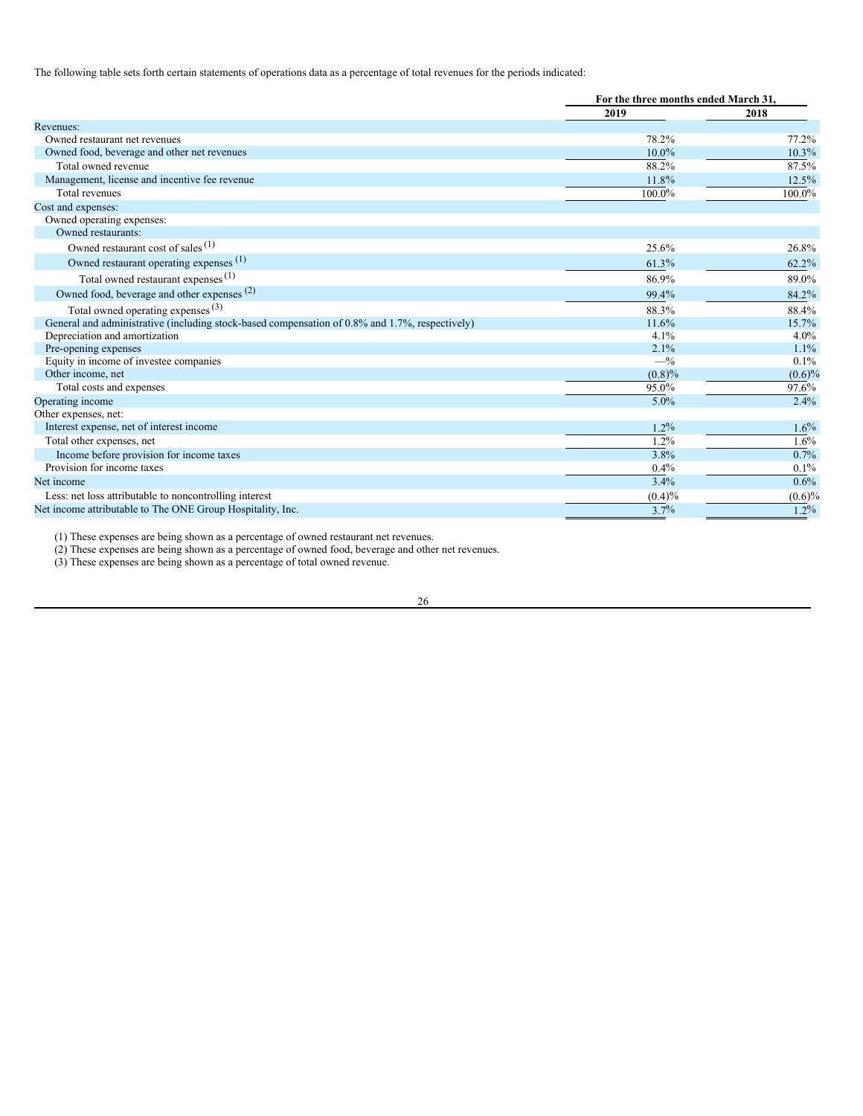The following table sets forth certain statements of operations data as a percentage of total revenues for the periods indicated:

|                                                                                                | For the three months ended March 31, |           |
|------------------------------------------------------------------------------------------------|--------------------------------------|-----------|
|                                                                                                | 2019                                 | 2018      |
| Revenues:                                                                                      |                                      |           |
| Owned restaurant net revenues                                                                  | 78.2%                                | 77.2%     |
| Owned food, beverage and other net revenues                                                    | $10.0\%$                             | $10.3\%$  |
| Total owned revenue                                                                            | 88.2%                                | 87.5%     |
| Management, license and incentive fee revenue                                                  | 11.8%                                | $12.5\%$  |
| Total revenues                                                                                 | 100.0%                               | 100.0%    |
| Cost and expenses:                                                                             |                                      |           |
| Owned operating expenses:                                                                      |                                      |           |
| Owned restaurants:                                                                             |                                      |           |
| Owned restaurant cost of sales <sup>(1)</sup>                                                  | 25.6%                                | 26.8%     |
| Owned restaurant operating expenses (1)                                                        | 61.3%                                | $62.2\%$  |
| Total owned restaurant expenses <sup>(1)</sup>                                                 | 86.9%                                | 89.0%     |
| Owned food, beverage and other expenses (2)                                                    | 99.4%                                | 84.2%     |
| Total owned operating expenses <sup>(3)</sup>                                                  | 88.3%                                | 88.4%     |
| General and administrative (including stock-based compensation of 0.8% and 1.7%, respectively) | 11.6%                                | 15.7%     |
| Depreciation and amortization                                                                  | 4.1%                                 | 4.0%      |
| Pre-opening expenses                                                                           | 2.1%                                 | $1.1\%$   |
| Equity in income of investee companies                                                         | $-$ %                                | 0.1%      |
| Other income, net                                                                              | $(0.8)\%$                            | $(0.6)\%$ |
| Total costs and expenses                                                                       | $95.0\%$                             | 97.6%     |
| Operating income                                                                               | $5.0\%$                              | 2.4%      |
| Other expenses, net:                                                                           |                                      |           |
| Interest expense, net of interest income                                                       | 1.2%                                 | $1.6\%$   |
| Total other expenses, net                                                                      | 1.2%                                 | 1.6%      |
| Income before provision for income taxes                                                       | 3.8%                                 | 0.7%      |
| Provision for income taxes                                                                     | 0.4%                                 | $0.1\%$   |
| Net income                                                                                     | 3.4%                                 | $0.6\%$   |
| Less: net loss attributable to noncontrolling interest                                         | $(0.4)\%$                            | $(0.6)\%$ |
| Net income attributable to The ONE Group Hospitality, Inc.                                     | 3.7%                                 | $1.2\%$   |

(1) These expenses are being shown as a percentage of owned restaurant net revenues.

(2) These expenses are being shown as a percentage of owned food, beverage and other net revenues.

(3) These expenses are being shown as a percentage of total owned revenue.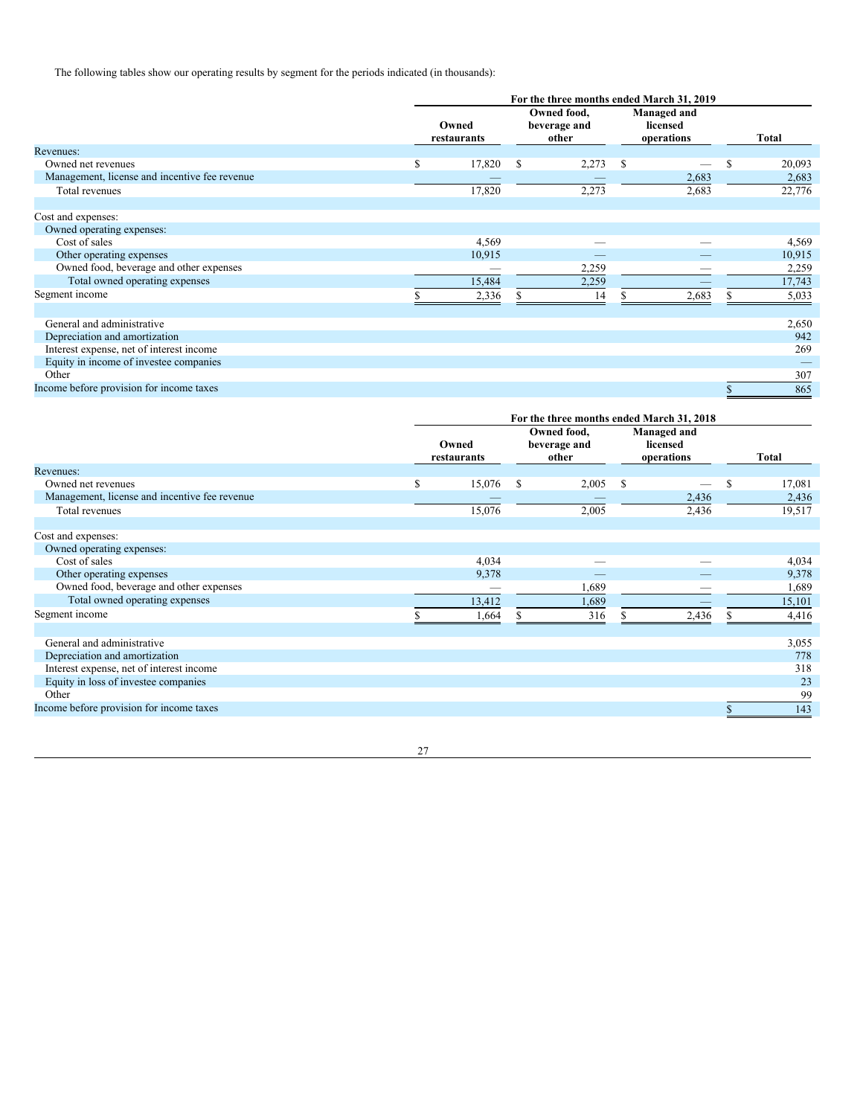The following tables show our operating results by segment for the periods indicated (in thousands):

|                                               |   | For the three months ended March 31, 2019 |   |                                      |   |                                       |   |              |
|-----------------------------------------------|---|-------------------------------------------|---|--------------------------------------|---|---------------------------------------|---|--------------|
|                                               |   | Owned<br>restaurants                      |   | Owned food,<br>beverage and<br>other |   | Managed and<br>licensed<br>operations |   | <b>Total</b> |
| Revenues:                                     |   |                                           |   |                                      |   |                                       |   |              |
| Owned net revenues                            | S | 17,820                                    | S | 2,273                                | S |                                       | S | 20,093       |
| Management, license and incentive fee revenue |   |                                           |   |                                      |   | 2,683                                 |   | 2,683        |
| Total revenues                                |   | 17,820                                    |   | 2,273                                |   | 2,683                                 |   | 22,776       |
|                                               |   |                                           |   |                                      |   |                                       |   |              |
| Cost and expenses:                            |   |                                           |   |                                      |   |                                       |   |              |
| Owned operating expenses:                     |   |                                           |   |                                      |   |                                       |   |              |
| Cost of sales                                 |   | 4,569                                     |   |                                      |   |                                       |   | 4,569        |
| Other operating expenses                      |   | 10,915                                    |   |                                      |   |                                       |   | 10,915       |
| Owned food, beverage and other expenses       |   |                                           |   | 2,259                                |   |                                       |   | 2,259        |
| Total owned operating expenses                |   | 15,484                                    |   | 2,259                                |   |                                       |   | 17,743       |
| Segment income                                |   | 2,336                                     |   | 14                                   |   | 2,683                                 |   | 5,033        |
|                                               |   |                                           |   |                                      |   |                                       |   |              |
| General and administrative                    |   |                                           |   |                                      |   |                                       |   | 2,650        |
| Depreciation and amortization                 |   |                                           |   |                                      |   |                                       |   | 942          |
| Interest expense, net of interest income      |   |                                           |   |                                      |   |                                       |   | 269          |
| Equity in income of investee companies        |   |                                           |   |                                      |   |                                       |   |              |
| Other                                         |   |                                           |   |                                      |   |                                       |   | 307          |
| Income before provision for income taxes      |   |                                           |   |                                      |   |                                       | S | 865          |

| For the three months ended March 31, 2018 |        |                      |       |                             |                        |             |        |
|-------------------------------------------|--------|----------------------|-------|-----------------------------|------------------------|-------------|--------|
|                                           |        |                      | other |                             | licensed<br>operations |             | Total  |
|                                           |        |                      |       |                             |                        |             |        |
| S                                         | 15,076 | \$.                  | 2,005 | S                           |                        | S           | 17,081 |
|                                           |        |                      |       |                             | 2,436                  |             | 2,436  |
|                                           | 15,076 |                      | 2,005 |                             | 2,436                  |             | 19,517 |
|                                           |        |                      |       |                             |                        |             |        |
|                                           |        |                      |       |                             |                        |             |        |
|                                           |        |                      |       |                             |                        |             |        |
|                                           | 4,034  |                      |       |                             |                        |             | 4,034  |
|                                           | 9,378  |                      |       |                             |                        |             | 9,378  |
|                                           |        |                      | 1,689 |                             | -                      |             | 1,689  |
|                                           | 13,412 |                      | 1,689 |                             |                        |             | 15,101 |
|                                           | 1,664  | S                    | 316   |                             | 2,436                  |             | 4,416  |
|                                           |        |                      |       |                             |                        |             |        |
|                                           |        |                      |       |                             |                        |             | 3,055  |
|                                           |        |                      |       |                             |                        |             | 778    |
|                                           |        |                      |       |                             |                        |             | 318    |
|                                           |        |                      |       |                             |                        |             | 23     |
|                                           |        |                      |       |                             |                        |             | 99     |
|                                           |        |                      |       |                             |                        |             | 143    |
|                                           |        | Owned<br>restaurants |       | Owned food,<br>beverage and |                        | Managed and |        |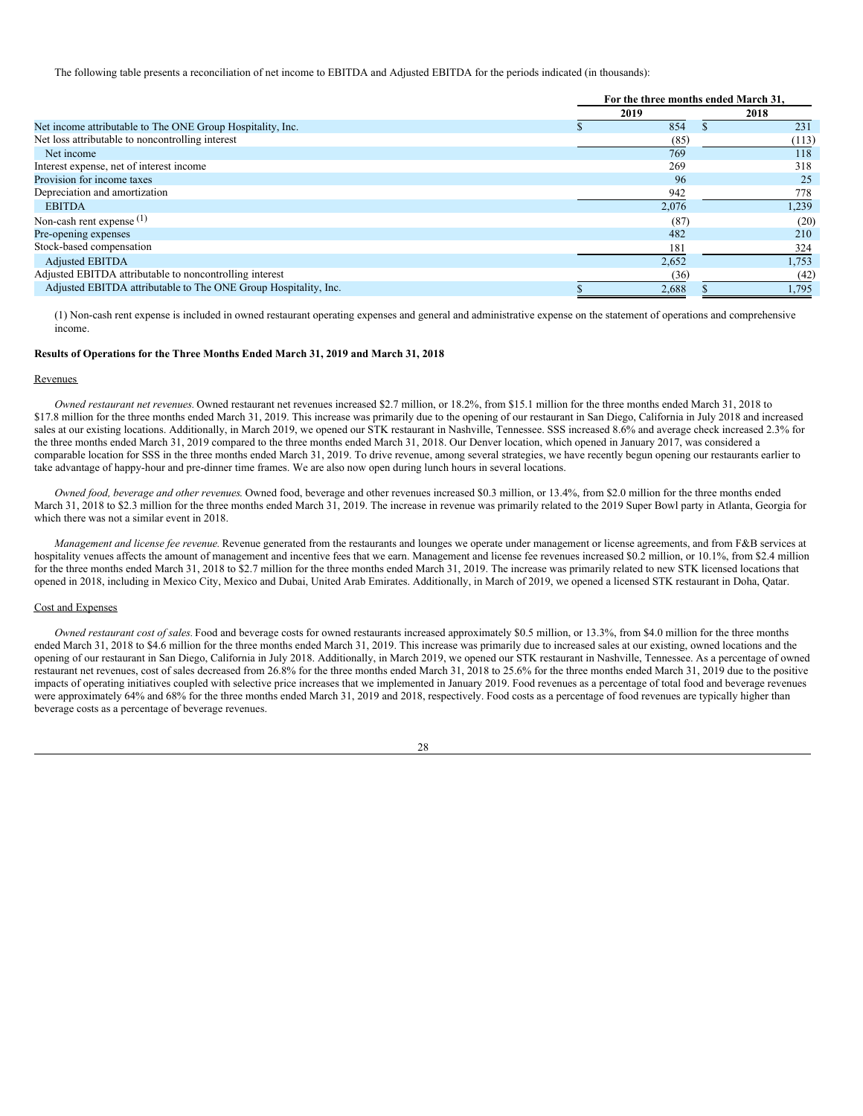The following table presents a reconciliation of net income to EBITDA and Adjusted EBITDA for the periods indicated (in thousands):

|                                                                 | For the three months ended March 31, |       |  |
|-----------------------------------------------------------------|--------------------------------------|-------|--|
|                                                                 | 2019                                 | 2018  |  |
| Net income attributable to The ONE Group Hospitality, Inc.      | 854                                  | 231   |  |
| Net loss attributable to noncontrolling interest                | (85)                                 | (113) |  |
| Net income                                                      | 769                                  | 118   |  |
| Interest expense, net of interest income                        | 269                                  | 318   |  |
| Provision for income taxes                                      | 96                                   | 25    |  |
| Depreciation and amortization                                   | 942                                  | 778   |  |
| <b>EBITDA</b>                                                   | 2,076                                | 1,239 |  |
| Non-cash rent expense $(1)$                                     | (87)                                 | (20)  |  |
| Pre-opening expenses                                            | 482                                  | 210   |  |
| Stock-based compensation                                        | 181                                  | 324   |  |
| <b>Adjusted EBITDA</b>                                          | 2,652                                | 1,753 |  |
| Adjusted EBITDA attributable to noncontrolling interest         | (36)                                 | (42)  |  |
| Adjusted EBITDA attributable to The ONE Group Hospitality, Inc. | 2,688                                | 1,795 |  |

(1) Non-cash rent expense is included in owned restaurant operating expenses and general and administrative expense on the statement of operations and comprehensive income.

## **Results of Operations for the Three Months Ended March 31, 2019 and March 31, 2018**

#### Revenues

*Owned restaurant net revenues.* Owned restaurant net revenues increased \$2.7 million, or 18.2%, from \$15.1 million for the three months ended March 31, 2018 to \$17.8 million for the three months ended March 31, 2019. This increase was primarily due to the opening of our restaurant in San Diego, California in July 2018 and increased sales at our existing locations. Additionally, in March 2019, we opened our STK restaurant in Nashville, Tennessee. SSS increased 8.6% and average check increased 2.3% for the three months ended March 31, 2019 compared to the three months ended March 31, 2018. Our Denver location, which opened in January 2017, was considered a comparable location for SSS in the three months ended March 31, 2019. To drive revenue, among several strategies, we have recently begun opening our restaurants earlier to take advantage of happy-hour and pre-dinner time frames. We are also now open during lunch hours in several locations.

*Owned food, beverage and other revenues*. Owned food, beverage and other revenues increased \$0.3 million, or 13.4%, from \$2.0 million for the three months ended March 31, 2018 to \$2.3 million for the three months ended March 31, 2019. The increase in revenue was primarily related to the 2019 Super Bowl party in Atlanta, Georgia for which there was not a similar event in 2018.

*Management and license fee revenue.* Revenue generated from the restaurants and lounges we operate under management or license agreements, and from F&B services at hospitality venues affects the amount of management and incentive fees that we earn. Management and license fee revenues increased \$0.2 million, or 10.1%, from \$2.4 million for the three months ended March 31, 2018 to \$2.7 million for the three months ended March 31, 2019. The increase was primarily related to new STK licensed locations that opened in 2018, including in Mexico City, Mexico and Dubai, United Arab Emirates. Additionally, in March of 2019, we opened a licensed STK restaurant in Doha, Qatar.

## Cost and Expenses

*Owned restaurant cost of sales.* Food and beverage costs for owned restaurants increased approximately \$0.5 million, or 13.3%, from \$4.0 million for the three months ended March 31, 2018 to \$4.6 million for the three months ended March 31, 2019. This increase was primarily due to increased sales at our existing, owned locations and the opening of our restaurant in San Diego, California in July 2018. Additionally, in March 2019, we opened our STK restaurant in Nashville, Tennessee. As a percentage of owned restaurant net revenues, cost of sales decreased from 26.8% for the three months ended March 31, 2018 to 25.6% for the three months ended March 31, 2019 due to the positive impacts of operating initiatives coupled with selective price increases that we implemented in January 2019. Food revenues as a percentage of total food and beverage revenues were approximately 64% and 68% for the three months ended March 31, 2019 and 2018, respectively. Food costs as a percentage of food revenues are typically higher than beverage costs as a percentage of beverage revenues.

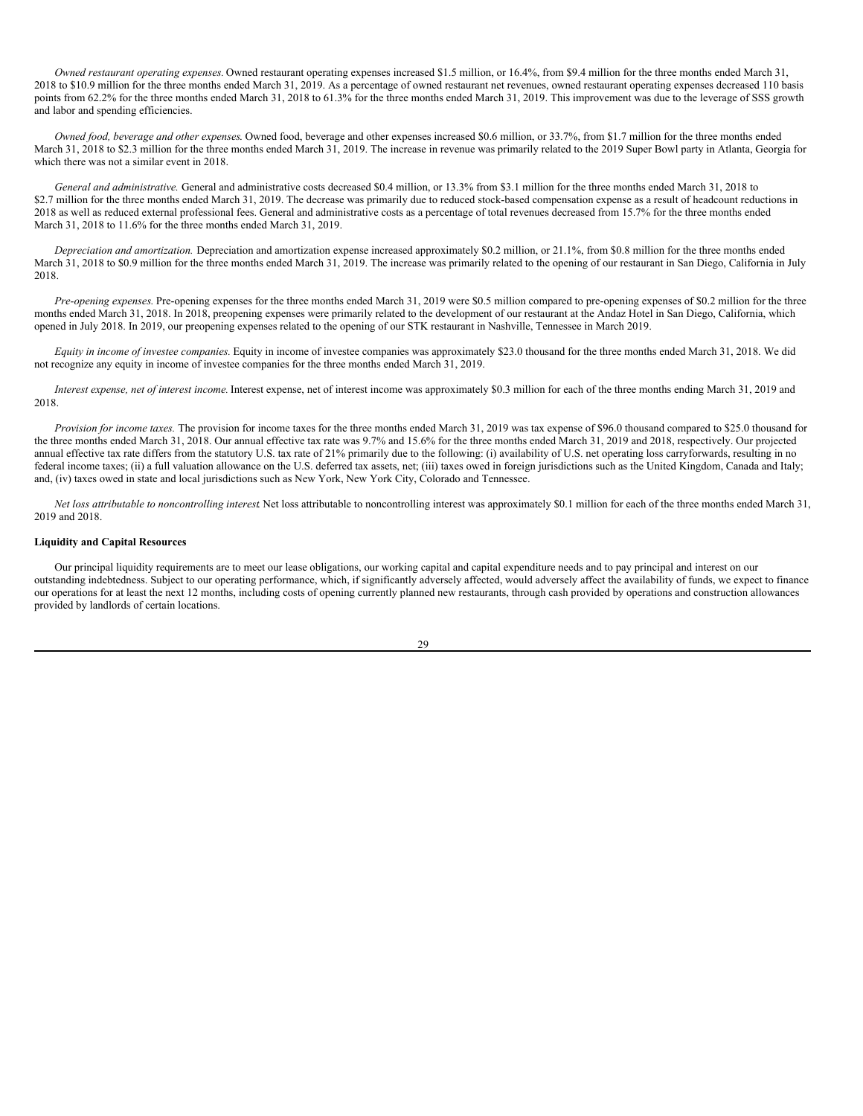*Owned restaurant operating expenses.* Owned restaurant operating expenses increased \$1.5 million, or 16.4%, from \$9.4 million for the three months ended March 31, 2018 to \$10.9 million for the three months ended March 31, 2019. As a percentage of owned restaurant net revenues, owned restaurant operating expenses decreased 110 basis points from 62.2% for the three months ended March 31, 2018 to 61.3% for the three months ended March 31, 2019. This improvement was due to the leverage of SSS growth and labor and spending efficiencies.

*Owned food, beverage and other expenses*. Owned food, beverage and other expenses increased \$0.6 million, or 33.7%, from \$1.7 million for the three months ended March 31, 2018 to \$2.3 million for the three months ended March 31, 2019. The increase in revenue was primarily related to the 2019 Super Bowl party in Atlanta, Georgia for which there was not a similar event in 2018.

*General and administrative.* General and administrative costs decreased \$0.4 million, or 13.3% from \$3.1 million for the three months ended March 31, 2018 to \$2.7 million for the three months ended March 31, 2019. The decrease was primarily due to reduced stock-based compensation expense as a result of headcount reductions in 2018 as well as reduced external professional fees. General and administrative costs as a percentage of total revenues decreased from 15.7% for the three months ended March 31, 2018 to 11.6% for the three months ended March 31, 2019.

*Depreciation and amortization.* Depreciation and amortization expense increased approximately \$0.2 million, or 21.1%, from \$0.8 million for the three months ended March 31, 2018 to \$0.9 million for the three months ended March 31, 2019. The increase was primarily related to the opening of our restaurant in San Diego, California in July 2018.

*Pre-opening expenses.* Pre-opening expenses for the three months ended March 31, 2019 were \$0.5 million compared to pre-opening expenses of \$0.2 million for the three months ended March 31, 2018. In 2018, preopening expenses were primarily related to the development of our restaurant at the Andaz Hotel in San Diego, California, which opened in July 2018. In 2019, our preopening expenses related to the opening of our STK restaurant in Nashville, Tennessee in March 2019.

*Equity in income of investee companies.* Equity in income of investee companies was approximately \$23.0 thousand for the three months ended March 31, 2018. We did not recognize any equity in income of investee companies for the three months ended March 31, 2019.

*Interest expense, net of interest income.* Interest expense, net of interest income was approximately \$0.3 million for each of the three months ending March 31, 2019 and 2018.

*Provision for income taxes.* The provision for income taxes for the three months ended March 31, 2019 was tax expense of \$96.0 thousand compared to \$25.0 thousand for the three months ended March 31, 2018. Our annual effective tax rate was 9.7% and 15.6% for the three months ended March 31, 2019 and 2018, respectively. Our projected annual effective tax rate differs from the statutory U.S. tax rate of 21% primarily due to the following: (i) availability of U.S. net operating loss carryforwards, resulting in no federal income taxes; (ii) a full valuation allowance on the U.S. deferred tax assets, net; (iii) taxes owed in foreign jurisdictions such as the United Kingdom, Canada and Italy; and, (iv) taxes owed in state and local jurisdictions such as New York, New York City, Colorado and Tennessee.

*Net loss attributable to noncontrolling interest*. Net loss attributable to noncontrolling interest was approximately \$0.1 million for each of the three months ended March 31, 2019 and 2018.

## **Liquidity and Capital Resources**

Our principal liquidity requirements are to meet our lease obligations, our working capital and capital expenditure needs and to pay principal and interest on our outstanding indebtedness. Subject to our operating performance, which, if significantly adversely affected, would adversely affect the availability of funds, we expect to finance our operations for at least the next 12 months, including costs of opening currently planned new restaurants, through cash provided by operations and construction allowances provided by landlords of certain locations.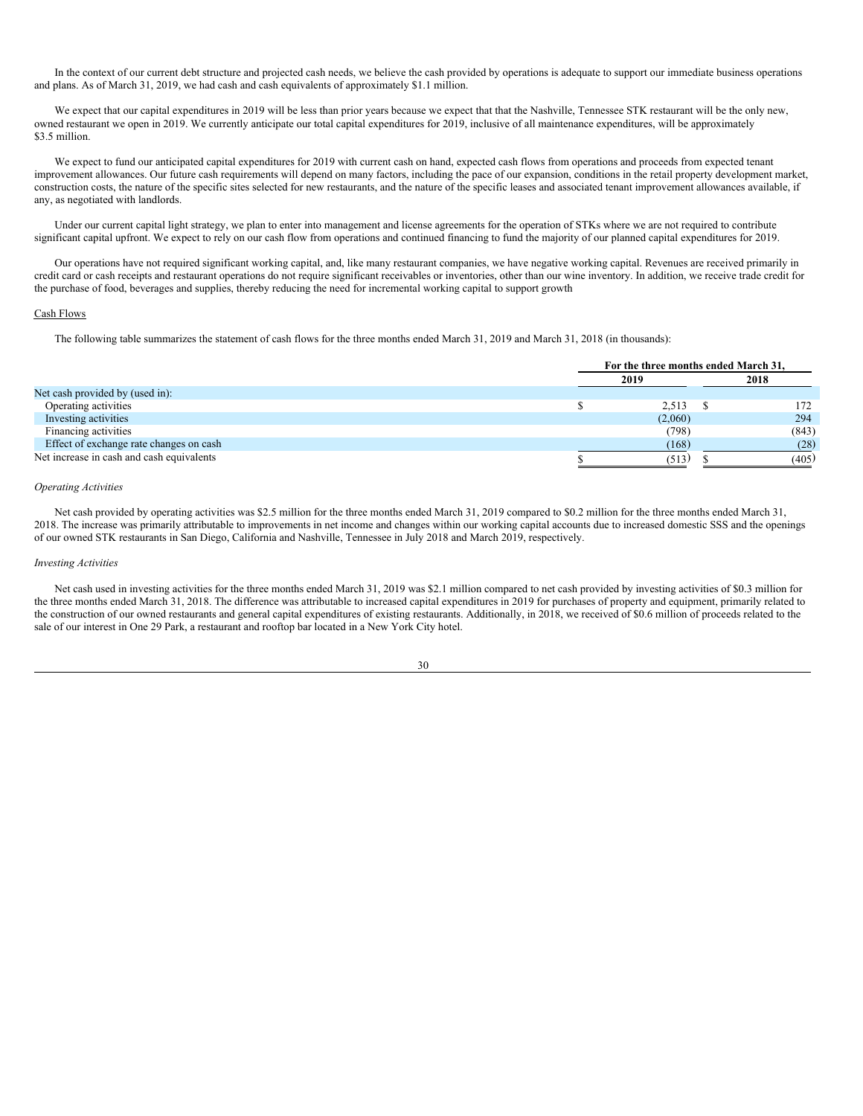In the context of our current debt structure and projected cash needs, we believe the cash provided by operations is adequate to support our immediate business operations and plans. As of March 31, 2019, we had cash and cash equivalents of approximately \$1.1 million.

We expect that our capital expenditures in 2019 will be less than prior years because we expect that that the Nashville, Tennessee STK restaurant will be the only new, owned restaurant we open in 2019. We currently anticipate our total capital expenditures for 2019, inclusive of all maintenance expenditures, will be approximately \$3.5 million.

We expect to fund our anticipated capital expenditures for 2019 with current cash on hand, expected cash flows from operations and proceeds from expected tenant improvement allowances. Our future cash requirements will depend on many factors, including the pace of our expansion, conditions in the retail property development market, construction costs, the nature of the specific sites selected for new restaurants, and the nature of the specific leases and associated tenant improvement allowances available, if any, as negotiated with landlords.

Under our current capital light strategy, we plan to enter into management and license agreements for the operation of STKs where we are not required to contribute significant capital upfront. We expect to rely on our cash flow from operations and continued financing to fund the majority of our planned capital expenditures for 2019.

Our operations have not required significant working capital, and, like many restaurant companies, we have negative working capital. Revenues are received primarily in credit card or cash receipts and restaurant operations do not require significant receivables or inventories, other than our wine inventory. In addition, we receive trade credit for the purchase of food, beverages and supplies, thereby reducing the need for incremental working capital to support growth

## Cash Flows

The following table summarizes the statement of cash flows for the three months ended March 31, 2019 and March 31, 2018 (in thousands):

|                                           |      | For the three months ended March 31, |       |  |  |
|-------------------------------------------|------|--------------------------------------|-------|--|--|
|                                           | 2019 |                                      | 2018  |  |  |
| Net cash provided by (used in):           |      |                                      |       |  |  |
| Operating activities                      |      | 2,513                                | 172   |  |  |
| Investing activities                      |      | (2,060)                              | 294   |  |  |
| Financing activities                      |      | (798)                                | (843) |  |  |
| Effect of exchange rate changes on cash   |      | (168)                                | (28)  |  |  |
| Net increase in cash and cash equivalents |      | (513)                                | (405) |  |  |

## *Operating Activities*

Net cash provided by operating activities was \$2.5 million for the three months ended March 31, 2019 compared to \$0.2 million for the three months ended March 31, 2018. The increase was primarily attributable to improvements in net income and changes within our working capital accounts due to increased domestic SSS and the openings of our owned STK restaurants in San Diego, California and Nashville, Tennessee in July 2018 and March 2019, respectively.

## *Investing Activities*

Net cash used in investing activities for the three months ended March 31, 2019 was \$2.1 million compared to net cash provided by investing activities of \$0.3 million for the three months ended March 31, 2018. The difference was attributable to increased capital expenditures in 2019 for purchases of property and equipment, primarily related to the construction of our owned restaurants and general capital expenditures of existing restaurants. Additionally, in 2018, we received of \$0.6 million of proceeds related to the sale of our interest in One 29 Park, a restaurant and rooftop bar located in a New York City hotel.

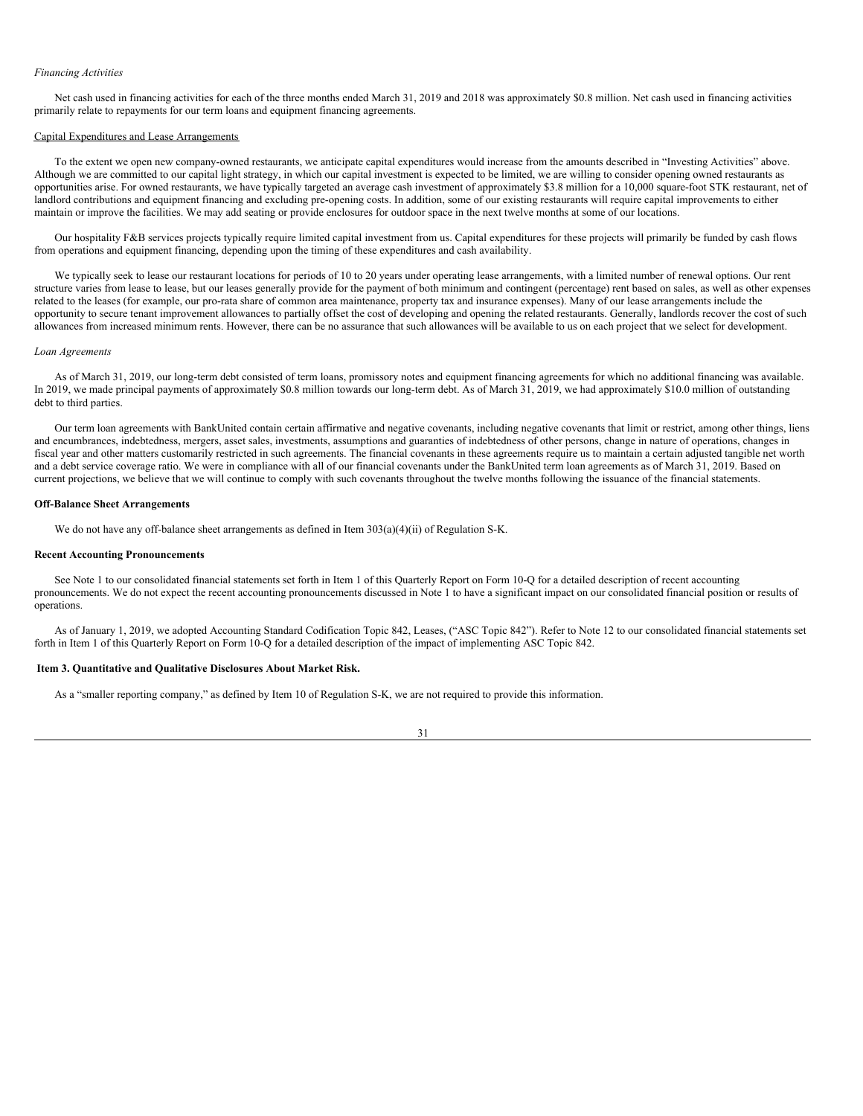#### *Financing Activities*

Net cash used in financing activities for each of the three months ended March 31, 2019 and 2018 was approximately \$0.8 million. Net cash used in financing activities primarily relate to repayments for our term loans and equipment financing agreements.

#### Capital Expenditures and Lease Arrangements

To the extent we open new company-owned restaurants, we anticipate capital expenditures would increase from the amounts described in "Investing Activities" above. Although we are committed to our capital light strategy, in which our capital investment is expected to be limited, we are willing to consider opening owned restaurants as opportunities arise. For owned restaurants, we have typically targeted an average cash investment of approximately \$3.8 million for a 10,000 square-foot STK restaurant, net of landlord contributions and equipment financing and excluding pre-opening costs. In addition, some of our existing restaurants will require capital improvements to either maintain or improve the facilities. We may add seating or provide enclosures for outdoor space in the next twelve months at some of our locations.

Our hospitality F&B services projects typically require limited capital investment from us. Capital expenditures for these projects will primarily be funded by cash flows from operations and equipment financing, depending upon the timing of these expenditures and cash availability.

We typically seek to lease our restaurant locations for periods of 10 to 20 years under operating lease arrangements, with a limited number of renewal options. Our rent structure varies from lease to lease, but our leases generally provide for the payment of both minimum and contingent (percentage) rent based on sales, as well as other expenses related to the leases (for example, our pro-rata share of common area maintenance, property tax and insurance expenses). Many of our lease arrangements include the opportunity to secure tenant improvement allowances to partially offset the cost of developing and opening the related restaurants. Generally, landlords recover the cost of such allowances from increased minimum rents. However, there can be no assurance that such allowances will be available to us on each project that we select for development.

#### *Loan Agreements*

As of March 31, 2019, our long-term debt consisted of term loans, promissory notes and equipment financing agreements for which no additional financing was available. In 2019, we made principal payments of approximately \$0.8 million towards our long-term debt. As of March 31, 2019, we had approximately \$10.0 million of outstanding debt to third parties.

Our term loan agreements with BankUnited contain certain affirmative and negative covenants, including negative covenants that limit or restrict, among other things, liens and encumbrances, indebtedness, mergers, asset sales, investments, assumptions and guaranties of indebtedness of other persons, change in nature of operations, changes in fiscal year and other matters customarily restricted in such agreements. The financial covenants in these agreements require us to maintain a certain adjusted tangible net worth and a debt service coverage ratio. We were in compliance with all of our financial covenants under the BankUnited term loan agreements as of March 31, 2019. Based on current projections, we believe that we will continue to comply with such covenants throughout the twelve months following the issuance of the financial statements.

#### **Off-Balance Sheet Arrangements**

We do not have any off-balance sheet arrangements as defined in Item 303(a)(4)(ii) of Regulation S-K.

#### **Recent Accounting Pronouncements**

See Note 1 to our consolidated financial statements set forth in Item 1 of this Quarterly Report on Form 10-Q for a detailed description of recent accounting pronouncements. We do not expect the recent accounting pronouncements discussed in Note 1 to have a significant impact on our consolidated financial position or results of operations.

As of January 1, 2019, we adopted Accounting Standard Codification Topic 842, Leases, ("ASC Topic 842"). Refer to Note 12 to our consolidated financial statements set forth in Item 1 of this Quarterly Report on Form 10-Q for a detailed description of the impact of implementing ASC Topic 842.

#### <span id="page-30-0"></span>**Item 3. Quantitative and Qualitative Disclosures About Market Risk.**

As a "smaller reporting company," as defined by Item 10 of Regulation S-K, we are not required to provide this information.

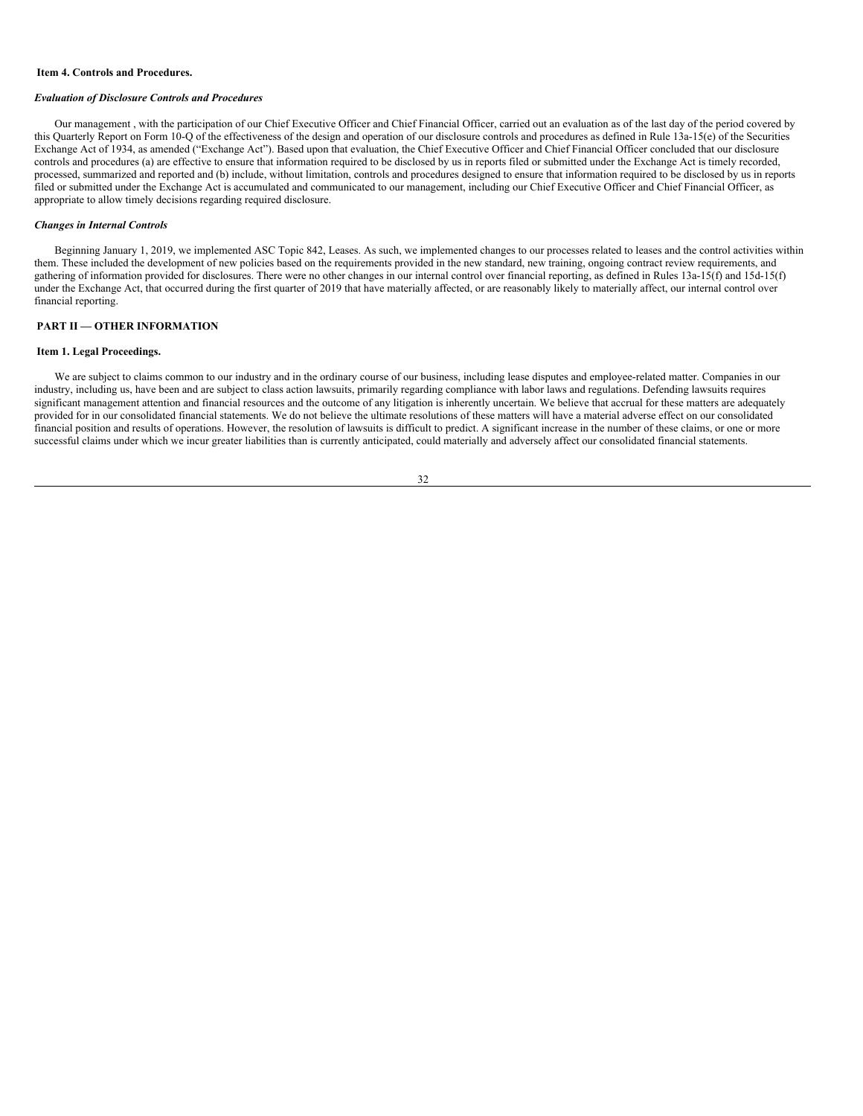#### <span id="page-31-0"></span>**Item 4. Controls and Procedures.**

## *Evaluation of Disclosure Controls and Procedures*

Our management , with the participation of our Chief Executive Officer and Chief Financial Officer, carried out an evaluation as of the last day of the period covered by this Quarterly Report on Form 10-Q of the effectiveness of the design and operation of our disclosure controls and procedures as defined in Rule 13a-15(e) of the Securities Exchange Act of 1934, as amended ("Exchange Act"). Based upon that evaluation, the Chief Executive Officer and Chief Financial Officer concluded that our disclosure controls and procedures (a) are effective to ensure that information required to be disclosed by us in reports filed or submitted under the Exchange Act is timely recorded, processed, summarized and reported and (b) include, without limitation, controls and procedures designed to ensure that information required to be disclosed by us in reports filed or submitted under the Exchange Act is accumulated and communicated to our management, including our Chief Executive Officer and Chief Financial Officer, as appropriate to allow timely decisions regarding required disclosure.

### *Changes in Internal Controls*

Beginning January 1, 2019, we implemented ASC Topic 842, Leases. As such, we implemented changes to our processes related to leases and the control activities within them. These included the development of new policies based on the requirements provided in the new standard, new training, ongoing contract review requirements, and gathering of information provided for disclosures. There were no other changes in our internal control over financial reporting, as defined in Rules 13a-15(f) and 15d-15(f) under the Exchange Act, that occurred during the first quarter of 2019 that have materially affected, or are reasonably likely to materially affect, our internal control over financial reporting.

## <span id="page-31-1"></span>**PART II — OTHER INFORMATION**

#### <span id="page-31-2"></span>**Item 1. Legal Proceedings.**

We are subject to claims common to our industry and in the ordinary course of our business, including lease disputes and employee-related matter. Companies in our industry, including us, have been and are subject to class action lawsuits, primarily regarding compliance with labor laws and regulations. Defending lawsuits requires significant management attention and financial resources and the outcome of any litigation is inherently uncertain. We believe that accrual for these matters are adequately provided for in our consolidated financial statements. We do not believe the ultimate resolutions of these matters will have a material adverse effect on our consolidated financial position and results of operations. However, the resolution of lawsuits is difficult to predict. A significant increase in the number of these claims, or one or more successful claims under which we incur greater liabilities than is currently anticipated, could materially and adversely affect our consolidated financial statements.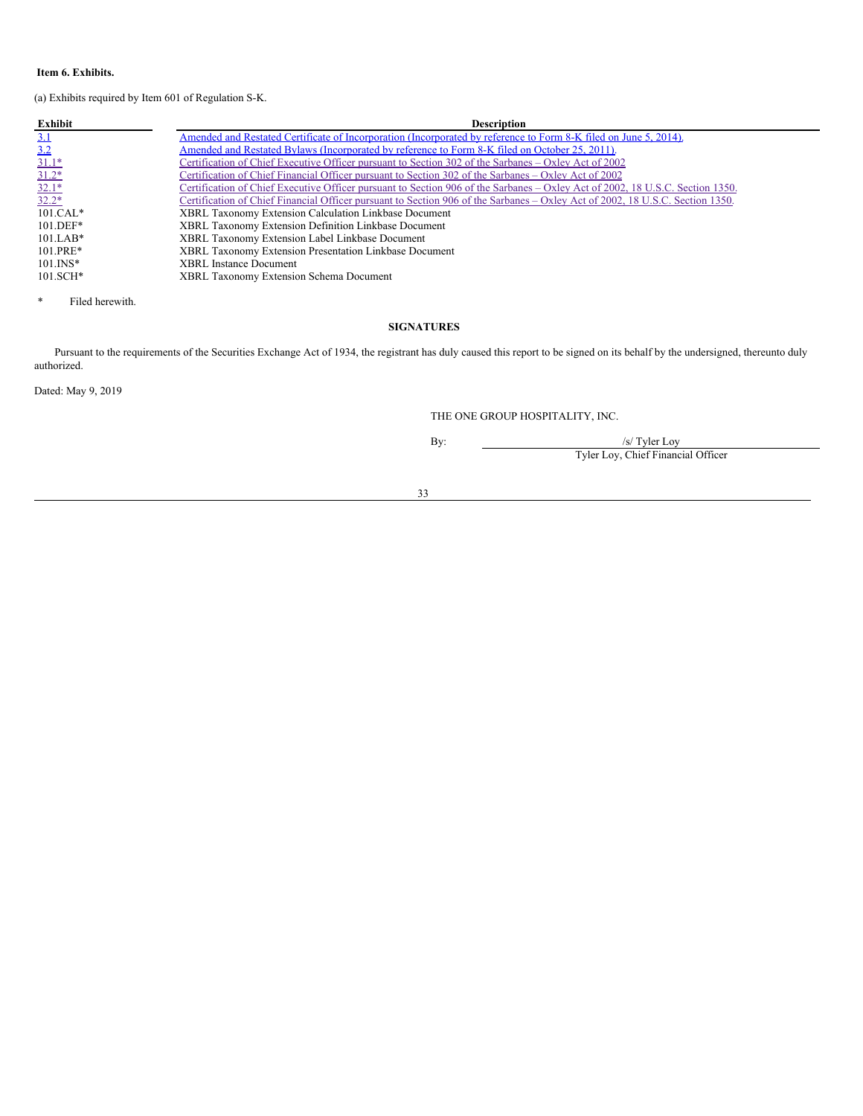# <span id="page-32-0"></span>**Item 6. Exhibits.**

(a) Exhibits required by Item 601 of Regulation S-K.

| Exhibit                 | <b>Description</b>                                                                                                            |
|-------------------------|-------------------------------------------------------------------------------------------------------------------------------|
| <u>3.1</u>              | Amended and Restated Certificate of Incorporation (Incorporated by reference to Form 8-K filed on June 5, 2014).              |
| 3.2                     | Amended and Restated Bylaws (Incorporated by reference to Form 8-K filed on October 25, 2011).                                |
| $31.1*$                 | Certification of Chief Executive Officer pursuant to Section 302 of the Sarbanes – Oxley Act of 2002                          |
| $\frac{31.2^*}{32.1^*}$ | Certification of Chief Financial Officer pursuant to Section 302 of the Sarbanes – Oxley Act of 2002                          |
|                         | Certification of Chief Executive Officer pursuant to Section 906 of the Sarbanes – Oxley Act of 2002, 18 U.S.C. Section 1350. |
| $32.2*$                 | Certification of Chief Financial Officer pursuant to Section 906 of the Sarbanes – Oxley Act of 2002, 18 U.S.C. Section 1350. |
| $101.CAL*$              | XBRL Taxonomy Extension Calculation Linkbase Document                                                                         |
| $101.$ DEF*             | XBRL Taxonomy Extension Definition Linkbase Document                                                                          |
| $101.LAB*$              | XBRL Taxonomy Extension Label Linkbase Document                                                                               |
| 101.PRE*                | XBRL Taxonomy Extension Presentation Linkbase Document                                                                        |
| $101.$ IN $S^*$         | <b>XBRL</b> Instance Document                                                                                                 |
| $101.SCH*$              | XBRL Taxonomy Extension Schema Document                                                                                       |

\* Filed herewith.

## <span id="page-32-1"></span>**SIGNATURES**

Pursuant to the requirements of the Securities Exchange Act of 1934, the registrant has duly caused this report to be signed on its behalf by the undersigned, thereunto duly authorized.

Dated: May 9, 2019

THE ONE GROUP HOSPITALITY, INC.

By:  $\frac{1}{s}$  /s/ Tyler Loy Tyler Loy, Chief Financial Officer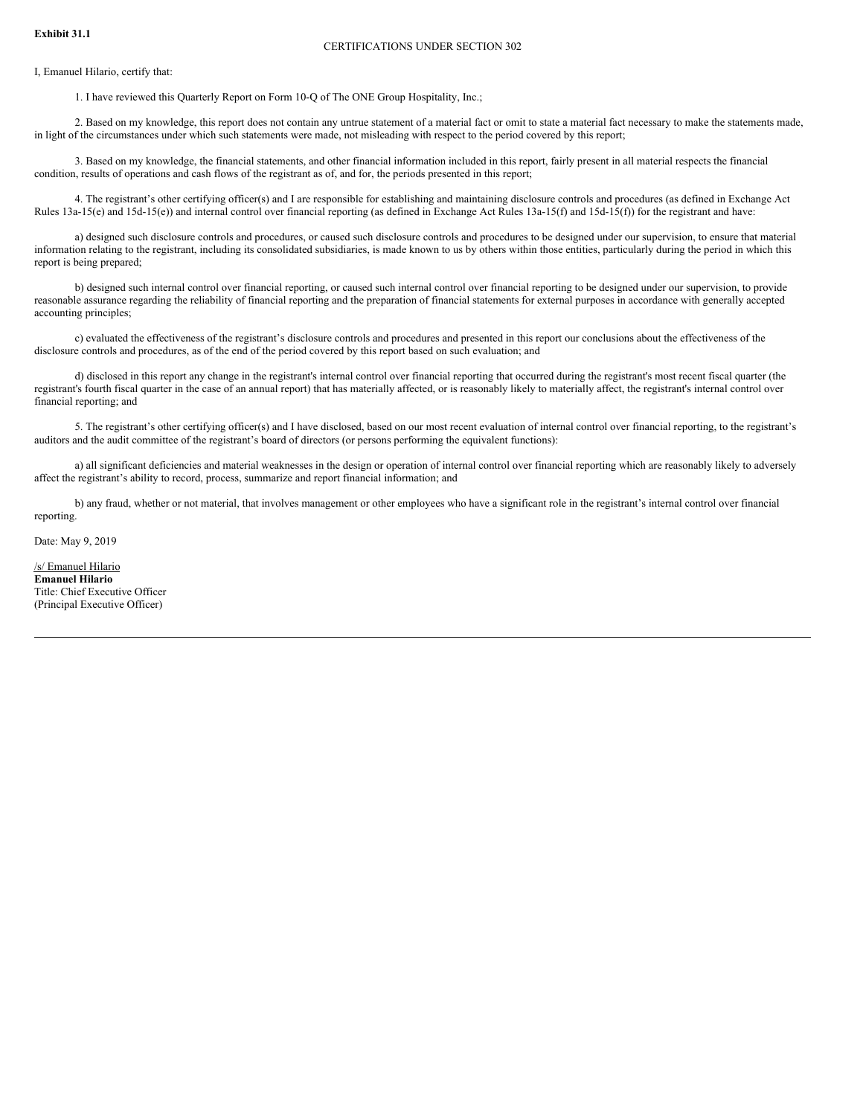<span id="page-33-0"></span>I, Emanuel Hilario, certify that:

1. I have reviewed this Quarterly Report on Form 10-Q of The ONE Group Hospitality, Inc.;

2. Based on my knowledge, this report does not contain any untrue statement of a material fact or omit to state a material fact necessary to make the statements made, in light of the circumstances under which such statements were made, not misleading with respect to the period covered by this report;

3. Based on my knowledge, the financial statements, and other financial information included in this report, fairly present in all material respects the financial condition, results of operations and cash flows of the registrant as of, and for, the periods presented in this report;

4. The registrant's other certifying officer(s) and I are responsible for establishing and maintaining disclosure controls and procedures (as defined in Exchange Act Rules 13a-15(e) and 15d-15(e)) and internal control over financial reporting (as defined in Exchange Act Rules 13a-15(f) and 15d-15(f)) for the registrant and have:

a) designed such disclosure controls and procedures, or caused such disclosure controls and procedures to be designed under our supervision, to ensure that material information relating to the registrant, including its consolidated subsidiaries, is made known to us by others within those entities, particularly during the period in which this report is being prepared;

b) designed such internal control over financial reporting, or caused such internal control over financial reporting to be designed under our supervision, to provide reasonable assurance regarding the reliability of financial reporting and the preparation of financial statements for external purposes in accordance with generally accepted accounting principles;

c) evaluated the effectiveness of the registrant's disclosure controls and procedures and presented in this report our conclusions about the effectiveness of the disclosure controls and procedures, as of the end of the period covered by this report based on such evaluation; and

d) disclosed in this report any change in the registrant's internal control over financial reporting that occurred during the registrant's most recent fiscal quarter (the registrant's fourth fiscal quarter in the case of an annual report) that has materially affected, or is reasonably likely to materially affect, the registrant's internal control over financial reporting; and

5. The registrant's other certifying officer(s) and I have disclosed, based on our most recent evaluation of internal control over financial reporting, to the registrant's auditors and the audit committee of the registrant's board of directors (or persons performing the equivalent functions):

a) all significant deficiencies and material weaknesses in the design or operation of internal control over financial reporting which are reasonably likely to adversely affect the registrant's ability to record, process, summarize and report financial information; and

b) any fraud, whether or not material, that involves management or other employees who have a significant role in the registrant's internal control over financial reporting.

Date: May 9, 2019

/s/ Emanuel Hilario **Emanuel Hilario** Title: Chief Executive Officer (Principal Executive Officer)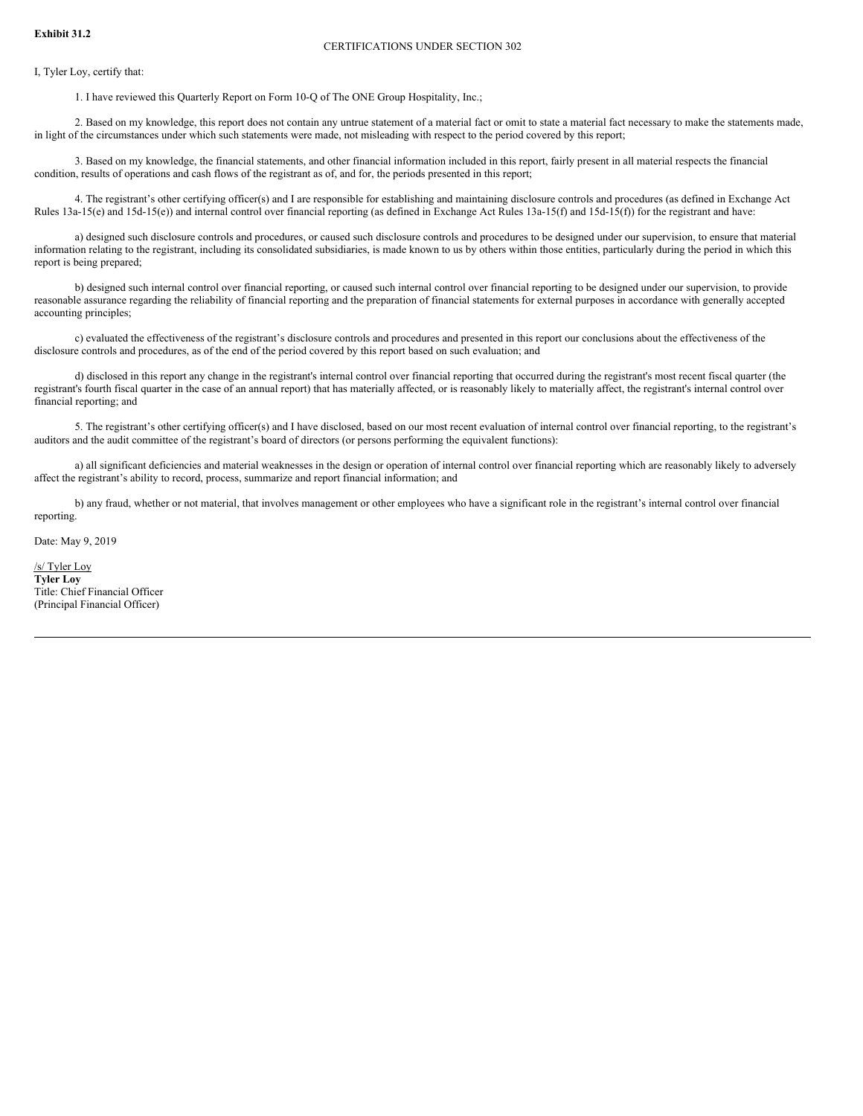<span id="page-34-0"></span>I, Tyler Loy, certify that:

1. I have reviewed this Quarterly Report on Form 10-Q of The ONE Group Hospitality, Inc.;

2. Based on my knowledge, this report does not contain any untrue statement of a material fact or omit to state a material fact necessary to make the statements made, in light of the circumstances under which such statements were made, not misleading with respect to the period covered by this report;

3. Based on my knowledge, the financial statements, and other financial information included in this report, fairly present in all material respects the financial condition, results of operations and cash flows of the registrant as of, and for, the periods presented in this report;

4. The registrant's other certifying officer(s) and I are responsible for establishing and maintaining disclosure controls and procedures (as defined in Exchange Act Rules 13a-15(e) and 15d-15(e)) and internal control over financial reporting (as defined in Exchange Act Rules 13a-15(f) and 15d-15(f)) for the registrant and have:

a) designed such disclosure controls and procedures, or caused such disclosure controls and procedures to be designed under our supervision, to ensure that material information relating to the registrant, including its consolidated subsidiaries, is made known to us by others within those entities, particularly during the period in which this report is being prepared;

b) designed such internal control over financial reporting, or caused such internal control over financial reporting to be designed under our supervision, to provide reasonable assurance regarding the reliability of financial reporting and the preparation of financial statements for external purposes in accordance with generally accepted accounting principles;

c) evaluated the effectiveness of the registrant's disclosure controls and procedures and presented in this report our conclusions about the effectiveness of the disclosure controls and procedures, as of the end of the period covered by this report based on such evaluation; and

d) disclosed in this report any change in the registrant's internal control over financial reporting that occurred during the registrant's most recent fiscal quarter (the registrant's fourth fiscal quarter in the case of an annual report) that has materially affected, or is reasonably likely to materially affect, the registrant's internal control over financial reporting; and

5. The registrant's other certifying officer(s) and I have disclosed, based on our most recent evaluation of internal control over financial reporting, to the registrant's auditors and the audit committee of the registrant's board of directors (or persons performing the equivalent functions):

a) all significant deficiencies and material weaknesses in the design or operation of internal control over financial reporting which are reasonably likely to adversely affect the registrant's ability to record, process, summarize and report financial information; and

b) any fraud, whether or not material, that involves management or other employees who have a significant role in the registrant's internal control over financial reporting.

Date: May 9, 2019

/s/ Tyler Loy **Tyler Loy** Title: Chief Financial Officer (Principal Financial Officer)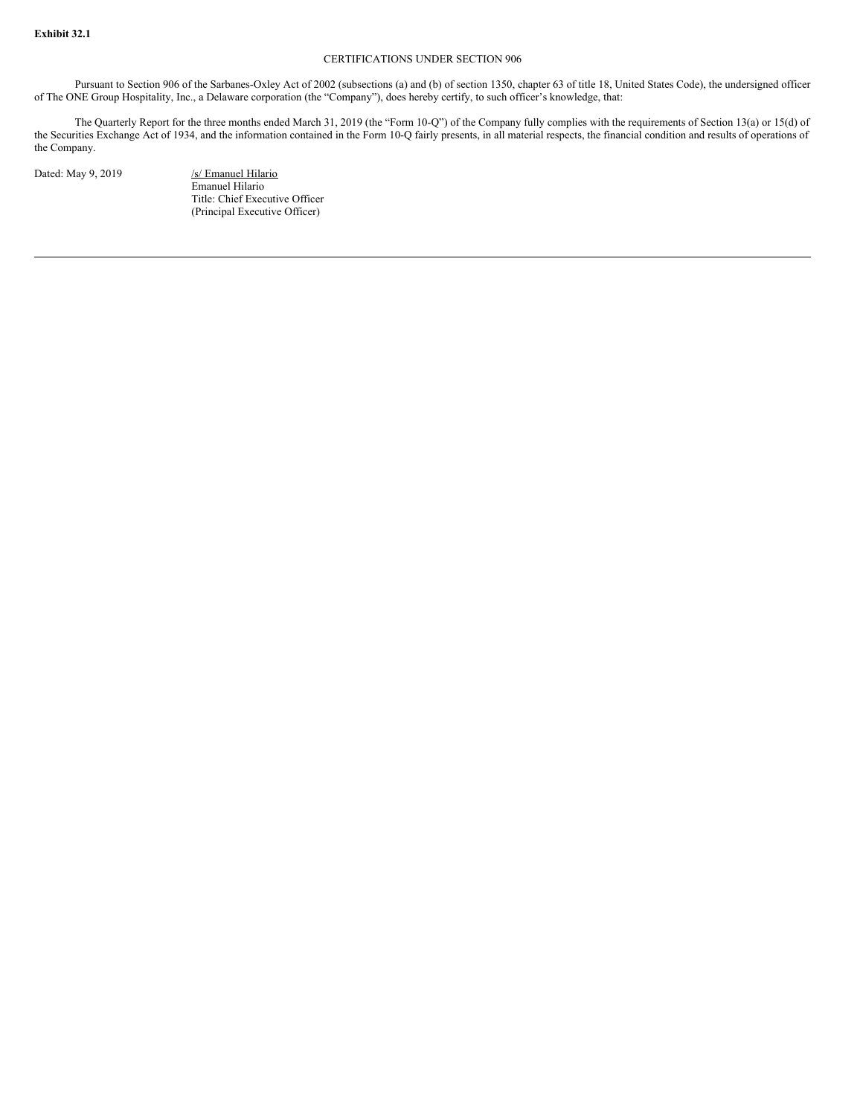## CERTIFICATIONS UNDER SECTION 906

<span id="page-35-0"></span>Pursuant to Section 906 of the Sarbanes-Oxley Act of 2002 (subsections (a) and (b) of section 1350, chapter 63 of title 18, United States Code), the undersigned officer of The ONE Group Hospitality, Inc., a Delaware corporation (the "Company"), does hereby certify, to such officer's knowledge, that:

The Quarterly Report for the three months ended March 31, 2019 (the "Form 10-Q") of the Company fully complies with the requirements of Section 13(a) or 15(d) of the Securities Exchange Act of 1934, and the information contained in the Form 10-Q fairly presents, in all material respects, the financial condition and results of operations of the Company.

Dated: May 9, 2019 /s/ Emanuel Hilario

Emanuel Hilario Title: Chief Executive Officer (Principal Executive Officer)